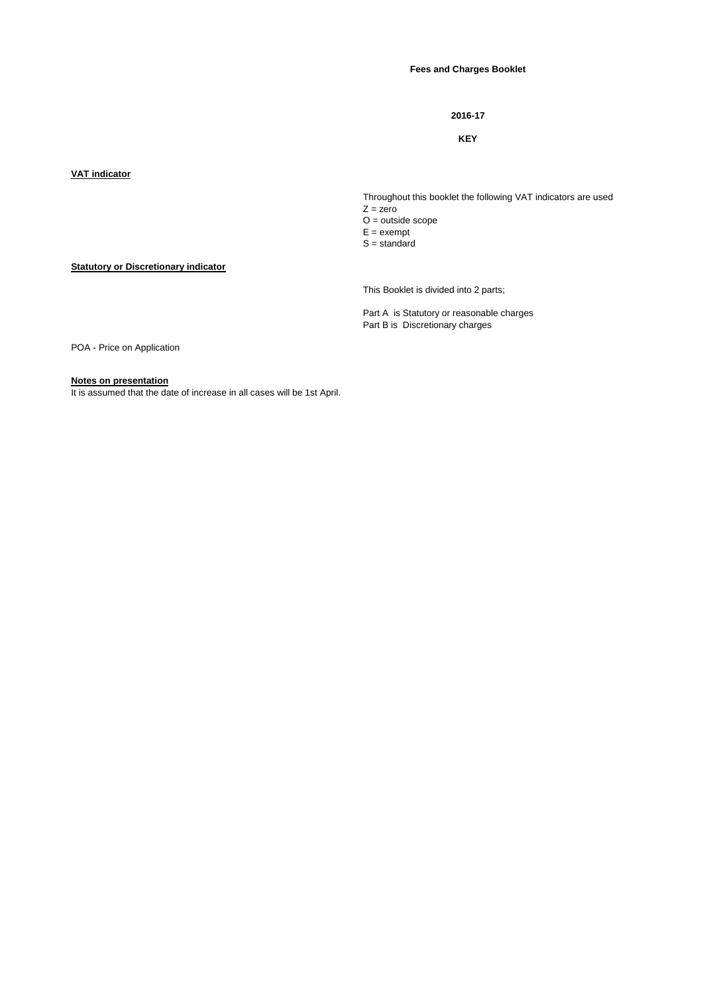#### **Fees and Charges Booklet**

#### **2016-17**

#### **KEY**

### **VAT indicator**

**Statutory or Discretionary indicator**

Throughout this booklet the following VAT indicators are used  $Z = zero$ O = outside scope

 $E =$  exempt

 $S =$  standard

This Booklet is divided into 2 parts;

Part A is Statutory or reasonable charges Part B is Discretionary charges

POA - Price on Application

#### **Notes on presentation**

It is assumed that the date of increase in all cases will be 1st April.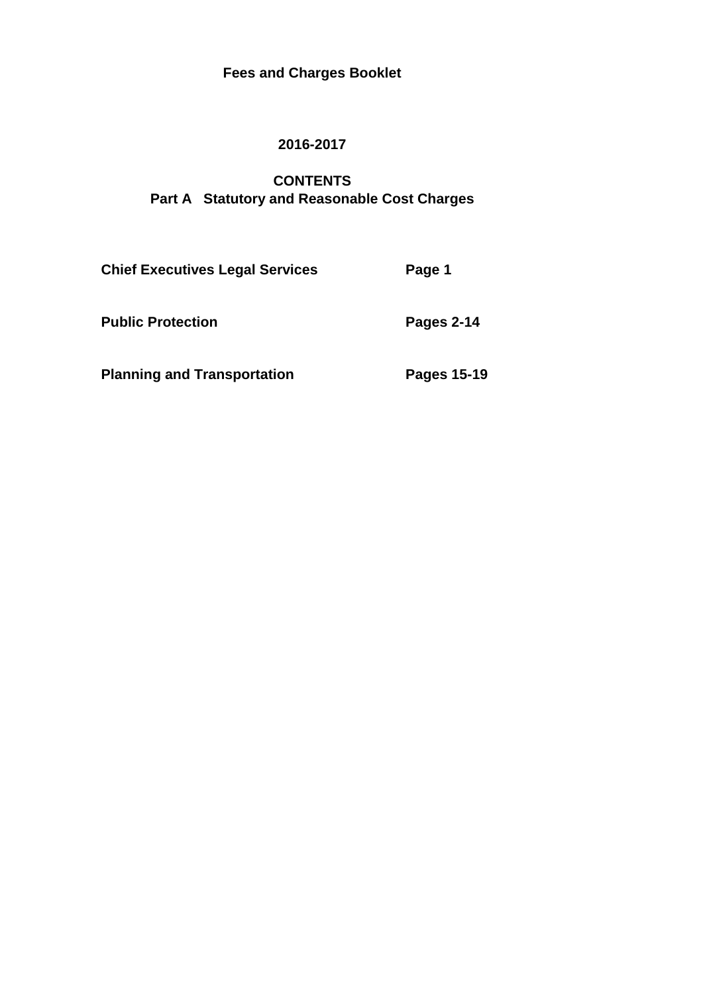# **Fees and Charges Booklet**

## **2016-2017**

# **CONTENTS Part A Statutory and Reasonable Cost Charges**

| <b>Chief Executives Legal Services</b> | Page 1      |
|----------------------------------------|-------------|
| <b>Public Protection</b>               | Pages 2-14  |
| <b>Planning and Transportation</b>     | Pages 15-19 |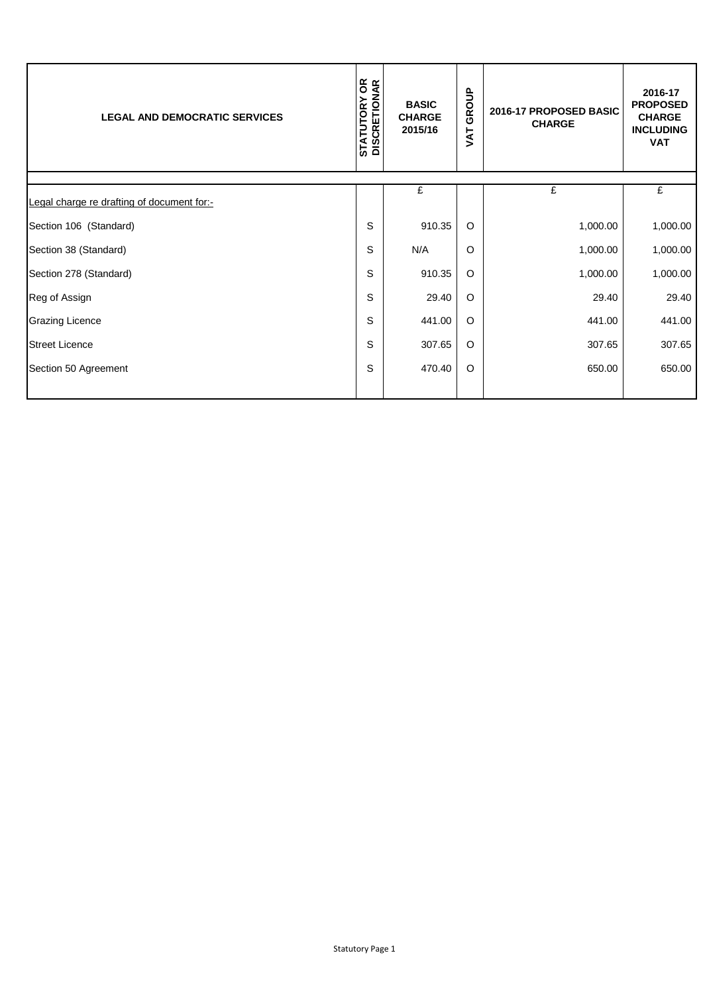| <b>LEGAL AND DEMOCRATIC SERVICES</b>       | <b>STATUTORY OR<br/>DISCRETIONAR</b> | <b>BASIC</b><br><b>CHARGE</b><br>2015/16 | GROUP<br>TAT | 2016-17 PROPOSED BASIC<br><b>CHARGE</b> | 2016-17<br><b>PROPOSED</b><br><b>CHARGE</b><br><b>INCLUDING</b><br><b>VAT</b> |
|--------------------------------------------|--------------------------------------|------------------------------------------|--------------|-----------------------------------------|-------------------------------------------------------------------------------|
| Legal charge re drafting of document for:- |                                      | £                                        |              | £                                       | £                                                                             |
| Section 106 (Standard)                     | S                                    | 910.35                                   | $\circ$      | 1,000.00                                | 1,000.00                                                                      |
| Section 38 (Standard)                      | S                                    | N/A                                      | O            | 1,000.00                                | 1,000.00                                                                      |
| Section 278 (Standard)                     | S                                    | 910.35                                   | $\circ$      | 1,000.00                                | 1,000.00                                                                      |
| Reg of Assign                              | S                                    | 29.40                                    | $\circ$      | 29.40                                   | 29.40                                                                         |
| <b>Grazing Licence</b>                     | S                                    | 441.00                                   | $\circ$      | 441.00                                  | 441.00                                                                        |
| <b>Street Licence</b>                      | S                                    | 307.65                                   | $\circ$      | 307.65                                  | 307.65                                                                        |
| Section 50 Agreement                       | S                                    | 470.40                                   | $\circ$      | 650.00                                  | 650.00                                                                        |
|                                            |                                      |                                          |              |                                         |                                                                               |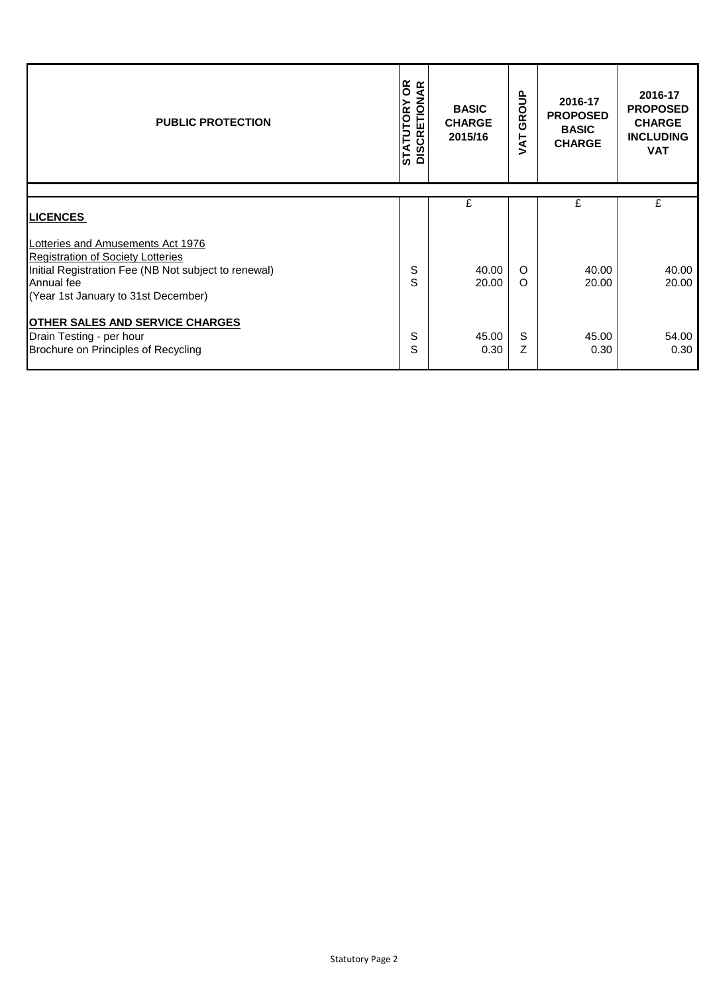| <b>PUBLIC PROTECTION</b>                                                                                                                                                                   | <b>STATUTORY OR<br/>DISCRETIONAR</b> | <b>BASIC</b><br><b>CHARGE</b><br>2015/16 | GROUP<br>TAV         | 2016-17<br><b>PROPOSED</b><br><b>BASIC</b><br><b>CHARGE</b> | 2016-17<br><b>PROPOSED</b><br><b>CHARGE</b><br><b>INCLUDING</b><br><b>VAT</b> |
|--------------------------------------------------------------------------------------------------------------------------------------------------------------------------------------------|--------------------------------------|------------------------------------------|----------------------|-------------------------------------------------------------|-------------------------------------------------------------------------------|
| <b>LICENCES</b>                                                                                                                                                                            |                                      | £                                        |                      | £                                                           | £                                                                             |
| Lotteries and Amusements Act 1976<br><b>Registration of Society Lotteries</b><br>Initial Registration Fee (NB Not subject to renewal)<br>Annual fee<br>(Year 1st January to 31st December) | S<br>S                               | 40.00<br>20.00                           | $\Omega$<br>$\Omega$ | 40.00<br>20.00                                              | 40.00<br>20.00                                                                |
| <b>OTHER SALES AND SERVICE CHARGES</b><br>Drain Testing - per hour<br>Brochure on Principles of Recycling                                                                                  | S<br>S                               | 45.00<br>0.30                            | S<br>Z               | 45.00<br>0.30                                               | 54.00<br>0.30                                                                 |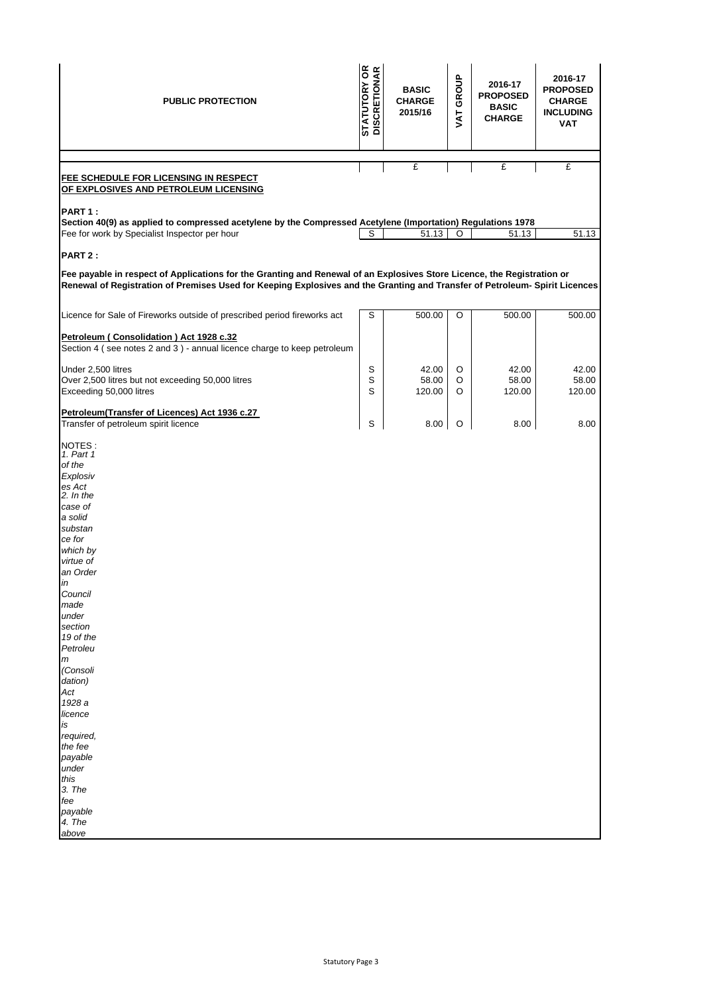| <b>PUBLIC PROTECTION</b>                                                                                                                                                                                                                                                                                                                                                                | <b>STATUTORY OR</b><br>DISCRETIONAR | <b>BASIC</b><br><b>CHARGE</b><br>2015/16 | VAT GROUP | 2016-17<br><b>PROPOSED</b><br><b>BASIC</b><br><b>CHARGE</b> | 2016-17<br><b>PROPOSED</b><br><b>CHARGE</b><br><b>INCLUDING</b><br><b>VAT</b> |
|-----------------------------------------------------------------------------------------------------------------------------------------------------------------------------------------------------------------------------------------------------------------------------------------------------------------------------------------------------------------------------------------|-------------------------------------|------------------------------------------|-----------|-------------------------------------------------------------|-------------------------------------------------------------------------------|
|                                                                                                                                                                                                                                                                                                                                                                                         |                                     | £                                        |           | £                                                           | £                                                                             |
| <b>FEE SCHEDULE FOR LICENSING IN RESPECT</b><br>OF EXPLOSIVES AND PETROLEUM LICENSING                                                                                                                                                                                                                                                                                                   |                                     |                                          |           |                                                             |                                                                               |
| PART 1:<br>Section 40(9) as applied to compressed acetylene by the Compressed Acetylene (Importation) Regulations 1978<br>Fee for work by Specialist Inspector per hour                                                                                                                                                                                                                 | S                                   | 51.13                                    | O         | 51.13                                                       | 51.13                                                                         |
| PART 2:                                                                                                                                                                                                                                                                                                                                                                                 |                                     |                                          |           |                                                             |                                                                               |
| Fee payable in respect of Applications for the Granting and Renewal of an Explosives Store Licence, the Registration or<br>Renewal of Registration of Premises Used for Keeping Explosives and the Granting and Transfer of Petroleum- Spirit Licences                                                                                                                                  |                                     |                                          |           |                                                             |                                                                               |
| Licence for Sale of Fireworks outside of prescribed period fireworks act                                                                                                                                                                                                                                                                                                                | S                                   | 500.00                                   | O         | 500.00                                                      | 500.00                                                                        |
| Petroleum (Consolidation) Act 1928 c.32<br>Section 4 (see notes 2 and 3) - annual licence charge to keep petroleum                                                                                                                                                                                                                                                                      |                                     |                                          |           |                                                             |                                                                               |
| Under 2,500 litres                                                                                                                                                                                                                                                                                                                                                                      | S                                   | 42.00                                    | O         | 42.00                                                       | 42.00                                                                         |
| Over 2,500 litres but not exceeding 50,000 litres                                                                                                                                                                                                                                                                                                                                       | S                                   | 58.00                                    | O         | 58.00                                                       | 58.00                                                                         |
| Exceeding 50,000 litres                                                                                                                                                                                                                                                                                                                                                                 | S                                   | 120.00                                   | O         | 120.00                                                      | 120.00                                                                        |
| Petroleum(Transfer of Licences) Act 1936 c.27<br>Transfer of petroleum spirit licence                                                                                                                                                                                                                                                                                                   | S                                   | 8.00                                     | O         | 8.00                                                        | 8.00                                                                          |
| NOTES:<br>1. Part 1<br>of the<br>Explosiv<br>es Act<br>2. In the<br>case of<br>a solid<br>substan<br>ce for<br>which by<br>virtue of<br>an Order<br>in<br>Council<br>made<br>under<br>section<br>19 of the<br>Petroleu<br>m<br>(Consoli<br>dation)<br>Act<br>1928 a<br>licence<br>is<br>required,<br>the fee<br>payable<br>under<br>this<br>3. The<br>fee<br>payable<br>4. The<br>above |                                     |                                          |           |                                                             |                                                                               |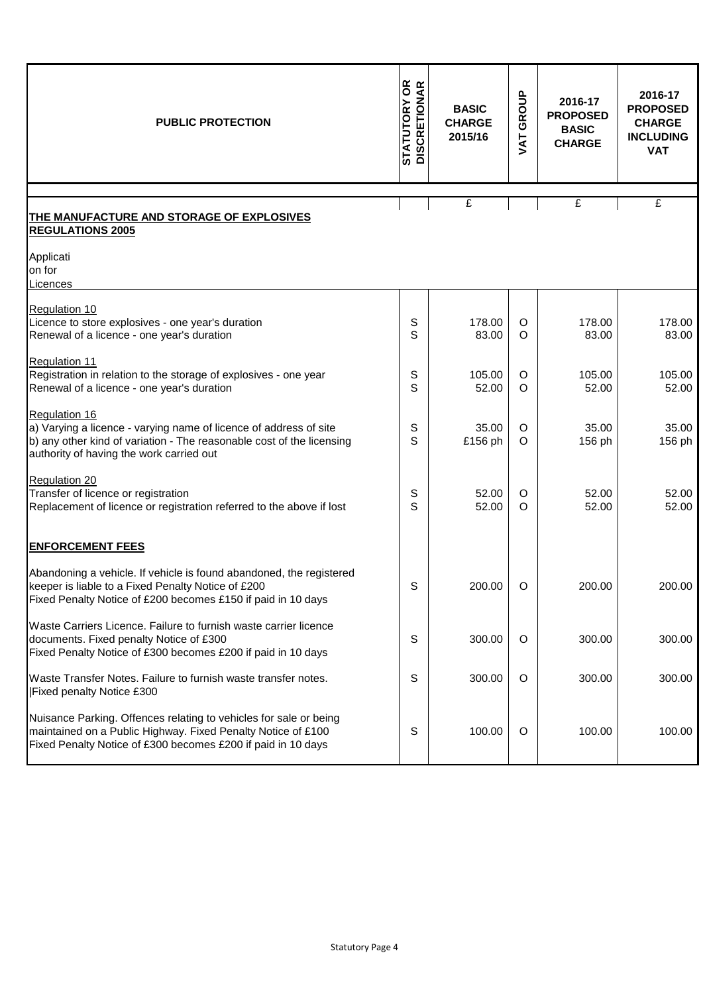| <b>PUBLIC PROTECTION</b>                                                                                                                                                                                | <b>STATUTORY OR<br/>DISCRETIONAR</b> | <b>BASIC</b><br><b>CHARGE</b><br>2015/16 | GROUP<br>VAT | 2016-17<br><b>PROPOSED</b><br><b>BASIC</b><br><b>CHARGE</b> | 2016-17<br><b>PROPOSED</b><br><b>CHARGE</b><br><b>INCLUDING</b><br><b>VAT</b> |
|---------------------------------------------------------------------------------------------------------------------------------------------------------------------------------------------------------|--------------------------------------|------------------------------------------|--------------|-------------------------------------------------------------|-------------------------------------------------------------------------------|
|                                                                                                                                                                                                         |                                      | £                                        |              | $\mathbf{f}$                                                | £                                                                             |
| THE MANUFACTURE AND STORAGE OF EXPLOSIVES<br><b>REGULATIONS 2005</b>                                                                                                                                    |                                      |                                          |              |                                                             |                                                                               |
| Applicati<br>on for<br>Licences                                                                                                                                                                         |                                      |                                          |              |                                                             |                                                                               |
| Regulation 10<br>Licence to store explosives - one year's duration<br>Renewal of a licence - one year's duration                                                                                        | S<br>S                               | 178.00<br>83.00                          | O<br>$\circ$ | 178.00<br>83.00                                             | 178.00<br>83.00                                                               |
| <b>Regulation 11</b><br>Registration in relation to the storage of explosives - one year<br>Renewal of a licence - one year's duration                                                                  | S<br>S                               | 105.00<br>52.00                          | O<br>$\circ$ | 105.00<br>52.00                                             | 105.00<br>52.00                                                               |
| Regulation 16<br>a) Varying a licence - varying name of licence of address of site<br>b) any other kind of variation - The reasonable cost of the licensing<br>authority of having the work carried out | S<br>S                               | 35.00<br>£156 ph                         | O<br>O       | 35.00<br>156 ph                                             | 35.00<br>156 ph                                                               |
| Regulation 20<br>Transfer of licence or registration<br>Replacement of licence or registration referred to the above if lost                                                                            | S<br>S                               | 52.00<br>52.00                           | O<br>O       | 52.00<br>52.00                                              | 52.00<br>52.00                                                                |
| <b>ENFORCEMENT FEES</b>                                                                                                                                                                                 |                                      |                                          |              |                                                             |                                                                               |
| Abandoning a vehicle. If vehicle is found abandoned, the registered<br>keeper is liable to a Fixed Penalty Notice of £200<br>Fixed Penalty Notice of £200 becomes £150 if paid in 10 days               | S                                    | 200.00                                   | $\Omega$     | 200.00                                                      | 200.00                                                                        |
| Waste Carriers Licence. Failure to furnish waste carrier licence<br>documents. Fixed penalty Notice of £300<br>Fixed Penalty Notice of £300 becomes £200 if paid in 10 days                             | S                                    | 300.00                                   | O            | 300.00                                                      | 300.00                                                                        |
| Waste Transfer Notes. Failure to furnish waste transfer notes.<br><b>Fixed penalty Notice £300</b>                                                                                                      | S                                    | 300.00                                   | O            | 300.00                                                      | 300.00                                                                        |
| Nuisance Parking. Offences relating to vehicles for sale or being<br>maintained on a Public Highway. Fixed Penalty Notice of £100<br>Fixed Penalty Notice of £300 becomes £200 if paid in 10 days       | S                                    | 100.00                                   | O            | 100.00                                                      | 100.00                                                                        |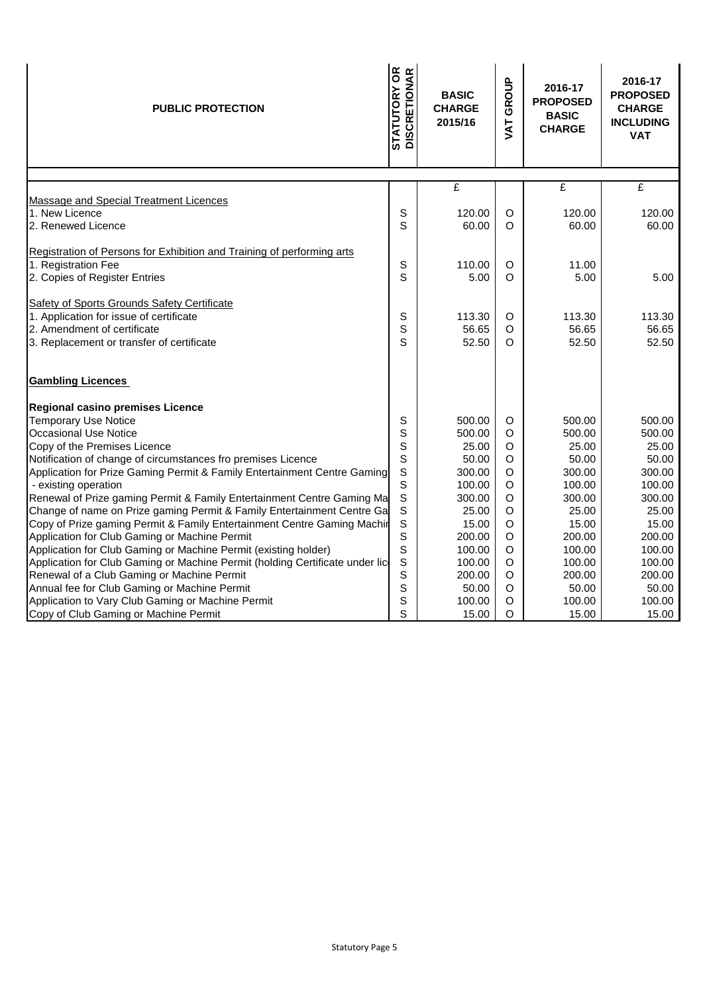| <b>PUBLIC PROTECTION</b>                                                     | <b>STATUTORY OR<br/>DISCRETIONAR</b><br><b>BASIC</b><br><b>CHARGE</b><br>2015/16 |        | GROUP<br>JAT | 2016-17<br><b>PROPOSED</b><br><b>BASIC</b><br><b>CHARGE</b> | 2016-17<br><b>PROPOSED</b><br><b>CHARGE</b><br><b>INCLUDING</b><br><b>VAT</b> |
|------------------------------------------------------------------------------|----------------------------------------------------------------------------------|--------|--------------|-------------------------------------------------------------|-------------------------------------------------------------------------------|
|                                                                              |                                                                                  |        |              |                                                             |                                                                               |
| Massage and Special Treatment Licences                                       |                                                                                  | £      |              | £                                                           | £                                                                             |
| 1. New Licence                                                               | S                                                                                | 120.00 | $\circ$      | 120.00                                                      | 120.00                                                                        |
| 2. Renewed Licence                                                           | S                                                                                | 60.00  | O            | 60.00                                                       | 60.00                                                                         |
|                                                                              |                                                                                  |        |              |                                                             |                                                                               |
| Registration of Persons for Exhibition and Training of performing arts       |                                                                                  |        |              |                                                             |                                                                               |
| 1. Registration Fee                                                          | S                                                                                | 110.00 | $\circ$      | 11.00                                                       |                                                                               |
| 2. Copies of Register Entries                                                | S                                                                                | 5.00   | O            | 5.00                                                        | 5.00                                                                          |
|                                                                              |                                                                                  |        |              |                                                             |                                                                               |
| Safety of Sports Grounds Safety Certificate                                  |                                                                                  |        |              |                                                             |                                                                               |
| 1. Application for issue of certificate                                      | S                                                                                | 113.30 | O            | 113.30                                                      | 113.30                                                                        |
| 2. Amendment of certificate                                                  | S                                                                                | 56.65  | O            | 56.65                                                       | 56.65                                                                         |
| 3. Replacement or transfer of certificate                                    | S                                                                                | 52.50  | $\Omega$     | 52.50                                                       | 52.50                                                                         |
| <b>Gambling Licences</b>                                                     |                                                                                  |        |              |                                                             |                                                                               |
| Regional casino premises Licence                                             |                                                                                  |        |              |                                                             |                                                                               |
| <b>Temporary Use Notice</b>                                                  | S                                                                                | 500.00 | O            | 500.00                                                      | 500.00                                                                        |
| <b>Occasional Use Notice</b>                                                 | S                                                                                | 500.00 | O            | 500.00                                                      | 500.00                                                                        |
| Copy of the Premises Licence                                                 | S                                                                                | 25.00  | O            | 25.00                                                       | 25.00                                                                         |
| Notification of change of circumstances fro premises Licence                 | S                                                                                | 50.00  | O            | 50.00                                                       | 50.00                                                                         |
| Application for Prize Gaming Permit & Family Entertainment Centre Gaming     | S                                                                                | 300.00 | O            | 300.00                                                      | 300.00                                                                        |
| - existing operation                                                         | S                                                                                | 100.00 | $\circ$      | 100.00                                                      | 100.00                                                                        |
| Renewal of Prize gaming Permit & Family Entertainment Centre Gaming Ma       | S                                                                                | 300.00 | O            | 300.00                                                      | 300.00                                                                        |
| Change of name on Prize gaming Permit & Family Entertainment Centre Ga       | $\mathsf S$                                                                      | 25.00  | O            | 25.00                                                       | 25.00                                                                         |
| Copy of Prize gaming Permit & Family Entertainment Centre Gaming Machir      | $\mathsf S$                                                                      | 15.00  | O            | 15.00                                                       | 15.00                                                                         |
| Application for Club Gaming or Machine Permit                                | S                                                                                | 200.00 | $\circ$      | 200.00                                                      | 200.00                                                                        |
| Application for Club Gaming or Machine Permit (existing holder)              | S                                                                                | 100.00 | O            | 100.00                                                      | 100.00                                                                        |
| Application for Club Gaming or Machine Permit (holding Certificate under lic | S                                                                                | 100.00 | O            | 100.00                                                      | 100.00                                                                        |
| Renewal of a Club Gaming or Machine Permit                                   | S                                                                                | 200.00 | $\circ$      | 200.00                                                      | 200.00                                                                        |
| Annual fee for Club Gaming or Machine Permit                                 | S                                                                                | 50.00  | O            | 50.00                                                       | 50.00                                                                         |
| Application to Vary Club Gaming or Machine Permit                            | S                                                                                | 100.00 | O            | 100.00                                                      | 100.00                                                                        |
| Copy of Club Gaming or Machine Permit                                        | S                                                                                | 15.00  | $\circ$      | 15.00                                                       | 15.00                                                                         |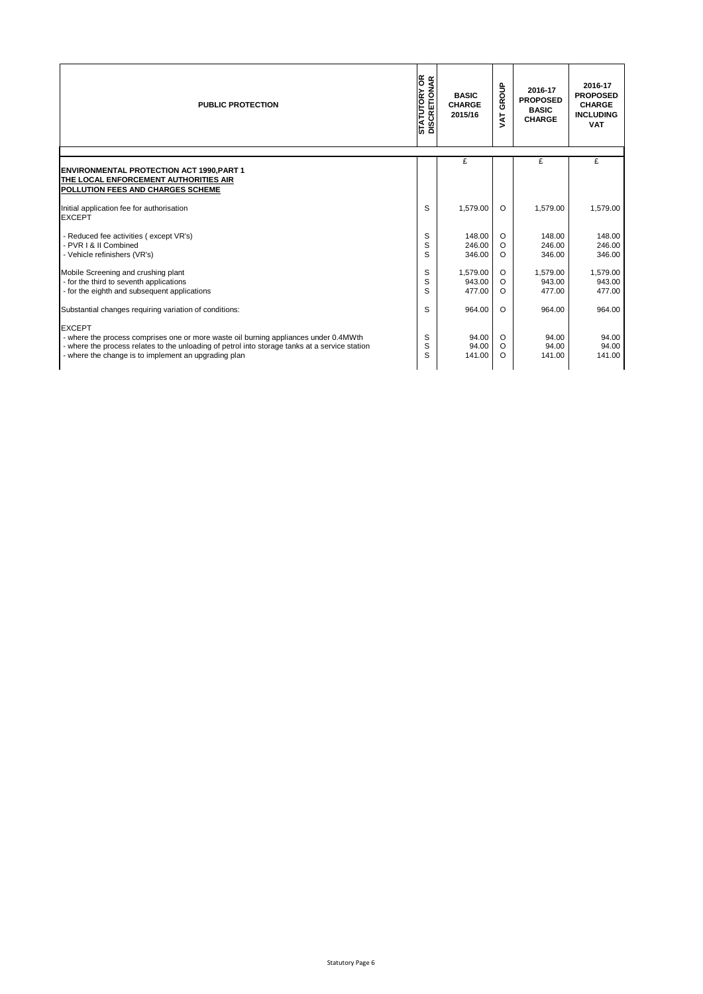| <b>PUBLIC PROTECTION</b>                                                                                                                                                                                                                                        | <b>STATUTORY OR</b><br>DISCRETIONAR | <b>BASIC</b><br><b>CHARGE</b><br>2015/16 | GROUP<br>ŠΣ                   | 2016-17<br><b>PROPOSED</b><br><b>BASIC</b><br><b>CHARGE</b> | 2016-17<br><b>PROPOSED</b><br><b>CHARGE</b><br><b>INCLUDING</b><br><b>VAT</b> |
|-----------------------------------------------------------------------------------------------------------------------------------------------------------------------------------------------------------------------------------------------------------------|-------------------------------------|------------------------------------------|-------------------------------|-------------------------------------------------------------|-------------------------------------------------------------------------------|
|                                                                                                                                                                                                                                                                 |                                     | £                                        |                               | £                                                           | £                                                                             |
| <b>ENVIRONMENTAL PROTECTION ACT 1990, PART 1</b><br><b>ITHE LOCAL ENFORCEMENT AUTHORITIES AIR</b><br>POLLUTION FEES AND CHARGES SCHEME                                                                                                                          |                                     |                                          |                               |                                                             |                                                                               |
| Initial application fee for authorisation<br><b>EXCEPT</b>                                                                                                                                                                                                      | S                                   | 1,579.00                                 | $\Omega$                      | 1.579.00                                                    | 1,579.00                                                                      |
| - Reduced fee activities (except VR's)<br>PVR I & II Combined<br>- Vehicle refinishers (VR's)                                                                                                                                                                   | S<br>S<br>S                         | 148.00<br>246.00<br>346.00               | O<br>$\circ$<br>$\circ$       | 148.00<br>246.00<br>346.00                                  | 148.00<br>246.00<br>346.00                                                    |
| Mobile Screening and crushing plant<br>- for the third to seventh applications<br>- for the eighth and subsequent applications                                                                                                                                  | S<br>S<br>S                         | 1.579.00<br>943.00<br>477.00             | O<br>$\circ$<br>$\circ$       | 1,579.00<br>943.00<br>477.00                                | 1,579.00<br>943.00<br>477.00                                                  |
| Substantial changes requiring variation of conditions:                                                                                                                                                                                                          | S                                   | 964.00                                   | $\circ$                       | 964.00                                                      | 964.00                                                                        |
| <b>EXCEPT</b><br>- where the process comprises one or more waste oil burning appliances under 0.4MWth<br>- where the process relates to the unloading of petrol into storage tanks at a service station<br>- where the change is to implement an upgrading plan | S<br>S<br>S                         | 94.00<br>94.00<br>141.00                 | $\circ$<br>$\circ$<br>$\circ$ | 94.00<br>94.00<br>141.00                                    | 94.00<br>94.00<br>141.00                                                      |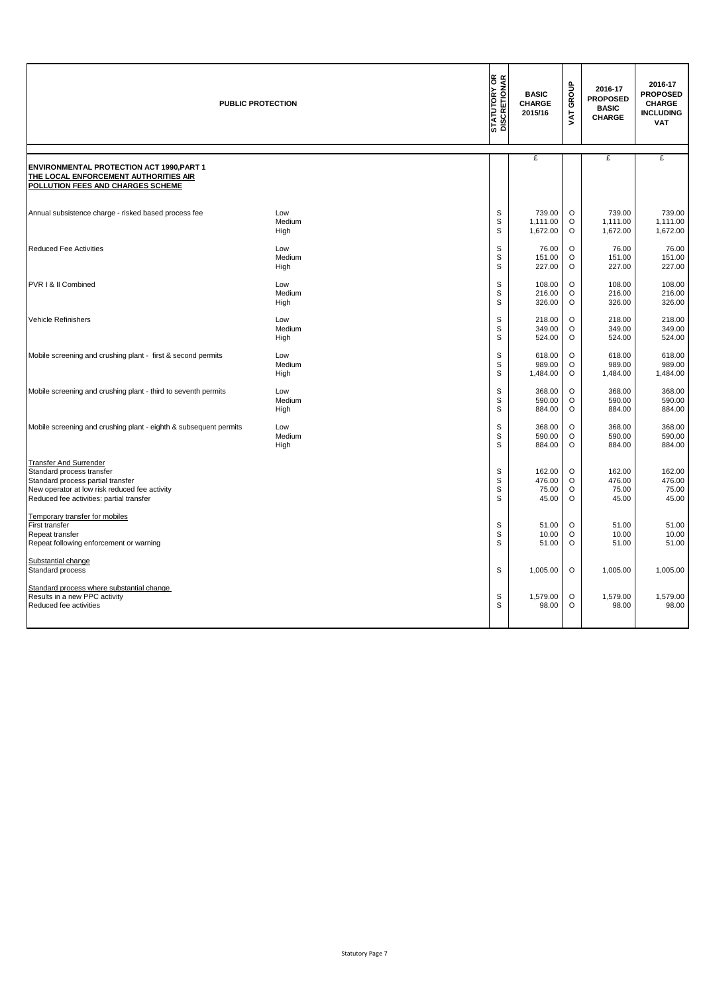|                                                                                                                                                                                              | <b>PUBLIC PROTECTION</b> | <b>STATUTORY OR</b><br>DISCRETIONAR | <b>BASIC</b><br><b>CHARGE</b><br>2015/16 | GROUP<br>Š        | 2016-17<br><b>PROPOSED</b><br><b>BASIC</b><br><b>CHARGE</b> | 2016-17<br><b>PROPOSED</b><br><b>CHARGE</b><br><b>INCLUDING</b><br><b>VAT</b> |
|----------------------------------------------------------------------------------------------------------------------------------------------------------------------------------------------|--------------------------|-------------------------------------|------------------------------------------|-------------------|-------------------------------------------------------------|-------------------------------------------------------------------------------|
| <b>ENVIRONMENTAL PROTECTION ACT 1990, PART 1</b><br>THE LOCAL ENFORCEMENT AUTHORITIES AIR<br>POLLUTION FEES AND CHARGES SCHEME                                                               |                          |                                     | £                                        |                   | £                                                           | £                                                                             |
| Annual subsistence charge - risked based process fee                                                                                                                                         | Low                      | S                                   | 739.00                                   | O                 | 739.00                                                      | 739.00                                                                        |
|                                                                                                                                                                                              | Medium                   | S                                   | 1,111.00                                 | O                 | 1,111.00                                                    | 1,111.00                                                                      |
|                                                                                                                                                                                              | High                     | S                                   | 1,672.00                                 | $\circ$           | 1,672.00                                                    | 1,672.00                                                                      |
| <b>Reduced Fee Activities</b>                                                                                                                                                                | Low                      | S                                   | 76.00                                    | O                 | 76.00                                                       | 76.00                                                                         |
|                                                                                                                                                                                              | Medium                   | S                                   | 151.00                                   | $\circ$           | 151.00                                                      | 151.00                                                                        |
|                                                                                                                                                                                              | High                     | S                                   | 227.00                                   | $\circ$           | 227.00                                                      | 227.00                                                                        |
| PVR I & II Combined                                                                                                                                                                          | Low                      | S                                   | 108.00                                   | $\circ$           | 108.00                                                      | 108.00                                                                        |
|                                                                                                                                                                                              | Medium                   | S                                   | 216.00                                   | O                 | 216.00                                                      | 216.00                                                                        |
|                                                                                                                                                                                              | High                     | S                                   | 326.00                                   | $\circ$           | 326.00                                                      | 326.00                                                                        |
| Vehicle Refinishers                                                                                                                                                                          | Low                      | S                                   | 218.00                                   | $\circ$           | 218.00                                                      | 218.00                                                                        |
|                                                                                                                                                                                              | Medium                   | S                                   | 349.00                                   | O                 | 349.00                                                      | 349.00                                                                        |
|                                                                                                                                                                                              | High                     | S                                   | 524.00                                   | $\circ$           | 524.00                                                      | 524.00                                                                        |
| Mobile screening and crushing plant - first & second permits                                                                                                                                 | Low                      | S                                   | 618.00                                   | $\circ$           | 618.00                                                      | 618.00                                                                        |
|                                                                                                                                                                                              | Medium                   | S                                   | 989.00                                   | $\circ$           | 989.00                                                      | 989.00                                                                        |
|                                                                                                                                                                                              | High                     | S                                   | 1,484.00                                 | $\circ$           | 1,484.00                                                    | 1,484.00                                                                      |
| Mobile screening and crushing plant - third to seventh permits                                                                                                                               | Low                      | S                                   | 368.00                                   | $\circ$           | 368.00                                                      | 368.00                                                                        |
|                                                                                                                                                                                              | Medium                   | S                                   | 590.00                                   | $\circ$           | 590.00                                                      | 590.00                                                                        |
|                                                                                                                                                                                              | High                     | S                                   | 884.00                                   | O                 | 884.00                                                      | 884.00                                                                        |
| Mobile screening and crushing plant - eighth & subsequent permits                                                                                                                            | Low                      | S                                   | 368.00                                   | $\circ$           | 368.00                                                      | 368.00                                                                        |
|                                                                                                                                                                                              | Medium                   | S                                   | 590.00                                   | O                 | 590.00                                                      | 590.00                                                                        |
|                                                                                                                                                                                              | High                     | S                                   | 884.00                                   | O                 | 884.00                                                      | 884.00                                                                        |
| <b>Transfer And Surrender</b><br>Standard process transfer<br>Standard process partial transfer<br>New operator at low risk reduced fee activity<br>Reduced fee activities: partial transfer |                          | S<br>S<br>$\mathbf S$<br>S          | 162.00<br>476.00<br>75.00<br>45.00       | O<br>O<br>O<br>O  | 162.00<br>476.00<br>75.00<br>45.00                          | 162.00<br>476.00<br>75.00<br>45.00                                            |
| Temporary transfer for mobiles<br>First transfer<br>Repeat transfer<br>Repeat following enforcement or warning                                                                               |                          | S<br>S<br>S                         | 51.00<br>10.00<br>51.00                  | O<br>O<br>$\circ$ | 51.00<br>10.00<br>51.00                                     | 51.00<br>10.00<br>51.00                                                       |
| Substantial change<br>Standard process                                                                                                                                                       |                          | S                                   | 1,005.00                                 | $\circ$           | 1,005.00                                                    | 1,005.00                                                                      |
| Standard process where substantial change<br>Results in a new PPC activity<br>Reduced fee activities                                                                                         |                          | S<br>S                              | 1,579.00<br>98.00                        | $\circ$<br>O      | 1,579.00<br>98.00                                           | 1,579.00<br>98.00                                                             |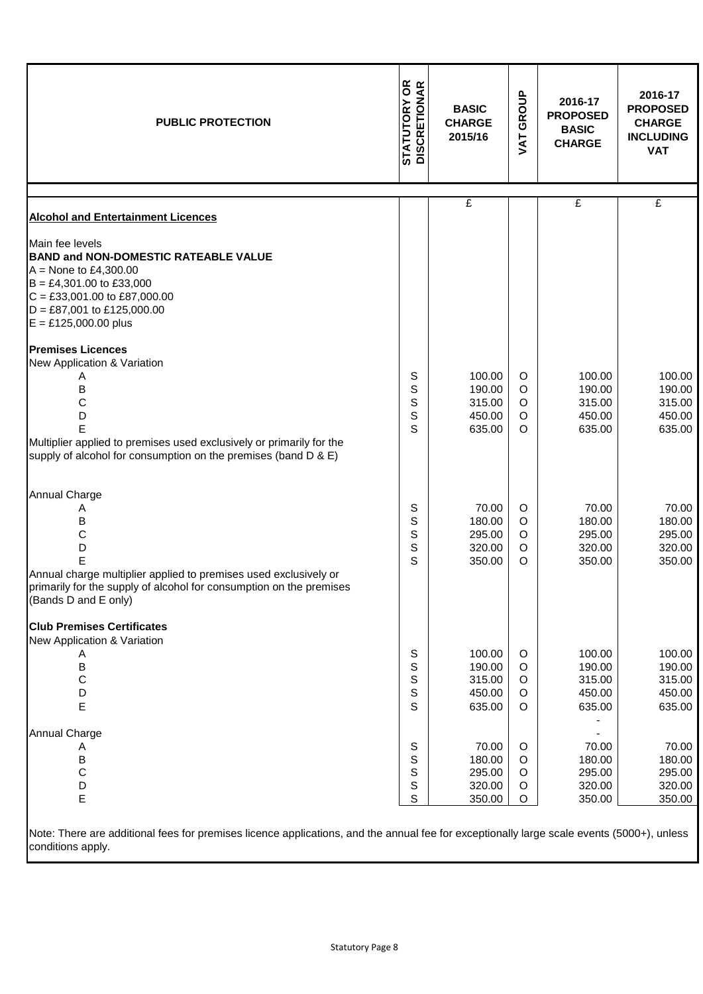| <b>PUBLIC PROTECTION</b>                                                                                                                                                                                                                                         | <b>STATUTORY OR<br/>DISCRETIONAR</b> | <b>BASIC</b><br><b>CHARGE</b><br>2015/16       | GROUP<br>JAT                                  | 2016-17<br><b>PROPOSED</b><br><b>BASIC</b><br><b>CHARGE</b> | 2016-17<br><b>PROPOSED</b><br><b>CHARGE</b><br><b>INCLUDING</b><br><b>VAT</b> |
|------------------------------------------------------------------------------------------------------------------------------------------------------------------------------------------------------------------------------------------------------------------|--------------------------------------|------------------------------------------------|-----------------------------------------------|-------------------------------------------------------------|-------------------------------------------------------------------------------|
|                                                                                                                                                                                                                                                                  |                                      | $\overline{f}$                                 |                                               | £                                                           | £                                                                             |
| <b>Alcohol and Entertainment Licences</b>                                                                                                                                                                                                                        |                                      |                                                |                                               |                                                             |                                                                               |
| Main fee levels<br><b>BAND and NON-DOMESTIC RATEABLE VALUE</b><br>$A =$ None to £4,300.00<br>$B = \text{\pounds}4,301.00$ to £33,000<br>$C = \text{\textsterling}33,001.00$ to £87,000.00<br>$D = \text{\pounds}87,001$ to £125,000.00<br>$E = £125,000.00$ plus |                                      |                                                |                                               |                                                             |                                                                               |
| <b>Premises Licences</b><br>New Application & Variation<br>Α<br>В<br>С<br>D<br>E<br>Multiplier applied to premises used exclusively or primarily for the<br>supply of alcohol for consumption on the premises (band D & E)                                       | S<br>S<br>S<br>S<br>S                | 100.00<br>190.00<br>315.00<br>450.00<br>635.00 | O<br>$\circ$<br>O<br>O<br>O                   | 100.00<br>190.00<br>315.00<br>450.00<br>635.00              | 100.00<br>190.00<br>315.00<br>450.00<br>635.00                                |
| <b>Annual Charge</b><br>Α<br>В<br>C<br>D<br>E<br>Annual charge multiplier applied to premises used exclusively or<br>primarily for the supply of alcohol for consumption on the premises<br>(Bands D and E only)                                                 | S<br>S<br>S<br>S<br>S                | 70.00<br>180.00<br>295.00<br>320.00<br>350.00  | O<br>O<br>O<br>$\circ$<br>$\circ$             | 70.00<br>180.00<br>295.00<br>320.00<br>350.00               | 70.00<br>180.00<br>295.00<br>320.00<br>350.00                                 |
| <b>Club Premises Certificates</b><br>New Application & Variation<br>A<br>$\sf B$<br>С<br>D<br>Е                                                                                                                                                                  | S<br>S<br>S<br>S<br>S                | 100.00<br>190.00<br>315.00<br>450.00<br>635.00 | O<br>O<br>O<br>$\circ$<br>O                   | 100.00<br>190.00<br>315.00<br>450.00<br>635.00              | 100.00<br>190.00<br>315.00<br>450.00<br>635.00                                |
| <b>Annual Charge</b><br>A<br>B<br>$\mathsf C$<br>D<br>E<br>Note: There are additional fees for premises licence applications, and the annual fee for exceptionally large scale events (5000+), unless                                                            | S<br>S<br>S<br>S<br>S                | 70.00<br>180.00<br>295.00<br>320.00<br>350.00  | $\circ$<br>$\circ$<br>O<br>$\circ$<br>$\circ$ | 70.00<br>180.00<br>295.00<br>320.00<br>350.00               | 70.00<br>180.00<br>295.00<br>320.00<br>350.00                                 |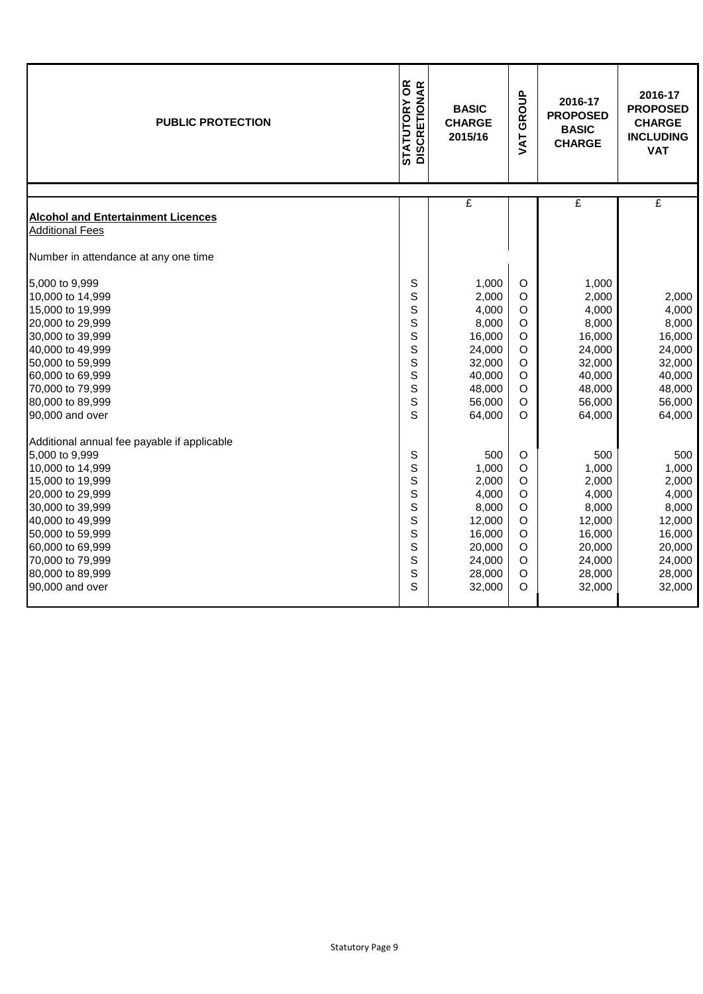| <b>PUBLIC PROTECTION</b>                    | <b>STATUTORY OR<br/>DISCRETIONAR</b> | GROUP<br><b>BASIC</b><br><b>CHARGE</b><br>2015/16<br>VAT |                    | 2016-17<br><b>PROPOSED</b><br><b>BASIC</b><br><b>CHARGE</b> | 2016-17<br><b>PROPOSED</b><br><b>CHARGE</b><br><b>INCLUDING</b><br><b>VAT</b> |
|---------------------------------------------|--------------------------------------|----------------------------------------------------------|--------------------|-------------------------------------------------------------|-------------------------------------------------------------------------------|
|                                             |                                      | £                                                        |                    | £                                                           | £                                                                             |
| <b>Alcohol and Entertainment Licences</b>   |                                      |                                                          |                    |                                                             |                                                                               |
| <b>Additional Fees</b>                      |                                      |                                                          |                    |                                                             |                                                                               |
| Number in attendance at any one time        |                                      |                                                          |                    |                                                             |                                                                               |
| 5,000 to 9,999                              | S                                    | 1,000                                                    | O                  | 1,000                                                       |                                                                               |
| 10,000 to 14,999                            | S                                    | 2,000                                                    | $\circ$            | 2,000                                                       | 2,000                                                                         |
| 15,000 to 19,999                            | S                                    | 4,000                                                    | $\circ$            | 4,000                                                       | 4,000                                                                         |
| 20,000 to 29,999                            | S                                    | 8,000                                                    | $\mathsf O$        | 8,000                                                       | 8,000                                                                         |
| 30,000 to 39,999                            | S                                    | 16,000                                                   | $\circ$            | 16,000                                                      | 16,000                                                                        |
| 40,000 to 49,999                            | S                                    | 24,000                                                   | $\circ$            | 24,000                                                      | 24,000                                                                        |
| 50,000 to 59,999                            | S                                    | 32,000                                                   | $\circ$            | 32,000                                                      | 32,000                                                                        |
| 60,000 to 69,999                            | S                                    | 40,000                                                   | $\circ$            | 40,000                                                      | 40,000                                                                        |
| 70,000 to 79,999                            | S                                    | 48,000                                                   | $\mathsf O$        | 48,000                                                      | 48,000                                                                        |
| 80,000 to 89,999                            | S                                    | 56,000                                                   | $\circ$            | 56,000                                                      | 56,000                                                                        |
| 90,000 and over                             | S                                    | 64,000                                                   | $\circ$            | 64,000                                                      | 64,000                                                                        |
| Additional annual fee payable if applicable |                                      |                                                          |                    |                                                             |                                                                               |
| 5,000 to 9,999                              | S                                    | 500                                                      | $\circ$            | 500                                                         | 500                                                                           |
| 10,000 to 14,999                            | S                                    | 1,000                                                    | $\circ$            | 1,000                                                       | 1,000                                                                         |
| 15,000 to 19,999                            | S                                    | 2,000                                                    | $\circ$            | 2,000                                                       | 2,000                                                                         |
| 20,000 to 29,999                            | S                                    | 4,000                                                    | $\circ$            | 4,000                                                       | 4,000                                                                         |
| 30,000 to 39,999                            | S                                    | 8,000                                                    | $\circ$            | 8,000                                                       | 8,000                                                                         |
| 40,000 to 49,999                            | S                                    | 12,000                                                   | $\mathsf O$        | 12,000                                                      | 12,000                                                                        |
| 50,000 to 59,999                            | S                                    | 16,000                                                   | $\circ$            | 16,000                                                      | 16,000                                                                        |
| 60,000 to 69,999                            | S                                    | 20,000                                                   | $\mathsf O$        | 20,000                                                      | 20,000                                                                        |
| 70,000 to 79,999<br>80,000 to 89,999        | S<br>S                               | 24,000<br>28,000                                         | $\circ$<br>$\circ$ | 24,000<br>28,000                                            | 24,000<br>28,000                                                              |
| 90,000 and over                             | S                                    | 32,000                                                   | O                  | 32,000                                                      | 32,000                                                                        |
|                                             |                                      |                                                          |                    |                                                             |                                                                               |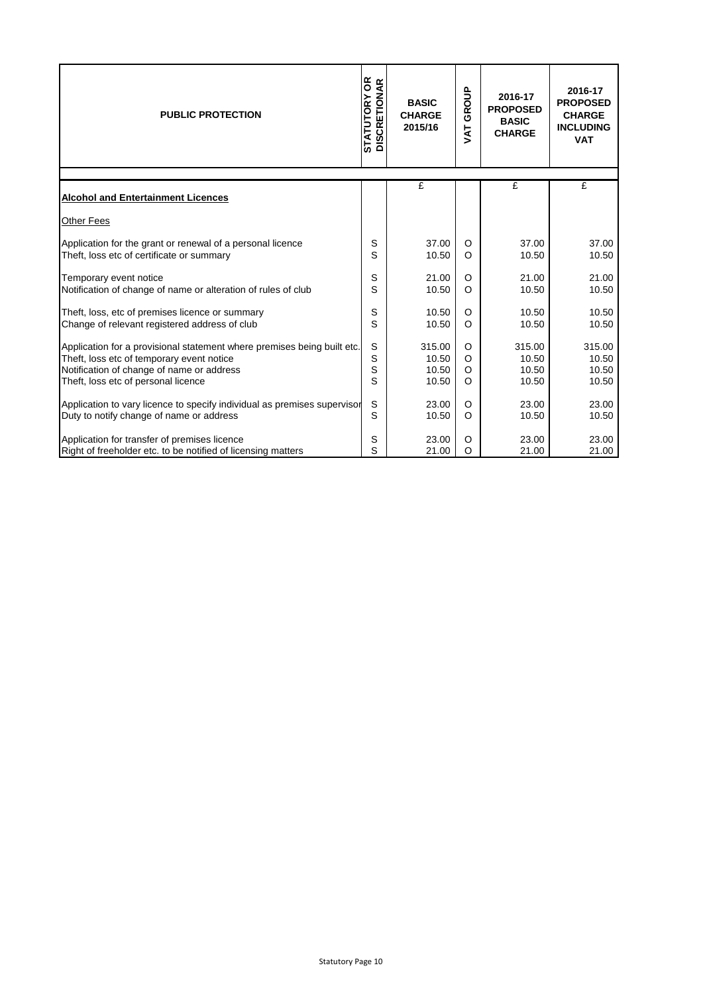| <b>PUBLIC PROTECTION</b>                                                 | <b>STATUTORY OR<br/>DISCRETIONAR</b> | <b>BASIC</b><br><b>CHARGE</b><br>2015/16 | $rac{a}{2}$<br>Ğ<br>TAV | 2016-17<br><b>PROPOSED</b><br><b>BASIC</b><br><b>CHARGE</b> | 2016-17<br><b>PROPOSED</b><br><b>CHARGE</b><br><b>INCLUDING</b><br><b>VAT</b> |
|--------------------------------------------------------------------------|--------------------------------------|------------------------------------------|-------------------------|-------------------------------------------------------------|-------------------------------------------------------------------------------|
|                                                                          |                                      | £                                        |                         | £                                                           | £                                                                             |
| <b>Alcohol and Entertainment Licences</b>                                |                                      |                                          |                         |                                                             |                                                                               |
| Other Fees                                                               |                                      |                                          |                         |                                                             |                                                                               |
| Application for the grant or renewal of a personal licence               | S                                    | 37.00                                    | $\circ$                 | 37.00                                                       | 37.00                                                                         |
| Theft, loss etc of certificate or summary                                | S                                    | 10.50                                    | $\circ$                 | 10.50                                                       | 10.50                                                                         |
| Temporary event notice                                                   | S                                    | 21.00                                    | $\circ$                 | 21.00                                                       | 21.00                                                                         |
| Notification of change of name or alteration of rules of club            | S                                    | 10.50                                    | $\circ$                 | 10.50                                                       | 10.50                                                                         |
| Theft, loss, etc of premises licence or summary                          | S                                    | 10.50                                    | $\circ$                 | 10.50                                                       | 10.50                                                                         |
| Change of relevant registered address of club                            | S                                    | 10.50                                    | $\Omega$                | 10.50                                                       | 10.50                                                                         |
| Application for a provisional statement where premises being built etc.  | S                                    | 315.00                                   | $\circ$                 | 315.00                                                      | 315.00                                                                        |
| Theft, loss etc of temporary event notice                                | S                                    | 10.50                                    | $\circ$                 | 10.50                                                       | 10.50                                                                         |
| Notification of change of name or address                                | S                                    | 10.50                                    | $\circ$                 | 10.50                                                       | 10.50                                                                         |
| Theft, loss etc of personal licence                                      | S                                    | 10.50                                    | $\circ$                 | 10.50                                                       | 10.50                                                                         |
| Application to vary licence to specify individual as premises supervisor | $\mathsf S$                          | 23.00                                    | O                       | 23.00                                                       | 23.00                                                                         |
| Duty to notify change of name or address                                 | S                                    | 10.50                                    | $\circ$                 | 10.50                                                       | 10.50                                                                         |
| Application for transfer of premises licence                             | S                                    | 23.00                                    | O                       | 23.00                                                       | 23.00                                                                         |
| Right of freeholder etc. to be notified of licensing matters             | S                                    | 21.00                                    | $\circ$                 | 21.00                                                       | 21.00                                                                         |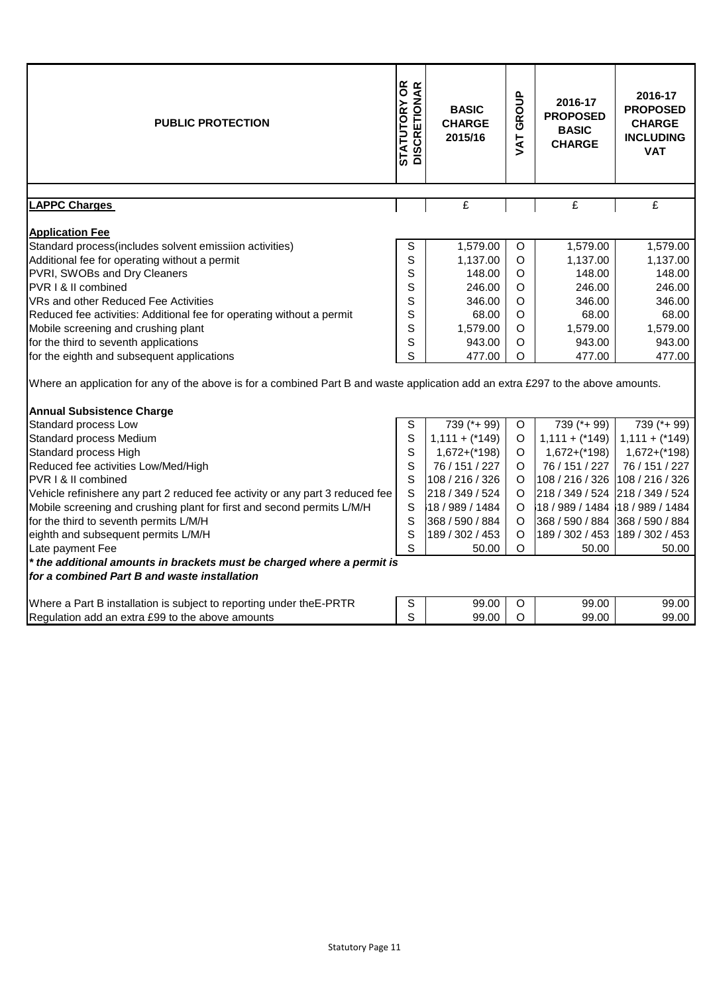| <b>PUBLIC PROTECTION</b>                                                                                                         | <b>STATUTORY OR<br/>DISCRETIONAR</b> | <b>BASIC</b><br><b>CHARGE</b><br>2015/16 | GROUP<br><b>TAT</b> | 2016-17<br><b>PROPOSED</b><br><b>BASIC</b><br><b>CHARGE</b> | 2016-17<br><b>PROPOSED</b><br><b>CHARGE</b><br><b>INCLUDING</b><br><b>VAT</b> |
|----------------------------------------------------------------------------------------------------------------------------------|--------------------------------------|------------------------------------------|---------------------|-------------------------------------------------------------|-------------------------------------------------------------------------------|
| <b>LAPPC Charges</b>                                                                                                             |                                      | £                                        |                     | £                                                           | £                                                                             |
|                                                                                                                                  |                                      |                                          |                     |                                                             |                                                                               |
| <b>Application Fee</b>                                                                                                           |                                      |                                          |                     |                                                             |                                                                               |
| Standard process(includes solvent emissiion activities)                                                                          | S                                    | 1,579.00                                 | $\circ$             | 1,579.00                                                    | 1,579.00                                                                      |
| Additional fee for operating without a permit                                                                                    | S                                    | 1,137.00                                 | $\circ$             | 1,137.00                                                    | 1,137.00                                                                      |
| PVRI, SWOBs and Dry Cleaners                                                                                                     | S                                    | 148.00                                   | $\circ$             | 148.00                                                      | 148.00                                                                        |
| PVR I & II combined                                                                                                              | S                                    | 246.00                                   | O                   | 246.00                                                      | 246.00                                                                        |
| VRs and other Reduced Fee Activities                                                                                             | S                                    | 346.00                                   | $\circ$             | 346.00                                                      | 346.00                                                                        |
| Reduced fee activities: Additional fee for operating without a permit                                                            | S                                    | 68.00                                    | $\circ$             | 68.00                                                       | 68.00                                                                         |
| Mobile screening and crushing plant                                                                                              | S                                    | 1,579.00                                 | O                   | 1,579.00                                                    | 1,579.00                                                                      |
| for the third to seventh applications                                                                                            | S                                    | 943.00                                   | O                   | 943.00                                                      | 943.00                                                                        |
| for the eighth and subsequent applications                                                                                       | S                                    | 477.00                                   | O                   | 477.00                                                      | 477.00                                                                        |
| Where an application for any of the above is for a combined Part B and waste application add an extra £297 to the above amounts. |                                      |                                          |                     |                                                             |                                                                               |
| <b>Annual Subsistence Charge</b>                                                                                                 |                                      |                                          |                     |                                                             |                                                                               |
| Standard process Low                                                                                                             | S                                    | 739 (*+99)                               | $\circ$             | $\overline{7}39$ (*+ 99)                                    | 739 (*+ 99)                                                                   |
| Standard process Medium                                                                                                          | $\mathbf S$                          | $1,111 + (*149)$                         | $\circ$             | $1,111 + (*149)$                                            | $1,111 + (*149)$                                                              |
| Standard process High                                                                                                            | S                                    | $1,672+(*198)$                           | $\circ$             | $1,672+(198)$                                               | $1,672+(*198)$                                                                |
| Reduced fee activities Low/Med/High                                                                                              | S                                    | 76 / 151 / 227                           | O                   | 76 / 151 / 227                                              | 76 / 151 / 227                                                                |
| PVR I & II combined                                                                                                              | S                                    | 108 / 216 / 326                          | $\circ$             | 108 / 216 / 326                                             | 108 / 216 / 326                                                               |
| Vehicle refinishere any part 2 reduced fee activity or any part 3 reduced fee                                                    | S                                    | 218 / 349 / 524                          | O                   | 218 / 349 / 524                                             | 218 / 349 / 524                                                               |
| Mobile screening and crushing plant for first and second permits L/M/H                                                           | S                                    | 18 / 989 / 1484                          | $\circ$             | 18 / 989 / 1484 18 / 989 / 1484                             |                                                                               |
| for the third to seventh permits L/M/H                                                                                           | S                                    | 368 / 590 / 884                          | O                   | 368 / 590 / 884                                             | 368 / 590 / 884                                                               |
| eighth and subsequent permits L/M/H                                                                                              | S                                    | 189 / 302 / 453                          | $\circ$             | 189 / 302 / 453                                             | 189 / 302 / 453                                                               |
| Late payment Fee                                                                                                                 | S                                    | 50.00                                    | O                   | 50.00                                                       | 50.00                                                                         |
| * the additional amounts in brackets must be charged where a permit is<br>for a combined Part B and waste installation           |                                      |                                          |                     |                                                             |                                                                               |
| Where a Part B installation is subject to reporting under the E-PRTR                                                             | S                                    | 99.00                                    | $\circ$             | 99.00                                                       | 99.00                                                                         |
| Regulation add an extra £99 to the above amounts                                                                                 | S                                    | 99.00                                    | $\circ$             | 99.00                                                       | 99.00                                                                         |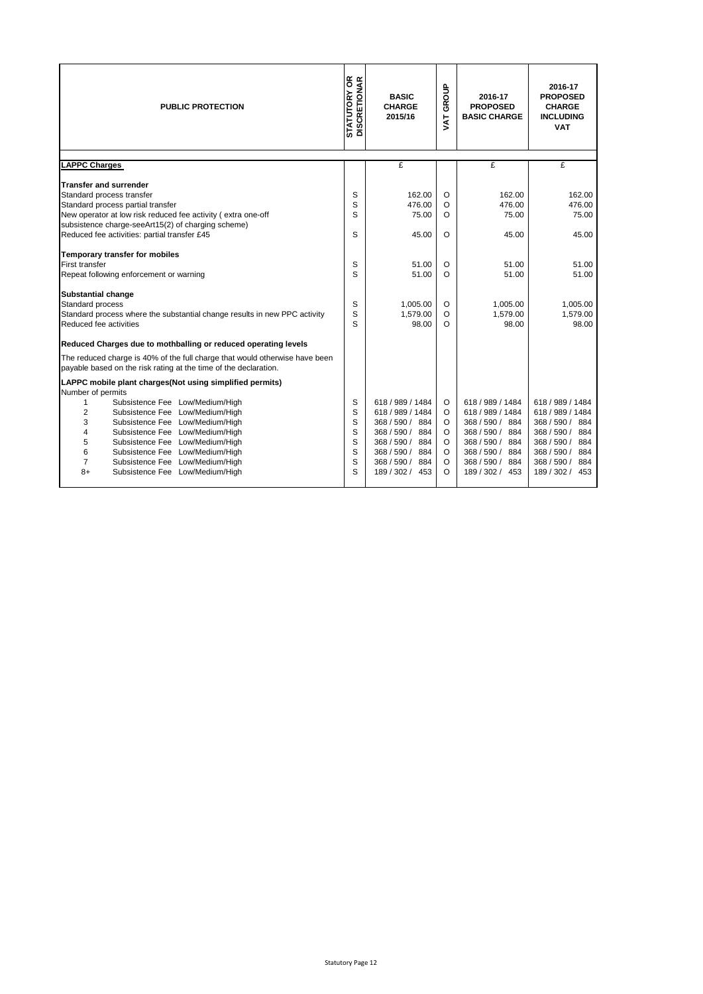| <b>STATUTORY OR</b><br>DISCRETIONAR<br><b>PUBLIC PROTECTION</b>                                                                                      |             | <b>BASIC</b><br><b>CHARGE</b><br>2015/16 | GROUP<br>$\overline{\mathbf{X}}$ | 2016-17<br><b>PROPOSED</b><br><b>BASIC CHARGE</b> | 2016-17<br><b>PROPOSED</b><br><b>CHARGE</b><br><b>INCLUDING</b><br><b>VAT</b> |
|------------------------------------------------------------------------------------------------------------------------------------------------------|-------------|------------------------------------------|----------------------------------|---------------------------------------------------|-------------------------------------------------------------------------------|
| <b>LAPPC Charges</b>                                                                                                                                 |             | £                                        |                                  | £                                                 | £                                                                             |
| <b>Transfer and surrender</b>                                                                                                                        |             |                                          |                                  |                                                   |                                                                               |
| Standard process transfer                                                                                                                            | S           | 162.00                                   | $\circ$                          | 162.00                                            | 162.00                                                                        |
| Standard process partial transfer                                                                                                                    | S           | 476.00                                   | O                                | 476.00                                            | 476.00                                                                        |
| New operator at low risk reduced fee activity (extra one-off                                                                                         | S           | 75.00                                    | O                                | 75.00                                             | 75.00                                                                         |
| subsistence charge-seeArt15(2) of charging scheme)                                                                                                   |             |                                          |                                  |                                                   |                                                                               |
| Reduced fee activities: partial transfer £45                                                                                                         | S           | 45.00                                    | $\Omega$                         | 45.00                                             | 45.00                                                                         |
| Temporary transfer for mobiles                                                                                                                       |             |                                          |                                  |                                                   |                                                                               |
| First transfer                                                                                                                                       | S           | 51.00                                    | O                                | 51.00                                             | 51.00                                                                         |
| Repeat following enforcement or warning                                                                                                              | S           | 51.00                                    | $\Omega$                         | 51.00                                             | 51.00                                                                         |
| <b>Substantial change</b><br>Standard process<br>Standard process where the substantial change results in new PPC activity<br>Reduced fee activities | S<br>S<br>S | 1.005.00<br>1.579.00<br>98.00            | $\circ$<br>O<br>O                | 1.005.00<br>1.579.00<br>98.00                     | 1.005.00<br>1.579.00<br>98.00                                                 |
| Reduced Charges due to mothballing or reduced operating levels                                                                                       |             |                                          |                                  |                                                   |                                                                               |
| The reduced charge is 40% of the full charge that would otherwise have been<br>payable based on the risk rating at the time of the declaration.      |             |                                          |                                  |                                                   |                                                                               |
| LAPPC mobile plant charges(Not using simplified permits)<br>Number of permits                                                                        |             |                                          |                                  |                                                   |                                                                               |
| Subsistence Fee Low/Medium/High<br>1                                                                                                                 | S           | 618 / 989 / 1484                         | $\circ$                          | 618 / 989 / 1484                                  | 618 / 989 / 1484                                                              |
| $\overline{2}$<br>Subsistence Fee Low/Medium/High                                                                                                    | S           | 618 / 989 / 1484                         | $\circ$                          | 618 / 989 / 1484                                  | 618 / 989 / 1484                                                              |
| 3<br>Subsistence Fee Low/Medium/High                                                                                                                 | S           | 368/590/884                              | $\circ$                          | 368/590/<br>884                                   | 368/590/<br>884                                                               |
| 4<br>Subsistence Fee<br>Low/Medium/High                                                                                                              | S           | 368 / 590 / 884                          | $\circ$                          | 368 / 590 / 884                                   | 368 / 590 / 884                                                               |
| 5<br>Subsistence Fee<br>Low/Medium/High<br>6<br>Subsistence Fee Low/Medium/High                                                                      | S<br>S      | 368 / 590 /<br>884<br>368/590/<br>884    | $\circ$<br>$\circ$               | 368 / 590 /<br>884<br>368 / 590 / 884             | 368/590/<br>884<br>368/590/<br>884                                            |
| $\overline{7}$<br>Subsistence Fee Low/Medium/High                                                                                                    | S           | 368/590/<br>884                          | $\Omega$                         | 368 / 590 /<br>884                                | 368/590/<br>884                                                               |
| $8+$<br>Subsistence Fee Low/Medium/High                                                                                                              | S           | 189 / 302 / 453                          | O                                | 189 / 302 / 453                                   | 189 / 302 / 453                                                               |
|                                                                                                                                                      |             |                                          |                                  |                                                   |                                                                               |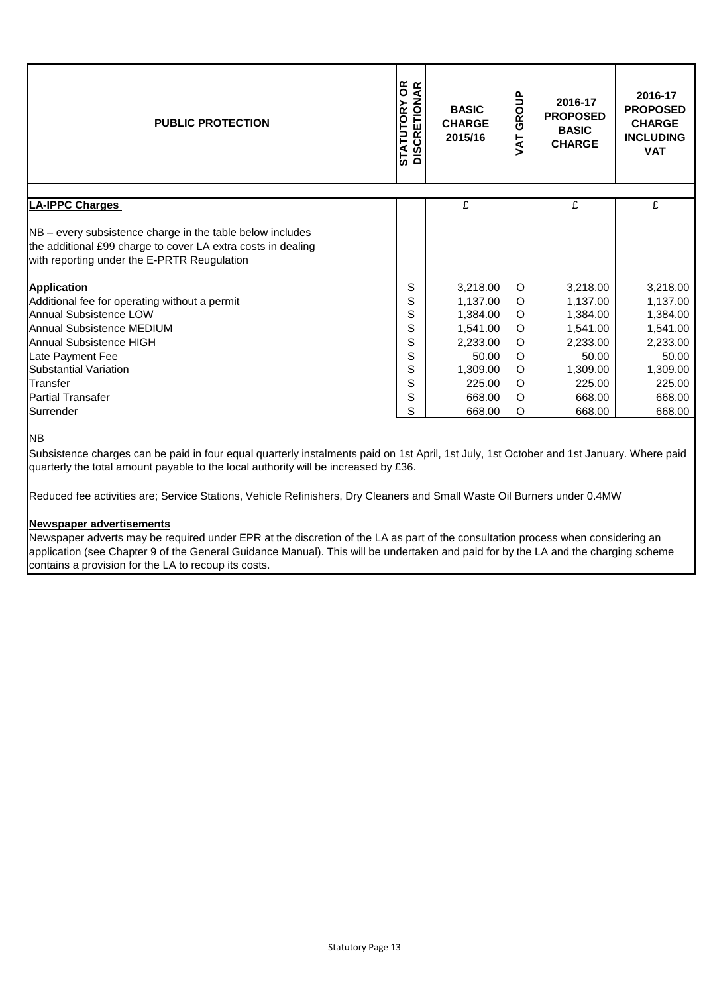| <b>PUBLIC PROTECTION</b>                                                                                                                                                 | OR<br>AR<br>ETION.<br><b>STATUTORY</b><br><b>BASIC</b><br><b>CHARGE</b><br><b>DISCRI</b><br>2015/16 |          | GROUP<br>TAV | 2016-17<br><b>PROPOSED</b><br><b>BASIC</b><br><b>CHARGE</b> | 2016-17<br><b>PROPOSED</b><br><b>CHARGE</b><br><b>INCLUDING</b><br><b>VAT</b> |
|--------------------------------------------------------------------------------------------------------------------------------------------------------------------------|-----------------------------------------------------------------------------------------------------|----------|--------------|-------------------------------------------------------------|-------------------------------------------------------------------------------|
| <b>LA-IPPC Charges</b>                                                                                                                                                   |                                                                                                     | £        |              | £                                                           | £                                                                             |
| NB – every subsistence charge in the table below includes<br>the additional £99 charge to cover LA extra costs in dealing<br>with reporting under the E-PRTR Reugulation |                                                                                                     |          |              |                                                             |                                                                               |
| Application                                                                                                                                                              | S                                                                                                   | 3,218.00 | $\circ$      | 3,218.00                                                    | 3,218.00                                                                      |
| Additional fee for operating without a permit                                                                                                                            | S                                                                                                   | 1,137.00 | $\circ$      | 1,137.00                                                    | 1,137.00                                                                      |
| <b>Annual Subsistence LOW</b>                                                                                                                                            | S                                                                                                   | 1,384.00 | $\Omega$     | 1,384.00                                                    | 1,384.00                                                                      |
| <b>Annual Subsistence MEDIUM</b>                                                                                                                                         | S                                                                                                   | 1,541.00 | O            | 1,541.00                                                    | 1,541.00                                                                      |
| Annual Subsistence HIGH                                                                                                                                                  | S                                                                                                   | 2,233.00 | O            | 2,233.00                                                    | 2,233.00                                                                      |
| Late Payment Fee                                                                                                                                                         | S                                                                                                   | 50.00    | O            | 50.00                                                       | 50.00                                                                         |
| <b>Substantial Variation</b>                                                                                                                                             | S                                                                                                   | 1,309.00 | $\circ$      | 1,309.00                                                    | 1,309.00                                                                      |
| Transfer                                                                                                                                                                 | S                                                                                                   | 225.00   | $\Omega$     | 225.00                                                      | 225.00                                                                        |
| <b>Partial Transafer</b>                                                                                                                                                 | S                                                                                                   | 668.00   | $\circ$      | 668.00                                                      | 668.00                                                                        |
| Surrender                                                                                                                                                                | S                                                                                                   | 668.00   | O            | 668.00                                                      | 668.00                                                                        |

NB

Subsistence charges can be paid in four equal quarterly instalments paid on 1st April, 1st July, 1st October and 1st January. Where paid quarterly the total amount payable to the local authority will be increased by £36.

Reduced fee activities are; Service Stations, Vehicle Refinishers, Dry Cleaners and Small Waste Oil Burners under 0.4MW

### **Newspaper advertisements**

Newspaper adverts may be required under EPR at the discretion of the LA as part of the consultation process when considering an application (see Chapter 9 of the General Guidance Manual). This will be undertaken and paid for by the LA and the charging scheme contains a provision for the LA to recoup its costs.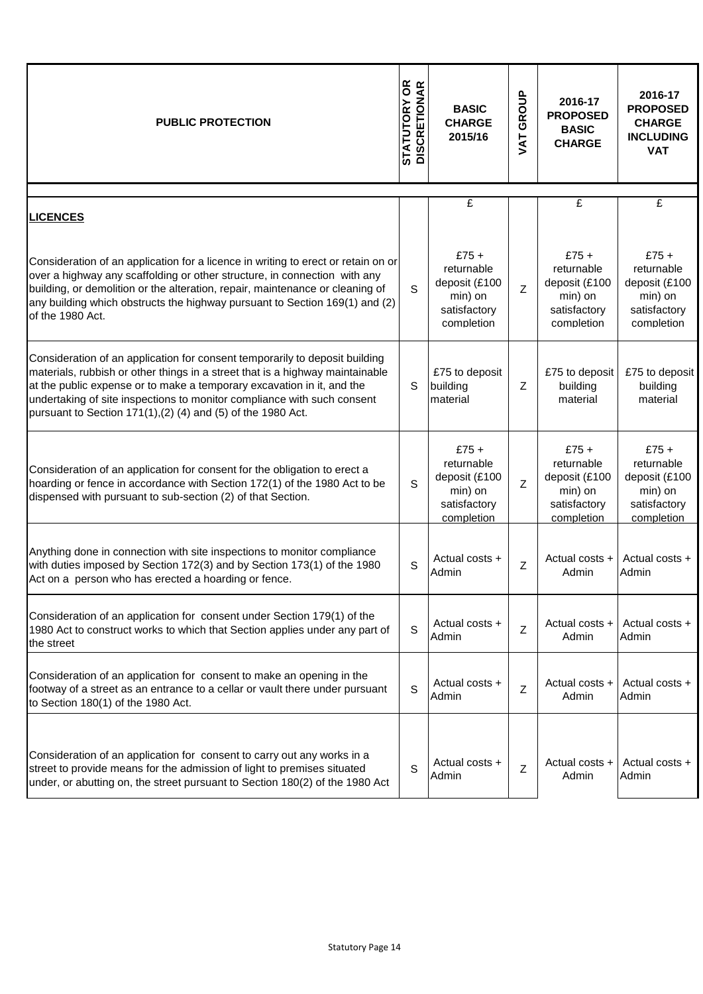| <b>PUBLIC PROTECTION</b>                                                                                                                                                                                                                                                                                                                                                          | <b>STATUTORY OR<br/>DISCRETIONAR</b> | <b>BASIC</b><br><b>CHARGE</b><br>2015/16                                       | <b>VAT GROUP</b> | 2016-17<br><b>PROPOSED</b><br><b>BASIC</b><br><b>CHARGE</b>                    | 2016-17<br><b>PROPOSED</b><br><b>CHARGE</b><br><b>INCLUDING</b><br><b>VAT</b>  |
|-----------------------------------------------------------------------------------------------------------------------------------------------------------------------------------------------------------------------------------------------------------------------------------------------------------------------------------------------------------------------------------|--------------------------------------|--------------------------------------------------------------------------------|------------------|--------------------------------------------------------------------------------|--------------------------------------------------------------------------------|
| <b>LICENCES</b>                                                                                                                                                                                                                                                                                                                                                                   |                                      | $\mathbf{E}$                                                                   |                  | £                                                                              | $\overline{f}$                                                                 |
| Consideration of an application for a licence in writing to erect or retain on or<br>over a highway any scaffolding or other structure, in connection with any<br>building, or demolition or the alteration, repair, maintenance or cleaning of<br>any building which obstructs the highway pursuant to Section 169(1) and (2)<br>of the 1980 Act.                                | S                                    | $£75+$<br>returnable<br>deposit (£100<br>min) on<br>satisfactory<br>completion | Ζ                | $£75+$<br>returnable<br>deposit (£100<br>min) on<br>satisfactory<br>completion | $£75+$<br>returnable<br>deposit (£100<br>min) on<br>satisfactory<br>completion |
| Consideration of an application for consent temporarily to deposit building<br>materials, rubbish or other things in a street that is a highway maintainable<br>at the public expense or to make a temporary excavation in it, and the<br>undertaking of site inspections to monitor compliance with such consent<br>pursuant to Section 171(1), (2) (4) and (5) of the 1980 Act. | S                                    | £75 to deposit<br>building<br>material                                         | Z                | £75 to deposit<br>building<br>material                                         | £75 to deposit<br>building<br>material                                         |
| Consideration of an application for consent for the obligation to erect a<br>hoarding or fence in accordance with Section 172(1) of the 1980 Act to be<br>dispensed with pursuant to sub-section (2) of that Section.                                                                                                                                                             | S                                    | $£75+$<br>returnable<br>deposit (£100<br>min) on<br>satisfactory<br>completion | Z                | $£75+$<br>returnable<br>deposit (£100<br>min) on<br>satisfactory<br>completion | $£75+$<br>returnable<br>deposit (£100<br>min) on<br>satisfactory<br>completion |
| Anything done in connection with site inspections to monitor compliance<br>with duties imposed by Section 172(3) and by Section 173(1) of the 1980<br>Act on a person who has erected a hoarding or fence.                                                                                                                                                                        | $\mathbf S$                          | Actual costs +<br>Admin                                                        | Z                | Actual costs +<br>Admin                                                        | Actual costs +<br>Admin                                                        |
| Consideration of an application for consent under Section 179(1) of the<br>1980 Act to construct works to which that Section applies under any part of<br>the street                                                                                                                                                                                                              | S                                    | Actual costs +<br>Admin                                                        | Z                | Actual costs +<br>Admin                                                        | Actual costs +<br>Admin                                                        |
| Consideration of an application for consent to make an opening in the<br>footway of a street as an entrance to a cellar or vault there under pursuant<br>to Section 180(1) of the 1980 Act.                                                                                                                                                                                       | S                                    | Actual costs +<br>Admin                                                        | Z                | Actual costs +<br>Admin                                                        | Actual costs +<br>Admin                                                        |
| Consideration of an application for consent to carry out any works in a<br>street to provide means for the admission of light to premises situated<br>under, or abutting on, the street pursuant to Section 180(2) of the 1980 Act                                                                                                                                                | S                                    | Actual costs +<br>Admin                                                        | Z                | Actual costs +<br>Admin                                                        | Actual costs +<br>Admin                                                        |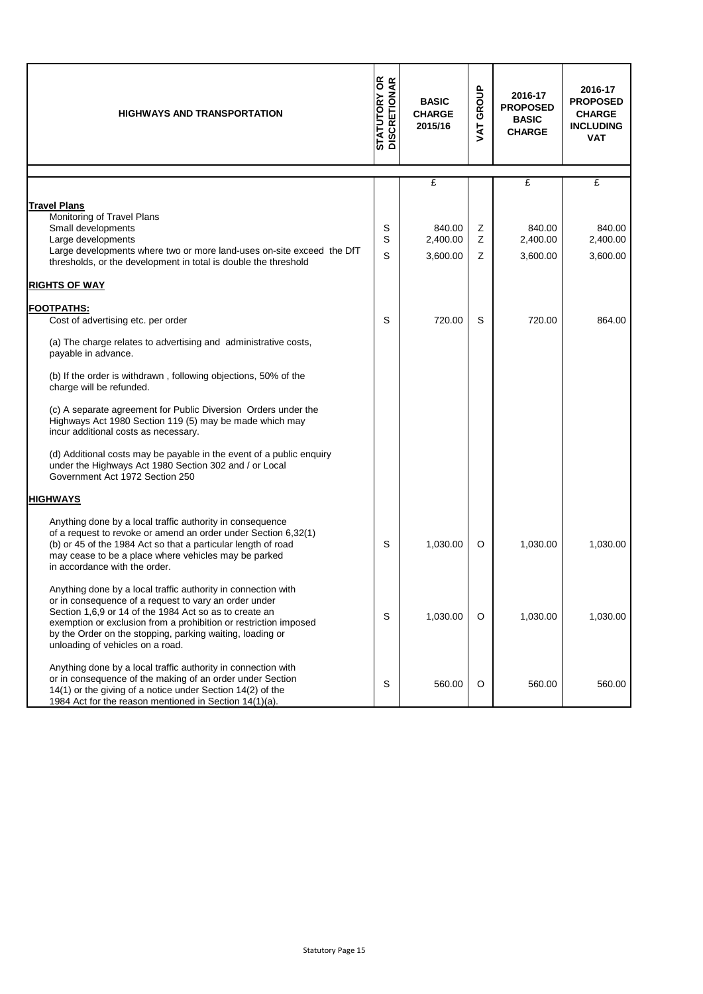| <b>HIGHWAYS AND TRANSPORTATION</b>                                                                                                                                                                                                                                                                                                                    | <b>STATUTORY OR</b><br>DISCRETIONAR | <b>BASIC</b><br><b>CHARGE</b><br>2015/16 | <b>VAT GROUP</b> | 2016-17<br><b>PROPOSED</b><br><b>BASIC</b><br><b>CHARGE</b> | 2016-17<br><b>PROPOSED</b><br><b>CHARGE</b><br><b>INCLUDING</b><br><b>VAT</b> |
|-------------------------------------------------------------------------------------------------------------------------------------------------------------------------------------------------------------------------------------------------------------------------------------------------------------------------------------------------------|-------------------------------------|------------------------------------------|------------------|-------------------------------------------------------------|-------------------------------------------------------------------------------|
|                                                                                                                                                                                                                                                                                                                                                       |                                     | £                                        |                  | £                                                           | £                                                                             |
| <b>Travel Plans</b><br>Monitoring of Travel Plans<br>Small developments<br>Large developments<br>Large developments where two or more land-uses on-site exceed the DfT<br>thresholds, or the development in total is double the threshold<br><b>RIGHTS OF WAY</b>                                                                                     | S<br>S<br>S                         | 840.00<br>2,400.00<br>3,600.00           | Z<br>Z<br>Ζ      | 840.00<br>2,400.00<br>3,600.00                              | 840.00<br>2,400.00<br>3,600.00                                                |
|                                                                                                                                                                                                                                                                                                                                                       |                                     |                                          |                  |                                                             |                                                                               |
| <b>FOOTPATHS:</b><br>Cost of advertising etc. per order                                                                                                                                                                                                                                                                                               | S                                   | 720.00                                   | S                | 720.00                                                      | 864.00                                                                        |
| (a) The charge relates to advertising and administrative costs,<br>payable in advance.                                                                                                                                                                                                                                                                |                                     |                                          |                  |                                                             |                                                                               |
| (b) If the order is withdrawn, following objections, 50% of the<br>charge will be refunded.                                                                                                                                                                                                                                                           |                                     |                                          |                  |                                                             |                                                                               |
| (c) A separate agreement for Public Diversion Orders under the<br>Highways Act 1980 Section 119 (5) may be made which may<br>incur additional costs as necessary.                                                                                                                                                                                     |                                     |                                          |                  |                                                             |                                                                               |
| (d) Additional costs may be payable in the event of a public enquiry<br>under the Highways Act 1980 Section 302 and / or Local<br>Government Act 1972 Section 250                                                                                                                                                                                     |                                     |                                          |                  |                                                             |                                                                               |
| <b>HIGHWAYS</b>                                                                                                                                                                                                                                                                                                                                       |                                     |                                          |                  |                                                             |                                                                               |
| Anything done by a local traffic authority in consequence<br>of a request to revoke or amend an order under Section 6,32(1)<br>(b) or 45 of the 1984 Act so that a particular length of road<br>may cease to be a place where vehicles may be parked<br>in accordance with the order.                                                                 | S                                   | 1,030.00                                 | O                | 1,030.00                                                    | 1,030.00                                                                      |
| Anything done by a local traffic authority in connection with<br>or in consequence of a request to vary an order under<br>Section 1,6,9 or 14 of the 1984 Act so as to create an<br>exemption or exclusion from a prohibition or restriction imposed<br>by the Order on the stopping, parking waiting, loading or<br>unloading of vehicles on a road. | S                                   | 1,030.00                                 | O                | 1,030.00                                                    | 1,030.00                                                                      |
| Anything done by a local traffic authority in connection with<br>or in consequence of the making of an order under Section<br>14(1) or the giving of a notice under Section 14(2) of the<br>1984 Act for the reason mentioned in Section 14(1)(a).                                                                                                    | S                                   | 560.00                                   | O                | 560.00                                                      | 560.00                                                                        |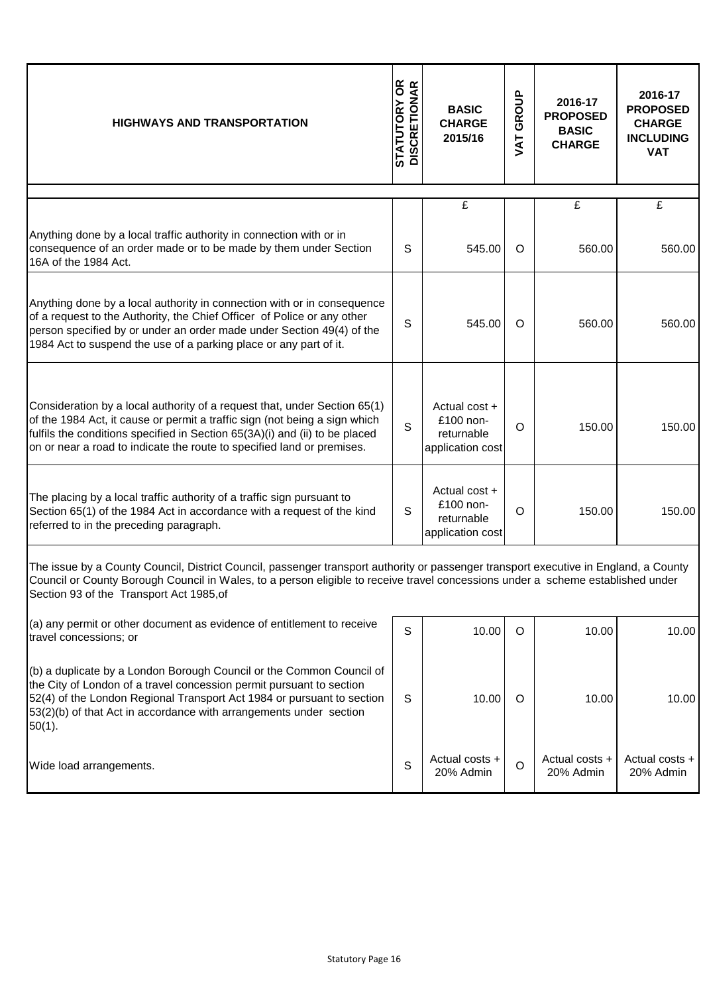| <b>HIGHWAYS AND TRANSPORTATION</b>                                                                                                                                                                                                                                                                                  | <b>STATUTORY OR<br/>DISCRETIONAR</b> | <b>BASIC</b><br><b>CHARGE</b><br>2015/16                       | GROUP<br><b>TAT</b> | 2016-17<br><b>PROPOSED</b><br><b>BASIC</b><br><b>CHARGE</b> | 2016-17<br><b>PROPOSED</b><br><b>CHARGE</b><br><b>INCLUDING</b><br><b>VAT</b> |
|---------------------------------------------------------------------------------------------------------------------------------------------------------------------------------------------------------------------------------------------------------------------------------------------------------------------|--------------------------------------|----------------------------------------------------------------|---------------------|-------------------------------------------------------------|-------------------------------------------------------------------------------|
|                                                                                                                                                                                                                                                                                                                     |                                      | $\overline{f}$                                                 |                     | $\overline{\mathbf{f}}$                                     | $\overline{f}$                                                                |
| Anything done by a local traffic authority in connection with or in<br>consequence of an order made or to be made by them under Section<br>16A of the 1984 Act.                                                                                                                                                     | S                                    | 545.00                                                         | $\circ$             | 560.00                                                      | 560.00                                                                        |
| Anything done by a local authority in connection with or in consequence<br>of a request to the Authority, the Chief Officer of Police or any other<br>person specified by or under an order made under Section 49(4) of the<br>1984 Act to suspend the use of a parking place or any part of it.                    | S                                    | 545.00                                                         | $\circ$             | 560.00                                                      | 560.00                                                                        |
| Consideration by a local authority of a request that, under Section 65(1)<br>of the 1984 Act, it cause or permit a traffic sign (not being a sign which<br>fulfils the conditions specified in Section 65(3A)(i) and (ii) to be placed<br>on or near a road to indicate the route to specified land or premises.    | S                                    | Actual cost $+$<br>£100 non-<br>returnable<br>application cost | $\circ$             | 150.00                                                      | 150.00                                                                        |
| The placing by a local traffic authority of a traffic sign pursuant to<br>Section 65(1) of the 1984 Act in accordance with a request of the kind<br>referred to in the preceding paragraph.                                                                                                                         | S                                    | Actual cost +<br>£100 non-<br>returnable<br>application cost   | $\circ$             | 150.00                                                      | 150.00                                                                        |
| The issue by a County Council, District Council, passenger transport authority or passenger transport executive in England, a County<br>Council or County Borough Council in Wales, to a person eligible to receive travel concessions under a scheme established under<br>Section 93 of the Transport Act 1985, of |                                      |                                                                |                     |                                                             |                                                                               |
| (a) any permit or other document as evidence of entitlement to receive<br>travel concessions; or                                                                                                                                                                                                                    | S                                    | 10.00                                                          | $\circ$             | 10.00                                                       | 10.00                                                                         |
| (b) a duplicate by a London Borough Council or the Common Council of<br>the City of London of a travel concession permit pursuant to section<br>52(4) of the London Regional Transport Act 1984 or pursuant to section<br>53(2)(b) of that Act in accordance with arrangements under section<br>$50(1)$ .           | S                                    | 10.00                                                          | $\circ$             | 10.00                                                       | 10.00                                                                         |
| Wide load arrangements.                                                                                                                                                                                                                                                                                             | S                                    | Actual costs +<br>20% Admin                                    | $\circ$             | Actual costs +<br>20% Admin                                 | Actual costs +<br>20% Admin                                                   |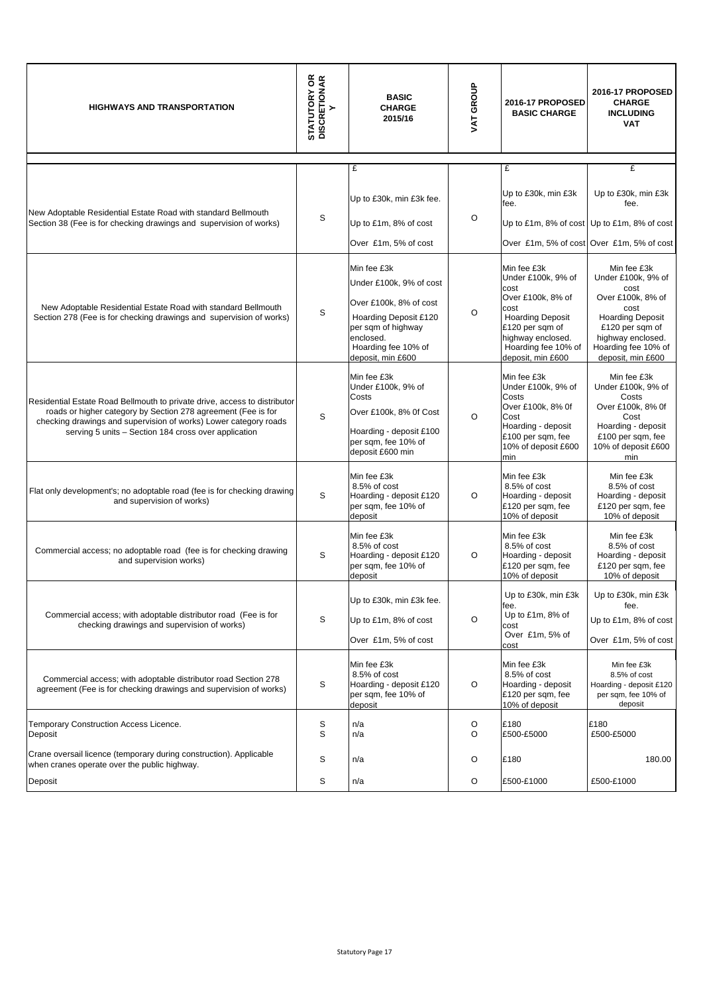| <b>HIGHWAYS AND TRANSPORTATION</b>                                                                                                                                                                                                                                     | <b>STATUTORY OR</b><br>DISCRETIONAR<br>$\succ$ | <b>BASIC</b><br><b>CHARGE</b><br>2015/16                                                                                                                                 | VAT GROUP | 2016-17 PROPOSED<br><b>BASIC CHARGE</b>                                                                                                                                               | 2016-17 PROPOSED<br><b>CHARGE</b><br><b>INCLUDING</b><br><b>VAT</b>                                                                                                                   |
|------------------------------------------------------------------------------------------------------------------------------------------------------------------------------------------------------------------------------------------------------------------------|------------------------------------------------|--------------------------------------------------------------------------------------------------------------------------------------------------------------------------|-----------|---------------------------------------------------------------------------------------------------------------------------------------------------------------------------------------|---------------------------------------------------------------------------------------------------------------------------------------------------------------------------------------|
|                                                                                                                                                                                                                                                                        |                                                | £                                                                                                                                                                        |           | £                                                                                                                                                                                     | £                                                                                                                                                                                     |
|                                                                                                                                                                                                                                                                        |                                                | Up to £30k, min £3k fee.                                                                                                                                                 |           | Up to £30k, min £3k<br>fee.                                                                                                                                                           | Up to £30k, min £3k<br>fee.                                                                                                                                                           |
| New Adoptable Residential Estate Road with standard Bellmouth<br>Section 38 (Fee is for checking drawings and supervision of works)                                                                                                                                    | S                                              | Up to £1m, 8% of cost                                                                                                                                                    | O         |                                                                                                                                                                                       | Up to £1m, 8% of cost Up to £1m, 8% of cost                                                                                                                                           |
|                                                                                                                                                                                                                                                                        |                                                | Over £1m, 5% of cost                                                                                                                                                     |           |                                                                                                                                                                                       | Over £1m, 5% of cost Over £1m, 5% of cost                                                                                                                                             |
| New Adoptable Residential Estate Road with standard Bellmouth<br>Section 278 (Fee is for checking drawings and supervision of works)                                                                                                                                   | S                                              | Min fee £3k<br>Under £100k, 9% of cost<br>Over £100k, 8% of cost<br>Hoarding Deposit £120<br>per sqm of highway<br>enclosed.<br>Hoarding fee 10% of<br>deposit, min £600 | O         | Min fee £3k<br>Under £100k, 9% of<br>cost<br>Over £100k, 8% of<br>cost<br><b>Hoarding Deposit</b><br>£120 per sqm of<br>highway enclosed.<br>Hoarding fee 10% of<br>deposit, min £600 | Min fee £3k<br>Under £100k, 9% of<br>cost<br>Over £100k, 8% of<br>cost<br><b>Hoarding Deposit</b><br>£120 per sqm of<br>highway enclosed.<br>Hoarding fee 10% of<br>deposit, min £600 |
| Residential Estate Road Bellmouth to private drive, access to distributor<br>roads or higher category by Section 278 agreement (Fee is for<br>checking drawings and supervision of works) Lower category roads<br>serving 5 units - Section 184 cross over application | S                                              | Min fee £3k<br>Under £100k, 9% of<br>Costs<br>Over £100k, 8% Of Cost<br>Hoarding - deposit £100<br>per sqm, fee 10% of<br>deposit £600 min                               | $\circ$   | Min fee £3k<br>Under £100k, 9% of<br>Costs<br>Over £100k, 8% 0f<br>Cost<br>Hoarding - deposit<br>£100 per sqm, fee<br>10% of deposit £600<br>min                                      | Min fee £3k<br>Under £100k, 9% of<br>Costs<br>Over £100k, 8% 0f<br>Cost<br>Hoarding - deposit<br>£100 per sqm, fee<br>10% of deposit £600<br>min                                      |
| Flat only development's; no adoptable road (fee is for checking drawing<br>and supervision of works)                                                                                                                                                                   | S                                              | Min fee £3k<br>8.5% of cost<br>Hoarding - deposit £120<br>per sqm, fee 10% of<br>deposit                                                                                 | O         | Min fee £3k<br>8.5% of cost<br>Hoarding - deposit<br>£120 per sqm, fee<br>10% of deposit                                                                                              | Min fee £3k<br>8.5% of cost<br>Hoarding - deposit<br>£120 per sqm, fee<br>10% of deposit                                                                                              |
| Commercial access; no adoptable road (fee is for checking drawing<br>and supervision works)                                                                                                                                                                            | S                                              | Min fee £3k<br>8.5% of cost<br>Hoarding - deposit £120<br>per sqm, fee 10% of<br>deposit                                                                                 | O         | Min fee £3k<br>8.5% of cost<br>Hoarding - deposit<br>£120 per sqm, fee<br>10% of deposit                                                                                              | Min fee £3k<br>8.5% of cost<br>Hoarding - deposit<br>£120 per sqm, fee<br>10% of deposit                                                                                              |
| Commercial access; with adoptable distributor road (Fee is for<br>checking drawings and supervision of works)                                                                                                                                                          | S                                              | Up to £30k, min £3k fee.<br>Up to £1m, 8% of cost<br>Over £1m, 5% of cost                                                                                                | O         | Up to £30k, min £3k<br>fee.<br>Up to £1m, 8% of<br>cost<br>Over £1m, 5% of<br>cost                                                                                                    | Up to £30k, min £3k<br>fee.<br>Up to £1m, 8% of cost<br>Over £1m, 5% of cost                                                                                                          |
| Commercial access; with adoptable distributor road Section 278<br>agreement (Fee is for checking drawings and supervision of works)                                                                                                                                    | S                                              | Min fee £3k<br>8.5% of cost<br>Hoarding - deposit £120<br>per sqm, fee 10% of<br>deposit                                                                                 | O         | Min fee £3k<br>8.5% of cost<br>Hoarding - deposit<br>£120 per sqm, fee<br>10% of deposit                                                                                              | Min fee £3k<br>8.5% of cost<br>Hoarding - deposit £120<br>per sqm, fee 10% of<br>deposit                                                                                              |
| <b>Temporary Construction Access Licence.</b><br>Deposit                                                                                                                                                                                                               | S<br>S                                         | n/a<br>n/a                                                                                                                                                               | O<br>O    | £180<br>£500-£5000                                                                                                                                                                    | £180<br>£500-£5000                                                                                                                                                                    |
| Crane oversail licence (temporary during construction). Applicable<br>when cranes operate over the public highway.                                                                                                                                                     | S                                              | n/a                                                                                                                                                                      | O         | £180                                                                                                                                                                                  | 180.00                                                                                                                                                                                |
| Deposit                                                                                                                                                                                                                                                                | S                                              | n/a                                                                                                                                                                      | O         | £500-£1000                                                                                                                                                                            | £500-£1000                                                                                                                                                                            |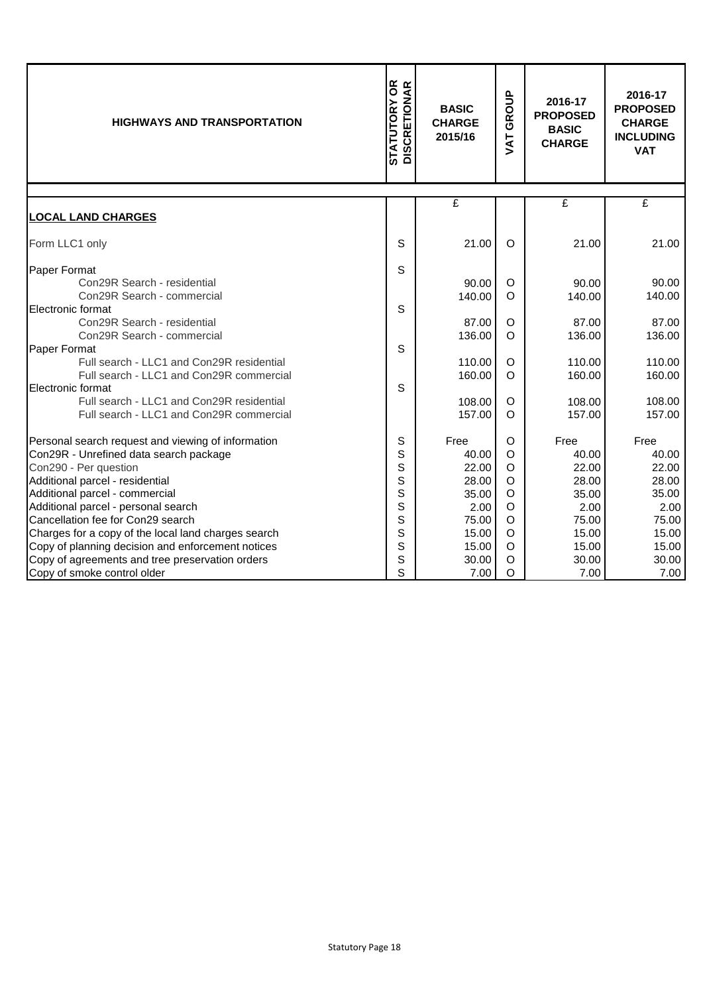| <b>STATUTORY OR<br/>DISCRETIONAR</b><br><b>HIGHWAYS AND TRANSPORTATION</b>                                                          |             | <b>BASIC</b><br><b>CHARGE</b><br>2015/16 | GROUP<br>JAT                      | 2016-17<br><b>PROPOSED</b><br><b>BASIC</b><br><b>CHARGE</b> | 2016-17<br><b>PROPOSED</b><br><b>CHARGE</b><br><b>INCLUDING</b><br><b>VAT</b> |
|-------------------------------------------------------------------------------------------------------------------------------------|-------------|------------------------------------------|-----------------------------------|-------------------------------------------------------------|-------------------------------------------------------------------------------|
|                                                                                                                                     |             | £                                        |                                   | £                                                           | £                                                                             |
| <u>LOCAL LAND CHARGES</u>                                                                                                           |             |                                          |                                   |                                                             |                                                                               |
| Form LLC1 only                                                                                                                      | S           | 21.00                                    | $\circ$                           | 21.00                                                       | 21.00                                                                         |
| Paper Format<br>Con29R Search - residential<br>Con29R Search - commercial                                                           | S           | 90.00<br>140.00                          | O<br>$\circ$                      | 90.00<br>140.00                                             | 90.00<br>140.00                                                               |
| Electronic format<br>Con29R Search - residential<br>Con29R Search - commercial                                                      | S           | 87.00<br>136.00                          | $\circ$<br>$\Omega$               | 87.00<br>136.00                                             | 87.00<br>136.00                                                               |
| Paper Format<br>Full search - LLC1 and Con29R residential<br>Full search - LLC1 and Con29R commercial                               | S           | 110.00<br>160.00                         | $\circ$<br>$\circ$                | 110.00<br>160.00                                            | 110.00<br>160.00                                                              |
| Electronic format<br>Full search - LLC1 and Con29R residential<br>Full search - LLC1 and Con29R commercial                          | S           | 108.00<br>157.00                         | O<br>$\Omega$                     | 108.00<br>157.00                                            | 108.00<br>157.00                                                              |
| Personal search request and viewing of information<br>Con29R - Unrefined data search package<br>Con290 - Per question               | S<br>S<br>S | Free<br>40.00<br>22.00                   | $\circ$<br>$\circ$<br>O           | Free<br>40.00<br>22.00                                      | Free<br>40.00<br>22.00                                                        |
| Additional parcel - residential<br>Additional parcel - commercial                                                                   | S<br>S      | 28.00<br>35.00                           | $\circ$<br>$\circ$                | 28.00<br>35.00                                              | 28.00<br>35.00                                                                |
| Additional parcel - personal search<br>Cancellation fee for Con29 search<br>Charges for a copy of the local land charges search     | S<br>S<br>S | 2.00<br>75.00<br>15.00                   | $\circ$<br>$\mathsf O$<br>$\circ$ | 2.00<br>75.00<br>15.00                                      | 2.00<br>75.00<br>15.00                                                        |
| Copy of planning decision and enforcement notices<br>Copy of agreements and tree preservation orders<br>Copy of smoke control older | S<br>S<br>S | 15.00<br>30.00<br>7.00                   | $\circ$<br>$\circ$<br>$\circ$     | 15.00<br>30.00<br>7.00                                      | 15.00<br>30.00<br>7.00                                                        |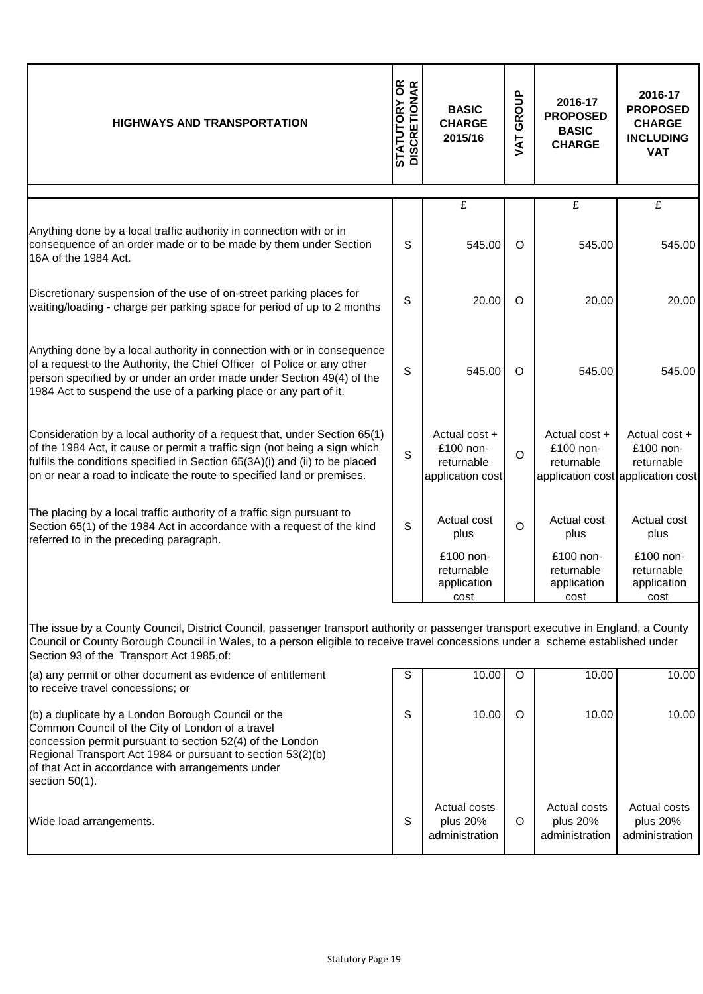| <b>HIGHWAYS AND TRANSPORTATION</b>                                                                                                                                                                                                                                                                                   | <b>STATUTORY OR<br/>DISCRETIONAR</b> | <b>BASIC</b><br><b>CHARGE</b><br>2015/16                     | GROUP<br><b>TAT</b> | 2016-17<br><b>PROPOSED</b><br><b>BASIC</b><br><b>CHARGE</b> | 2016-17<br><b>PROPOSED</b><br><b>CHARGE</b><br><b>INCLUDING</b><br><b>VAT</b> |
|----------------------------------------------------------------------------------------------------------------------------------------------------------------------------------------------------------------------------------------------------------------------------------------------------------------------|--------------------------------------|--------------------------------------------------------------|---------------------|-------------------------------------------------------------|-------------------------------------------------------------------------------|
|                                                                                                                                                                                                                                                                                                                      |                                      |                                                              |                     |                                                             |                                                                               |
| Anything done by a local traffic authority in connection with or in<br>consequence of an order made or to be made by them under Section<br>16A of the 1984 Act.                                                                                                                                                      | S                                    | $\mathbf{E}$<br>545.00                                       | O                   | $\overline{f}$<br>545.00                                    | £<br>545.00                                                                   |
| Discretionary suspension of the use of on-street parking places for<br>waiting/loading - charge per parking space for period of up to 2 months                                                                                                                                                                       | S                                    | 20.00                                                        | $\circ$             | 20.00                                                       | 20.00                                                                         |
| Anything done by a local authority in connection with or in consequence<br>of a request to the Authority, the Chief Officer of Police or any other<br>person specified by or under an order made under Section 49(4) of the<br>1984 Act to suspend the use of a parking place or any part of it.                     | S                                    | 545.00                                                       | $\circ$             | 545.00                                                      | 545.00                                                                        |
| Consideration by a local authority of a request that, under Section 65(1)<br>of the 1984 Act, it cause or permit a traffic sign (not being a sign which<br>fulfils the conditions specified in Section 65(3A)(i) and (ii) to be placed<br>on or near a road to indicate the route to specified land or premises.     | S                                    | Actual cost +<br>£100 non-<br>returnable<br>application cost | O                   | Actual cost $+$<br>£100 non-<br>returnable                  | Actual cost +<br>£100 non-<br>returnable<br>application cost application cost |
| The placing by a local traffic authority of a traffic sign pursuant to<br>Section 65(1) of the 1984 Act in accordance with a request of the kind<br>referred to in the preceding paragraph.                                                                                                                          | S                                    | Actual cost<br>plus<br>£100 non-                             | $\circ$             | Actual cost<br>plus<br>£100 non-                            | Actual cost<br>plus<br>£100 non-                                              |
|                                                                                                                                                                                                                                                                                                                      |                                      | returnable<br>application<br>cost                            |                     | returnable<br>application<br>cost                           | returnable<br>application<br>cost                                             |
| The issue by a County Council, District Council, passenger transport authority or passenger transport executive in England, a County<br>Council or County Borough Council in Wales, to a person eligible to receive travel concessions under a scheme established under<br>Section 93 of the Transport Act 1985, of: |                                      |                                                              |                     |                                                             |                                                                               |
| (a) any permit or other document as evidence of entitlement<br>to receive travel concessions; or                                                                                                                                                                                                                     | S                                    | 10.00                                                        | O                   | 10.00                                                       | 10.00                                                                         |
| (b) a duplicate by a London Borough Council or the<br>Common Council of the City of London of a travel<br>concession permit pursuant to section 52(4) of the London                                                                                                                                                  | S                                    | 10.00                                                        | $\circ$             | 10.00                                                       | 10.00                                                                         |

Actual costs plus 20% administration

O

Actual costs plus 20% administration

Actual costs plus 20% administration

Regional Transport Act 1984 or pursuant to section 53(2)(b)

wide load arrangements.

of that Act in accordance with arrangements under

section 50(1).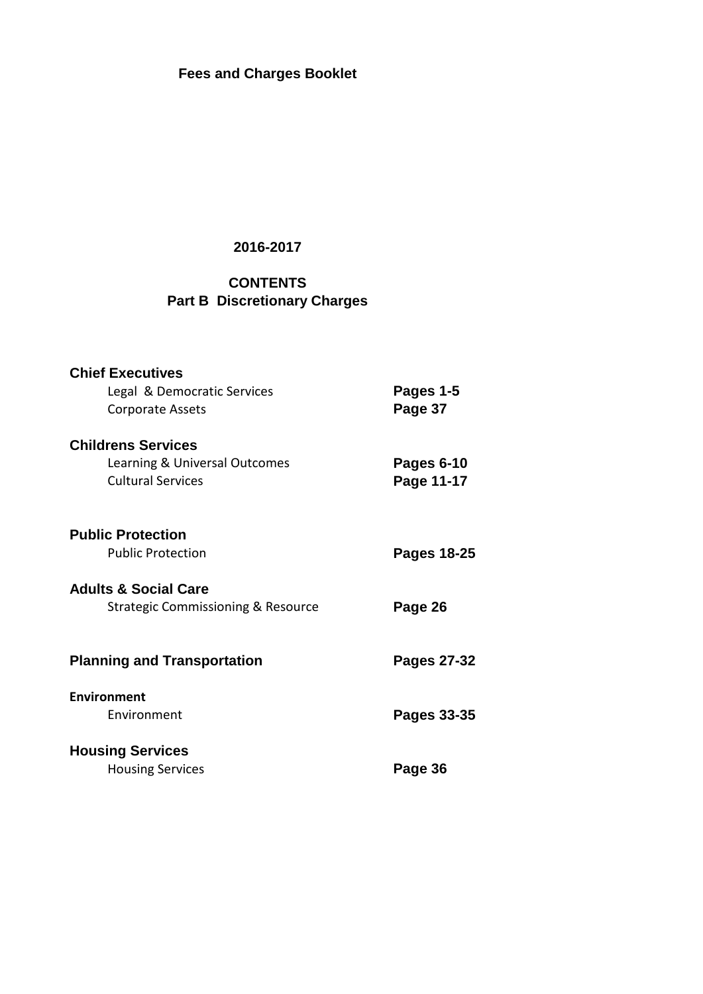**Fees and Charges Booklet**

## **2016-2017**

# **CONTENTS Part B Discretionary Charges**

| <b>Chief Executives</b>                       |             |
|-----------------------------------------------|-------------|
| Legal & Democratic Services                   | Pages 1-5   |
| <b>Corporate Assets</b>                       | Page 37     |
| <b>Childrens Services</b>                     |             |
| Learning & Universal Outcomes                 | Pages 6-10  |
| <b>Cultural Services</b>                      | Page 11-17  |
| <b>Public Protection</b>                      |             |
| <b>Public Protection</b>                      | Pages 18-25 |
|                                               |             |
| <b>Adults &amp; Social Care</b>               |             |
| <b>Strategic Commissioning &amp; Resource</b> | Page 26     |
| <b>Planning and Transportation</b>            | Pages 27-32 |
|                                               |             |
| Environment                                   |             |
| Fnvironment                                   | Pages 33-35 |
| <b>Housing Services</b>                       |             |
| <b>Housing Services</b>                       | Page 36     |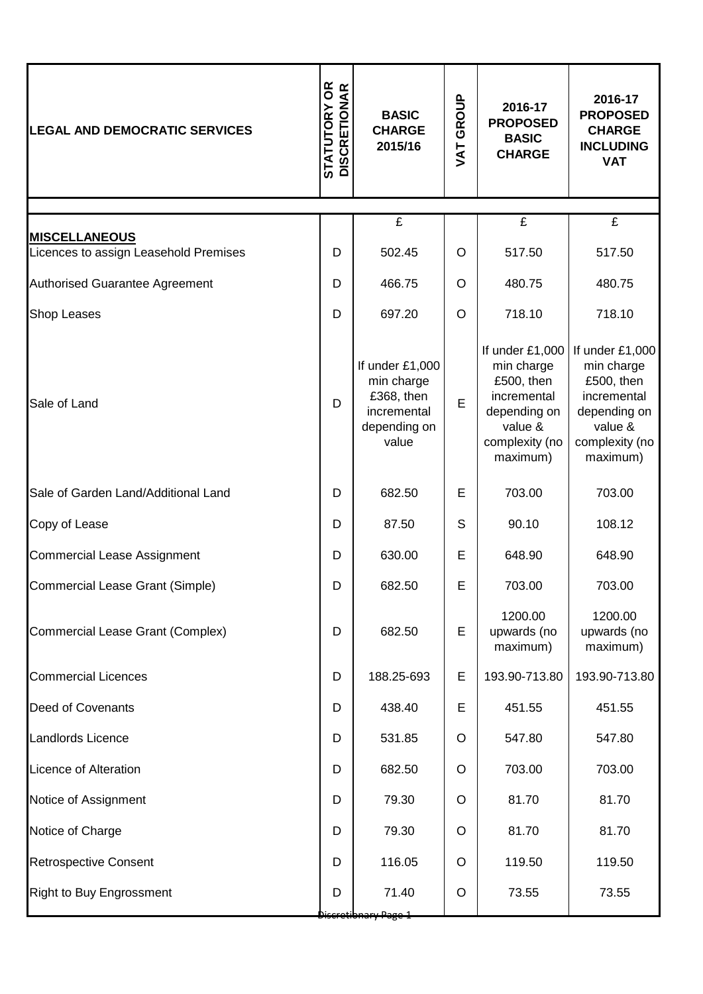| <b>LEGAL AND DEMOCRATIC SERVICES</b>   | <b>STATUTORY OR<br/>DISCRETIONAR</b> | <b>BASIC</b><br><b>CHARGE</b><br>2015/16                                            | GROUP<br>TAV | 2016-17<br><b>PROPOSED</b><br><b>BASIC</b><br><b>CHARGE</b>                                                         | 2016-17<br><b>PROPOSED</b><br><b>CHARGE</b><br><b>INCLUDING</b><br><b>VAT</b>                                       |
|----------------------------------------|--------------------------------------|-------------------------------------------------------------------------------------|--------------|---------------------------------------------------------------------------------------------------------------------|---------------------------------------------------------------------------------------------------------------------|
|                                        |                                      | $\overline{f}$                                                                      |              | $\overline{f}$                                                                                                      | $\overline{f}$                                                                                                      |
| <b>MISCELLANEOUS</b>                   |                                      |                                                                                     |              |                                                                                                                     |                                                                                                                     |
| Licences to assign Leasehold Premises  | D                                    | 502.45                                                                              | $\circ$      | 517.50                                                                                                              | 517.50                                                                                                              |
| <b>Authorised Guarantee Agreement</b>  | D                                    | 466.75                                                                              | O            | 480.75                                                                                                              | 480.75                                                                                                              |
| <b>Shop Leases</b>                     | D                                    | 697.20                                                                              | $\circ$      | 718.10                                                                                                              | 718.10                                                                                                              |
| Sale of Land                           | D                                    | If under £1,000<br>min charge<br>£368, then<br>incremental<br>depending on<br>value | E            | If under £1,000<br>min charge<br>£500, then<br>incremental<br>depending on<br>value &<br>complexity (no<br>maximum) | If under £1,000<br>min charge<br>£500, then<br>incremental<br>depending on<br>value &<br>complexity (no<br>maximum) |
| Sale of Garden Land/Additional Land    | D                                    | 682.50                                                                              | E            | 703.00                                                                                                              | 703.00                                                                                                              |
| Copy of Lease                          | D                                    | 87.50                                                                               | S            | 90.10                                                                                                               | 108.12                                                                                                              |
| <b>Commercial Lease Assignment</b>     | D                                    | 630.00                                                                              | E            | 648.90                                                                                                              | 648.90                                                                                                              |
| <b>Commercial Lease Grant (Simple)</b> | D                                    | 682.50                                                                              | Е            | 703.00                                                                                                              | 703.00                                                                                                              |
| Commercial Lease Grant (Complex)       | D                                    | 682.50                                                                              | E            | 1200.00<br>upwards (no<br>maximum)                                                                                  | 1200.00<br>upwards (no<br>maximum)                                                                                  |
| <b>Commercial Licences</b>             | D                                    | 188.25-693                                                                          | Е            | 193.90-713.80                                                                                                       | 193.90-713.80                                                                                                       |
| <b>Deed of Covenants</b>               | D                                    | 438.40                                                                              | Е            | 451.55                                                                                                              | 451.55                                                                                                              |
| Landlords Licence                      | D                                    | 531.85                                                                              | O            | 547.80                                                                                                              | 547.80                                                                                                              |
| Licence of Alteration                  | D                                    | 682.50                                                                              | O            | 703.00                                                                                                              | 703.00                                                                                                              |
| Notice of Assignment                   | D                                    | 79.30                                                                               | O            | 81.70                                                                                                               | 81.70                                                                                                               |
| Notice of Charge                       | D                                    | 79.30                                                                               | O            | 81.70                                                                                                               | 81.70                                                                                                               |
| <b>Retrospective Consent</b>           | D                                    | 116.05                                                                              | $\circ$      | 119.50                                                                                                              | 119.50                                                                                                              |
| <b>Right to Buy Engrossment</b>        | D                                    | 71.40                                                                               | $\circ$      | 73.55                                                                                                               | 73.55                                                                                                               |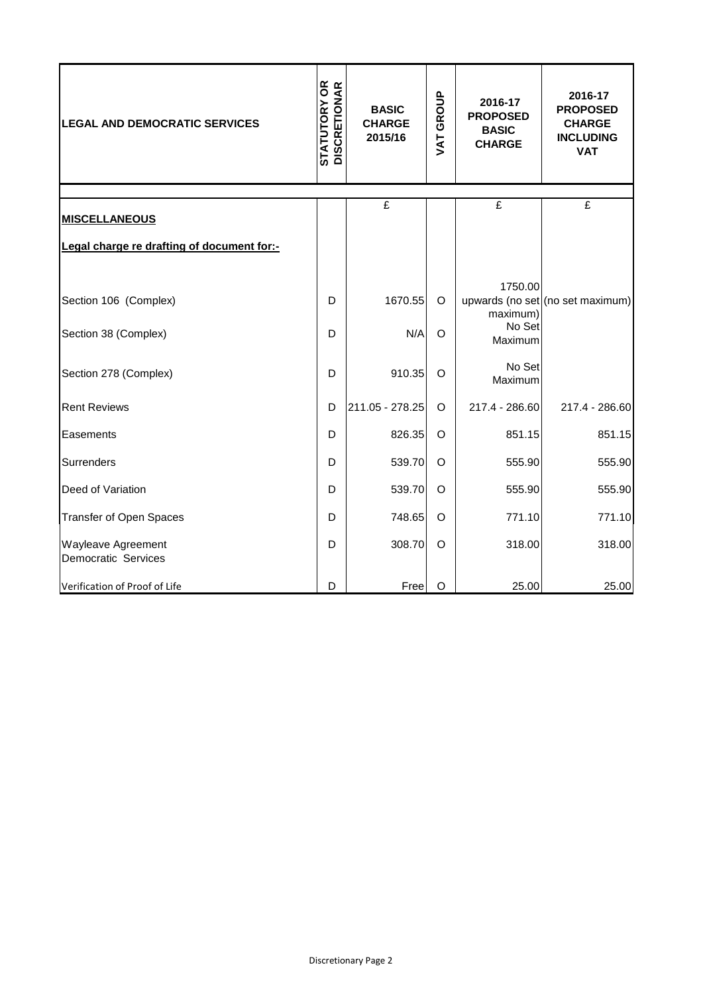| <b>LEGAL AND DEMOCRATIC SERVICES</b>       | <b>STATUTORY OR<br/>DISCRETIONAR</b><br><b>BASIC</b><br><b>CHARGE</b><br>2015/16 |                 | <b>VAT GROUP</b> | 2016-17<br><b>PROPOSED</b><br><b>BASIC</b><br><b>CHARGE</b> | 2016-17<br><b>PROPOSED</b><br><b>CHARGE</b><br><b>INCLUDING</b><br><b>VAT</b> |
|--------------------------------------------|----------------------------------------------------------------------------------|-----------------|------------------|-------------------------------------------------------------|-------------------------------------------------------------------------------|
|                                            |                                                                                  | £               |                  | £                                                           | £                                                                             |
| <b>MISCELLANEOUS</b>                       |                                                                                  |                 |                  |                                                             |                                                                               |
| Legal charge re drafting of document for:- |                                                                                  |                 |                  |                                                             |                                                                               |
|                                            |                                                                                  |                 |                  |                                                             |                                                                               |
| Section 106 (Complex)                      | D                                                                                | 1670.55         | $\circ$          | 1750.00<br>maximum)                                         | upwards (no set (no set maximum)                                              |
| Section 38 (Complex)                       | D                                                                                | N/A             | $\circ$          | No Set<br>Maximum                                           |                                                                               |
| Section 278 (Complex)                      | D                                                                                | 910.35          | $\circ$          | No Set<br>Maximum                                           |                                                                               |
| <b>Rent Reviews</b>                        | D                                                                                | 211.05 - 278.25 | O                | 217.4 - 286.60                                              | 217.4 - 286.60                                                                |
| Easements                                  | D                                                                                | 826.35          | O                | 851.15                                                      | 851.15                                                                        |
| Surrenders                                 | D                                                                                | 539.70          | O                | 555.90                                                      | 555.90                                                                        |
| Deed of Variation                          | D                                                                                | 539.70          | $\circ$          | 555.90                                                      | 555.90                                                                        |
| <b>Transfer of Open Spaces</b>             | D                                                                                | 748.65          | O                | 771.10                                                      | 771.10                                                                        |
| Wayleave Agreement<br>Democratic Services  | D                                                                                | 308.70          | $\circ$          | 318.00                                                      | 318.00                                                                        |
| Verification of Proof of Life              | D                                                                                | Free            | $\circ$          | 25.00                                                       | 25.00                                                                         |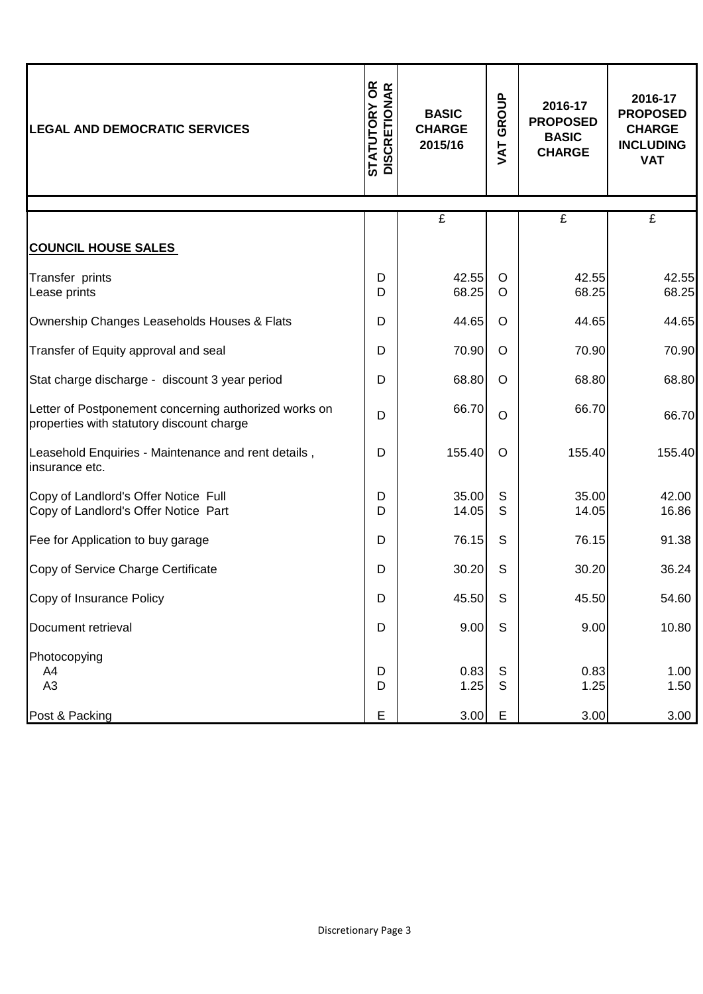| <b>LEGAL AND DEMOCRATIC SERVICES</b>                                                               | <b>STATUTORY OR<br/>DISCRETIONAR</b><br><b>BASIC</b><br><b>CHARGE</b><br>2015/16 |                | GROUP<br>TAV       | 2016-17<br><b>PROPOSED</b><br><b>BASIC</b><br><b>CHARGE</b> | 2016-17<br><b>PROPOSED</b><br><b>CHARGE</b><br><b>INCLUDING</b><br><b>VAT</b> |
|----------------------------------------------------------------------------------------------------|----------------------------------------------------------------------------------|----------------|--------------------|-------------------------------------------------------------|-------------------------------------------------------------------------------|
|                                                                                                    |                                                                                  | $\overline{f}$ |                    | £                                                           | $\overline{f}$                                                                |
| <b>COUNCIL HOUSE SALES</b>                                                                         |                                                                                  |                |                    |                                                             |                                                                               |
| Transfer prints<br>Lease prints                                                                    | D<br>D                                                                           | 42.55<br>68.25 | $\circ$<br>$\circ$ | 42.55<br>68.25                                              | 42.55<br>68.25                                                                |
| Ownership Changes Leaseholds Houses & Flats                                                        | D                                                                                | 44.65          | $\circ$            | 44.65                                                       | 44.65                                                                         |
| Transfer of Equity approval and seal                                                               | D                                                                                | 70.90          | $\circ$            | 70.90                                                       | 70.90                                                                         |
| Stat charge discharge - discount 3 year period                                                     | D                                                                                | 68.80          | $\circ$            | 68.80                                                       | 68.80                                                                         |
| Letter of Postponement concerning authorized works on<br>properties with statutory discount charge | D                                                                                | 66.70          | $\circ$            | 66.70                                                       | 66.70                                                                         |
| Leasehold Enquiries - Maintenance and rent details,<br>insurance etc.                              | D                                                                                | 155.40         | $\circ$            | 155.40                                                      | 155.40                                                                        |
| Copy of Landlord's Offer Notice Full<br>Copy of Landlord's Offer Notice Part                       | D<br>D                                                                           | 35.00<br>14.05 | S<br>S             | 35.00<br>14.05                                              | 42.00<br>16.86                                                                |
| Fee for Application to buy garage                                                                  | D                                                                                | 76.15          | S                  | 76.15                                                       | 91.38                                                                         |
| Copy of Service Charge Certificate                                                                 | D                                                                                | 30.20          | S                  | 30.20                                                       | 36.24                                                                         |
| Copy of Insurance Policy                                                                           | D                                                                                | 45.50          | $\mathsf S$        | 45.50                                                       | 54.60                                                                         |
| Document retrieval                                                                                 | D                                                                                | 9.00           | $\mathsf{S}$       | 9.00                                                        | 10.80                                                                         |
| Photocopying<br>A4<br>A <sub>3</sub>                                                               | D<br>D                                                                           | 0.83<br>1.25   | S<br>$\mathsf S$   | 0.83<br>1.25                                                | 1.00<br>1.50                                                                  |
| Post & Packing                                                                                     | E                                                                                | 3.00           | E                  | 3.00                                                        | 3.00                                                                          |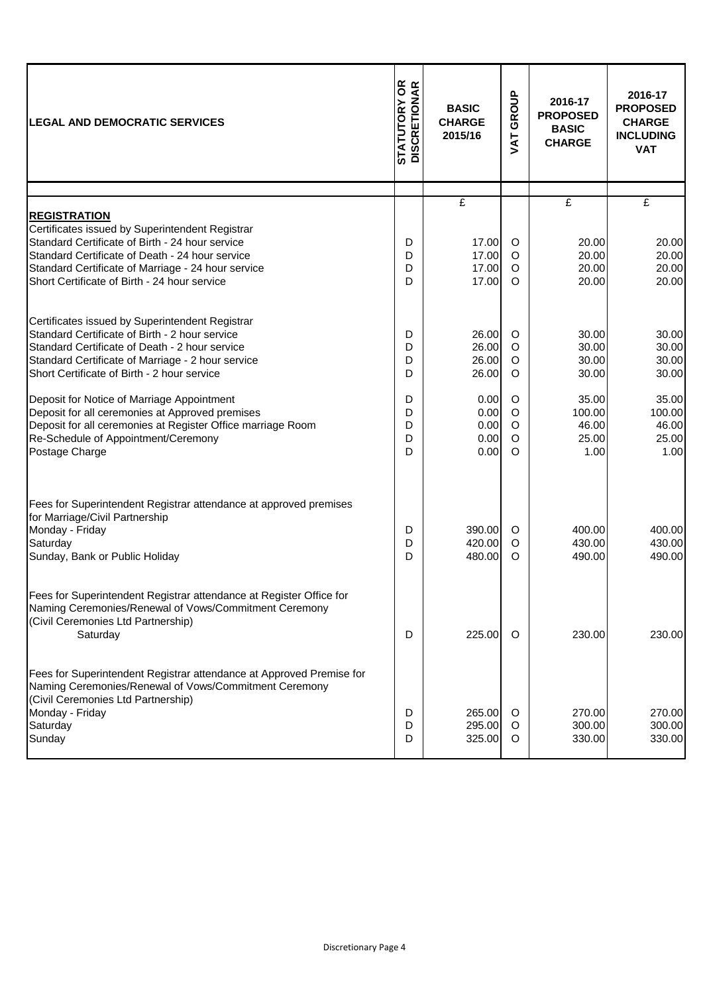| <b>LEGAL AND DEMOCRATIC SERVICES</b>                                                                                                                                                                                                                                               | <b>STATUTORY OR<br/>DISCRETIONAR</b> | <b>BASIC</b><br><b>CHARGE</b><br>2015/16<br><b>TAV</b> |                               | 2016-17<br><b>PROPOSED</b><br><b>BASIC</b><br><b>CHARGE</b> | 2016-17<br><b>PROPOSED</b><br><b>CHARGE</b><br><b>INCLUDING</b><br><b>VAT</b> |
|------------------------------------------------------------------------------------------------------------------------------------------------------------------------------------------------------------------------------------------------------------------------------------|--------------------------------------|--------------------------------------------------------|-------------------------------|-------------------------------------------------------------|-------------------------------------------------------------------------------|
|                                                                                                                                                                                                                                                                                    |                                      | $\mathbf{f}$                                           |                               | $\mathbf{f}$                                                | £                                                                             |
| <b>REGISTRATION</b><br>Certificates issued by Superintendent Registrar<br>Standard Certificate of Birth - 24 hour service<br>Standard Certificate of Death - 24 hour service<br>Standard Certificate of Marriage - 24 hour service<br>Short Certificate of Birth - 24 hour service | D<br>D<br>D<br>D                     | 17.00<br>17.00<br>17.00<br>17.00                       | $\circ$<br>O<br>O<br>$\Omega$ | 20.00<br>20.00<br>20.00<br>20.00                            | 20.00<br>20.00<br>20.00<br>20.00                                              |
| Certificates issued by Superintendent Registrar<br>Standard Certificate of Birth - 2 hour service<br>Standard Certificate of Death - 2 hour service<br>Standard Certificate of Marriage - 2 hour service<br>Short Certificate of Birth - 2 hour service                            | D<br>D<br>D<br>D                     | 26.00<br>26.00<br>26.00<br>26.00                       | O<br>O<br>O<br>O              | 30.00<br>30.00<br>30.00<br>30.00                            | 30.00<br>30.00<br>30.00<br>30.00                                              |
| Deposit for Notice of Marriage Appointment<br>Deposit for all ceremonies at Approved premises<br>Deposit for all ceremonies at Register Office marriage Room<br>Re-Schedule of Appointment/Ceremony<br>Postage Charge                                                              | D<br>D<br>D<br>D<br>D                | 0.00<br>0.00<br>0.00<br>0.00<br>0.00                   | O<br>O<br>O<br>O<br>$\Omega$  | 35.00<br>100.00<br>46.00<br>25.00<br>1.00                   | 35.00<br>100.00<br>46.00<br>25.00<br>1.00                                     |
| Fees for Superintendent Registrar attendance at approved premises<br>for Marriage/Civil Partnership<br>Monday - Friday<br>Saturday<br>Sunday, Bank or Public Holiday                                                                                                               | D<br>D<br>D                          | 390.00<br>420.00<br>480.00                             | O<br>O<br>O                   | 400.00<br>430.00<br>490.00                                  | 400.00<br>430.00<br>490.00                                                    |
| Fees for Superintendent Registrar attendance at Register Office for<br>Naming Ceremonies/Renewal of Vows/Commitment Ceremony<br>(Civil Ceremonies Ltd Partnership)<br>Saturday                                                                                                     | D                                    | 225.00                                                 | $\circ$                       | 230.00                                                      | 230.00                                                                        |
| Fees for Superintendent Registrar attendance at Approved Premise for<br>Naming Ceremonies/Renewal of Vows/Commitment Ceremony<br>(Civil Ceremonies Ltd Partnership)<br>Monday - Friday<br>Saturday<br>Sunday                                                                       | D<br>D<br>D                          | 265.00<br>295.00<br>325.00                             | $\circ$<br>O<br>O             | 270.00<br>300.00<br>330.00                                  | 270.00<br>300.00<br>330.00                                                    |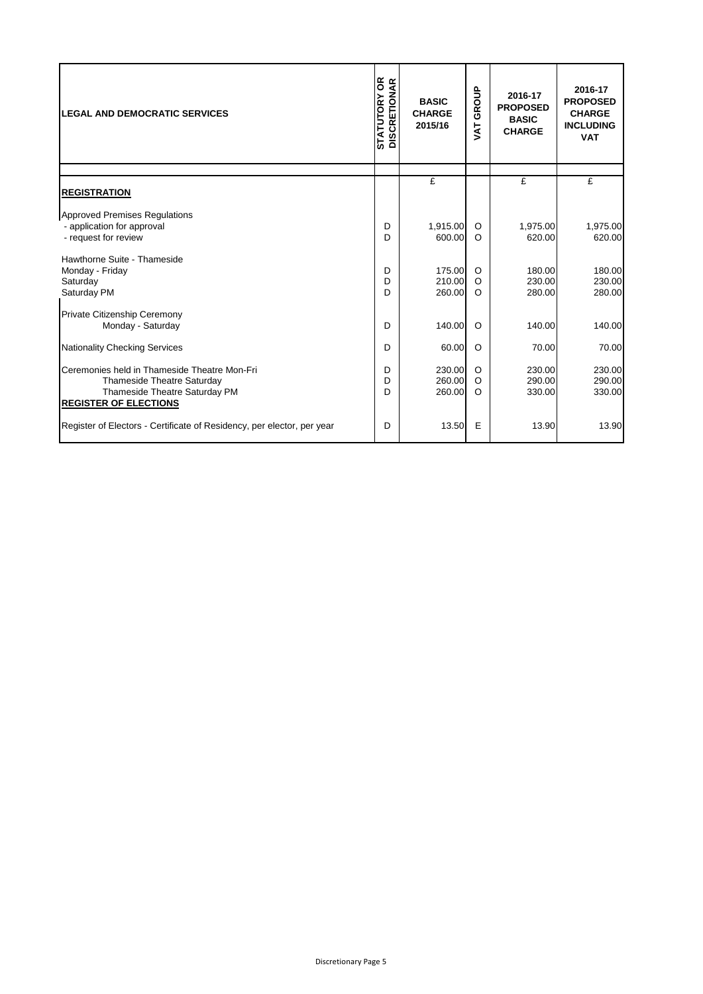| <b>LEGAL AND DEMOCRATIC SERVICES</b>                                                                                                               | <b>STATUTORY OR</b><br>DISCRETIONAR<br><b>BASIC</b><br><b>CHARGE</b><br>2015/16 |                            | GROUP<br><b>TY</b>            |                            | 2016-17<br><b>PROPOSED</b><br><b>CHARGE</b><br><b>INCLUDING</b><br><b>VAT</b> |
|----------------------------------------------------------------------------------------------------------------------------------------------------|---------------------------------------------------------------------------------|----------------------------|-------------------------------|----------------------------|-------------------------------------------------------------------------------|
|                                                                                                                                                    |                                                                                 | $\mathbf{f}$               |                               | $\mathbf{f}$               | $\mathbf{f}$                                                                  |
| <b>REGISTRATION</b>                                                                                                                                |                                                                                 |                            |                               |                            |                                                                               |
| <b>Approved Premises Regulations</b><br>- application for approval<br>- request for review                                                         | D<br>D                                                                          | 1,915.00<br>600.00         | O<br>$\circ$                  | 1,975.00<br>620.00         | 1,975.00<br>620.00                                                            |
| Hawthorne Suite - Thameside<br>Monday - Friday<br>Saturday<br>Saturday PM                                                                          | D<br>D<br>D                                                                     | 175.00<br>210.00<br>260.00 | $\circ$<br>$\circ$<br>$\circ$ | 180.00<br>230.00<br>280.00 | 180.00<br>230.00<br>280.00                                                    |
| Private Citizenship Ceremony<br>Monday - Saturday                                                                                                  | D                                                                               | 140.00                     | $\circ$                       | 140.00                     | 140.00                                                                        |
| <b>Nationality Checking Services</b>                                                                                                               | D                                                                               | 60.00                      | $\circ$                       | 70.00                      | 70.00                                                                         |
| Ceremonies held in Thameside Theatre Mon-Fri<br><b>Thameside Theatre Saturday</b><br>Thameside Theatre Saturday PM<br><b>REGISTER OF ELECTIONS</b> | D<br>D<br>D                                                                     | 230.00<br>260.00<br>260.00 | $\circ$<br>$\circ$<br>$\circ$ | 230.00<br>290.00<br>330.00 | 230.00<br>290.00<br>330.00                                                    |
| Register of Electors - Certificate of Residency, per elector, per year                                                                             | D                                                                               | 13.50                      | Е                             | 13.90                      | 13.90                                                                         |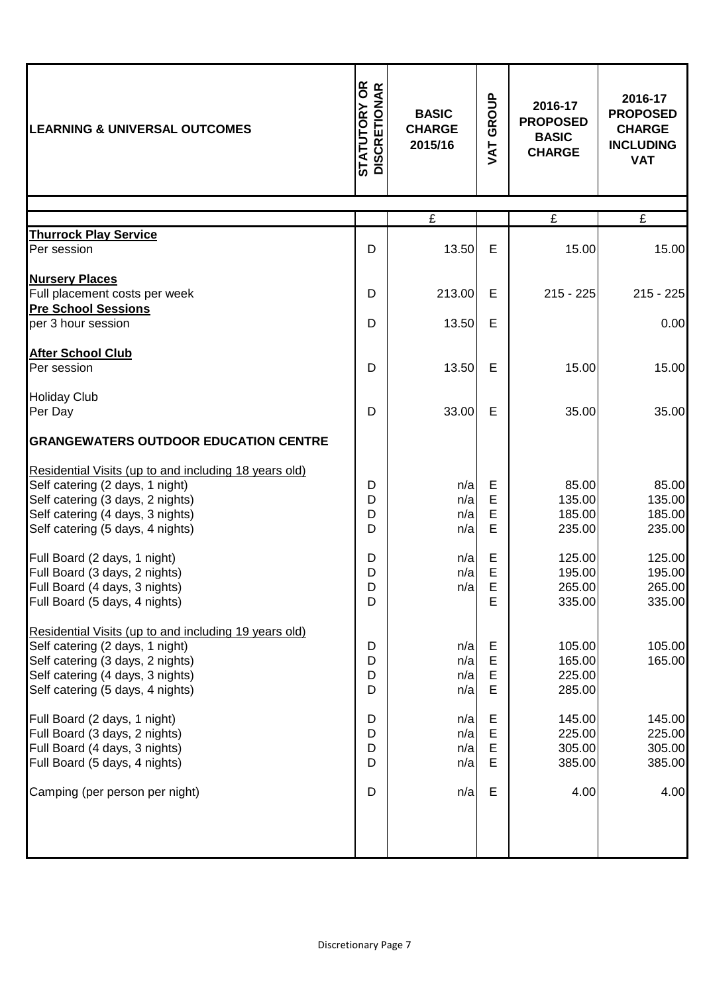| <b>LEARNING &amp; UNIVERSAL OUTCOMES</b>                                                                                                                                                             | <b>STATUTORY OR<br/>DISCRETIONAR</b> | <b>BASIC</b><br><b>CHARGE</b><br>2015/16 | GROUP<br><b>TAV</b> | 2016-17<br><b>PROPOSED</b><br><b>BASIC</b><br><b>CHARGE</b> | 2016-17<br><b>PROPOSED</b><br><b>CHARGE</b><br><b>INCLUDING</b><br><b>VAT</b> |
|------------------------------------------------------------------------------------------------------------------------------------------------------------------------------------------------------|--------------------------------------|------------------------------------------|---------------------|-------------------------------------------------------------|-------------------------------------------------------------------------------|
|                                                                                                                                                                                                      |                                      | £                                        |                     | £                                                           | £                                                                             |
| <b>Thurrock Play Service</b>                                                                                                                                                                         |                                      |                                          |                     |                                                             |                                                                               |
| Per session                                                                                                                                                                                          | D                                    | 13.50                                    | Е                   | 15.00                                                       | 15.00                                                                         |
| <b>Nursery Places</b>                                                                                                                                                                                |                                      |                                          |                     |                                                             |                                                                               |
| Full placement costs per week                                                                                                                                                                        | D                                    | 213.00                                   | E                   | $215 - 225$                                                 | $215 - 225$                                                                   |
| <b>Pre School Sessions</b>                                                                                                                                                                           |                                      |                                          |                     |                                                             |                                                                               |
| per 3 hour session                                                                                                                                                                                   | D                                    | 13.50                                    | E                   |                                                             | 0.00                                                                          |
| <b>After School Club</b><br>Per session                                                                                                                                                              | D                                    | 13.50                                    | Е                   | 15.00                                                       | 15.00                                                                         |
| <b>Holiday Club</b>                                                                                                                                                                                  |                                      |                                          |                     |                                                             |                                                                               |
| Per Day                                                                                                                                                                                              | D                                    | 33.00                                    | E                   | 35.00                                                       | 35.00                                                                         |
| <b>GRANGEWATERS OUTDOOR EDUCATION CENTRE</b>                                                                                                                                                         |                                      |                                          |                     |                                                             |                                                                               |
| Residential Visits (up to and including 18 years old)<br>Self catering (2 days, 1 night)<br>Self catering (3 days, 2 nights)<br>Self catering (4 days, 3 nights)<br>Self catering (5 days, 4 nights) | D<br>D<br>D<br>D                     | n/a<br>n/a<br>n/a<br>n/a                 | Е<br>E<br>E<br>E    | 85.00<br>135.00<br>185.00<br>235.00                         | 85.00<br>135.00<br>185.00<br>235.00                                           |
| Full Board (2 days, 1 night)<br>Full Board (3 days, 2 nights)<br>Full Board (4 days, 3 nights)<br>Full Board (5 days, 4 nights)                                                                      | D<br>D<br>D<br>D                     | n/a<br>n/a<br>n/a                        | Е<br>E<br>F<br>E    | 125.00<br>195.00<br>265.00<br>335.00                        | 125.00<br>195.00<br>265.00<br>335.00                                          |
| Residential Visits (up to and including 19 years old)<br>Self catering (2 days, 1 night)<br>Self catering (3 days, 2 nights)<br>Self catering (4 days, 3 nights)<br>Self catering (5 days, 4 nights) | D<br>D<br>D<br>D                     | n/a<br>n/a<br>n/a<br>n/a                 | Е<br>Е<br>E<br>E    | 105.00<br>165.00<br>225.00<br>285.00                        | 105.00<br>165.00                                                              |
| Full Board (2 days, 1 night)<br>Full Board (3 days, 2 nights)<br>Full Board (4 days, 3 nights)<br>Full Board (5 days, 4 nights)                                                                      | D<br>D<br>D<br>D                     | n/a<br>n/a<br>n/a<br>n/a                 | Е<br>E<br>E<br>E    | 145.00<br>225.00<br>305.00<br>385.00                        | 145.00<br>225.00<br>305.00<br>385.00                                          |
| Camping (per person per night)                                                                                                                                                                       | D                                    | n/a                                      | E                   | 4.00                                                        | 4.00                                                                          |
|                                                                                                                                                                                                      |                                      |                                          |                     |                                                             |                                                                               |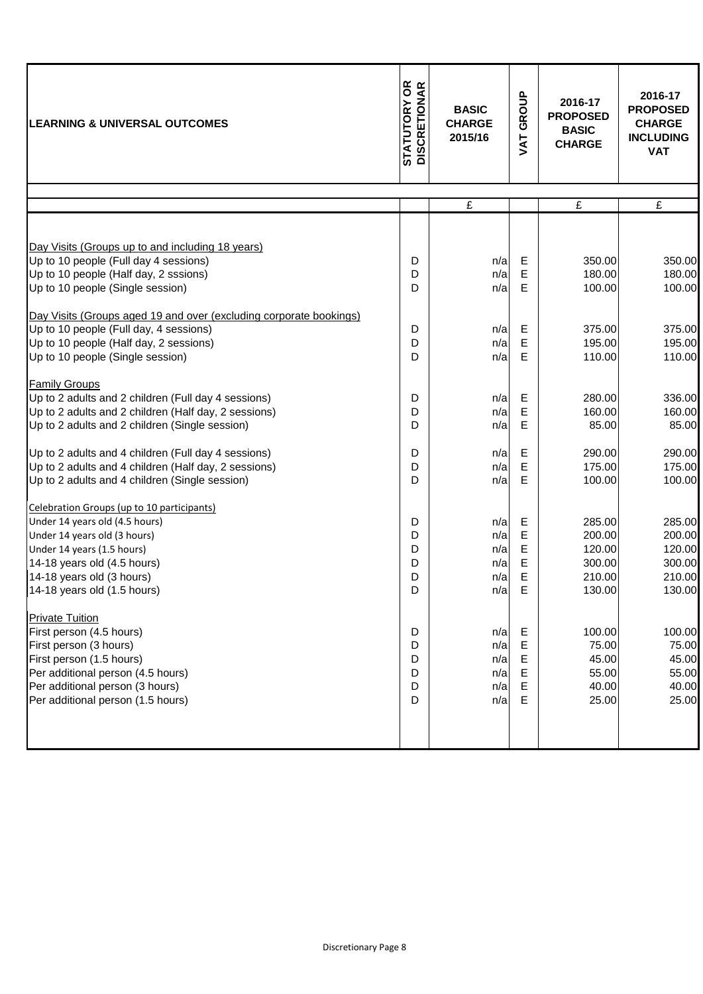| <b>LEARNING &amp; UNIVERSAL OUTCOMES</b>                                                                                                                                                                                              | <b>STATUTORY OR<br/>DISCRETIONAR</b> | <b>BASIC</b><br><b>CHARGE</b><br>2015/16 |                            | 2016-17<br><b>PROPOSED</b><br><b>BASIC</b><br><b>CHARGE</b> | 2016-17<br><b>PROPOSED</b><br><b>CHARGE</b><br><b>INCLUDING</b><br><b>VAT</b> |
|---------------------------------------------------------------------------------------------------------------------------------------------------------------------------------------------------------------------------------------|--------------------------------------|------------------------------------------|----------------------------|-------------------------------------------------------------|-------------------------------------------------------------------------------|
|                                                                                                                                                                                                                                       |                                      | £                                        |                            | £                                                           | £                                                                             |
|                                                                                                                                                                                                                                       |                                      |                                          |                            |                                                             |                                                                               |
| Day Visits (Groups up to and including 18 years)<br>Up to 10 people (Full day 4 sessions)<br>Up to 10 people (Half day, 2 sssions)<br>Up to 10 people (Single session)                                                                | D<br>D<br>D                          | n/a<br>n/a<br>n/a                        | Е<br>Е<br>Е                | 350.00<br>180.00<br>100.00                                  | 350.00<br>180.00<br>100.00                                                    |
| Day Visits (Groups aged 19 and over (excluding corporate bookings)<br>Up to 10 people (Full day, 4 sessions)<br>Up to 10 people (Half day, 2 sessions)<br>Up to 10 people (Single session)                                            | D<br>D<br>D                          | n/a<br>n/a<br>n/a                        | Е<br>E<br>E                | 375.00<br>195.00<br>110.00                                  | 375.00<br>195.00<br>110.00                                                    |
| <b>Family Groups</b><br>Up to 2 adults and 2 children (Full day 4 sessions)<br>Up to 2 adults and 2 children (Half day, 2 sessions)<br>Up to 2 adults and 2 children (Single session)                                                 | D<br>D<br>D                          | n/a<br>n/a<br>n/a                        | Е<br>E<br>E                | 280.00<br>160.00<br>85.00                                   | 336.00<br>160.00<br>85.00                                                     |
| Up to 2 adults and 4 children (Full day 4 sessions)<br>Up to 2 adults and 4 children (Half day, 2 sessions)<br>Up to 2 adults and 4 children (Single session)                                                                         | D<br>D<br>D                          | n/a<br>n/a<br>n/a                        | Е<br>E<br>E                | 290.00<br>175.00<br>100.00                                  | 290.00<br>175.00<br>100.00                                                    |
| Celebration Groups (up to 10 participants)<br>Under 14 years old (4.5 hours)<br>Under 14 years old (3 hours)<br>Under 14 years (1.5 hours)<br>14-18 years old (4.5 hours)<br>14-18 years old (3 hours)<br>14-18 years old (1.5 hours) | D<br>D<br>D<br>D<br>D<br>D           | n/a<br>n/a<br>n/a<br>n/a<br>n/a<br>n/a   | Е<br>Е<br>E<br>Е<br>Е<br>Е | 285.00<br>200.00<br>120.00<br>300.00<br>210.00<br>130.00    | 285.00<br>200.00<br>120.00<br>300.00<br>210.00<br>130.00                      |
| <b>Private Tuition</b><br>First person (4.5 hours)<br>First person (3 hours)<br>First person (1.5 hours)<br>Per additional person (4.5 hours)<br>Per additional person (3 hours)<br>Per additional person (1.5 hours)                 | D<br>D<br>D<br>D<br>D<br>D           | n/a<br>n/a<br>n/a<br>n/a<br>n/a<br>n/a   | Е<br>Е<br>E<br>Е<br>Е<br>Е | 100.00<br>75.00<br>45.00<br>55.00<br>40.00<br>25.00         | 100.00<br>75.00<br>45.00<br>55.00<br>40.00<br>25.00                           |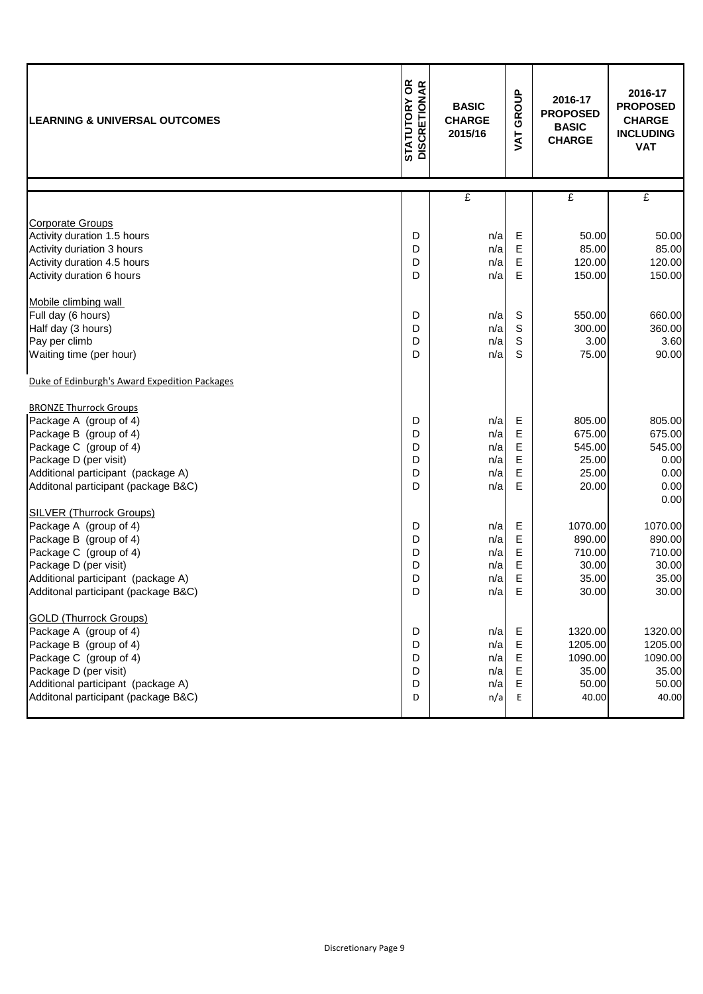| <b>LEARNING &amp; UNIVERSAL OUTCOMES</b>      | STATUTORY OR<br>DISCRETIONAR | <b>BASIC</b><br><b>CHARGE</b> | GROUP      | 2016-17<br><b>PROPOSED</b><br><b>BASIC</b> | 2016-17<br><b>PROPOSED</b><br><b>CHARGE</b> |
|-----------------------------------------------|------------------------------|-------------------------------|------------|--------------------------------------------|---------------------------------------------|
|                                               |                              | 2015/16                       | <b>TAT</b> | <b>CHARGE</b>                              | <b>INCLUDING</b><br><b>VAT</b>              |
|                                               |                              | £                             |            | £                                          | £                                           |
|                                               |                              |                               |            |                                            |                                             |
| <b>Corporate Groups</b>                       |                              |                               |            |                                            |                                             |
| Activity duration 1.5 hours                   | D                            | n/a                           | Е          | 50.00                                      | 50.00                                       |
| Activity duriation 3 hours                    | D                            | n/a                           | E          | 85.00                                      | 85.00                                       |
| Activity duration 4.5 hours                   | D                            | n/a                           | Е          | 120.00                                     | 120.00                                      |
| Activity duration 6 hours                     | D                            | n/a                           | E          | 150.00                                     | 150.00                                      |
| Mobile climbing wall                          |                              |                               |            |                                            |                                             |
| Full day (6 hours)                            | D                            | n/a                           | S          | 550.00                                     | 660.00                                      |
| Half day (3 hours)                            | D                            | n/a                           | S          | 300.00                                     | 360.00                                      |
| Pay per climb                                 | D                            | n/a                           | S          | 3.00                                       | 3.60                                        |
| Waiting time (per hour)                       | D                            | n/a                           | S          | 75.00                                      | 90.00                                       |
| Duke of Edinburgh's Award Expedition Packages |                              |                               |            |                                            |                                             |
| <b>BRONZE Thurrock Groups</b>                 |                              |                               |            |                                            |                                             |
| Package A (group of 4)                        | D                            | n/a                           | Е          | 805.00                                     | 805.00                                      |
| Package B (group of 4)                        | D                            | n/a                           | E          | 675.00                                     | 675.00                                      |
| Package C (group of 4)                        | D                            | n/a                           | E          | 545.00                                     | 545.00                                      |
| Package D (per visit)                         | D                            | n/a                           | E          | 25.00                                      | 0.00                                        |
| Additional participant (package A)            | D                            | n/a                           | E          | 25.00                                      | 0.00                                        |
| Additonal participant (package B&C)           | D                            | n/a                           | E          | 20.00                                      | 0.00<br>0.00                                |
| <b>SILVER (Thurrock Groups)</b>               |                              |                               |            |                                            |                                             |
| Package A (group of 4)                        | D                            | n/a                           | Е          | 1070.00                                    | 1070.00                                     |
| Package B (group of 4)                        | D                            | n/a                           | E          | 890.00                                     | 890.00                                      |
| Package C (group of 4)                        | D                            | n/a                           | Е          | 710.00                                     | 710.00                                      |
| Package D (per visit)                         | D                            | n/a                           | E          | 30.00                                      | 30.00                                       |
| Additional participant (package A)            | D                            | n/a                           | E          | 35.00                                      | 35.00                                       |
| Additonal participant (package B&C)           | D                            | n/a                           | Е,         | 30.00                                      | 30.00                                       |
| <b>GOLD (Thurrock Groups)</b>                 |                              |                               |            |                                            |                                             |
| Package A (group of 4)                        | D                            | n/a                           | E          | 1320.00                                    | 1320.00                                     |
| Package B (group of 4)                        | D                            | n/a                           | Е          | 1205.00                                    | 1205.00                                     |
| Package C (group of 4)                        | D                            | n/a                           | Е          | 1090.00                                    | 1090.00                                     |
| Package D (per visit)                         | D                            | n/a                           | E          | 35.00                                      | 35.00                                       |
| Additional participant (package A)            | D                            | n/a                           | E          | 50.00                                      | 50.00                                       |
| Additonal participant (package B&C)           | D                            | n/a                           | E          | 40.00                                      | 40.00                                       |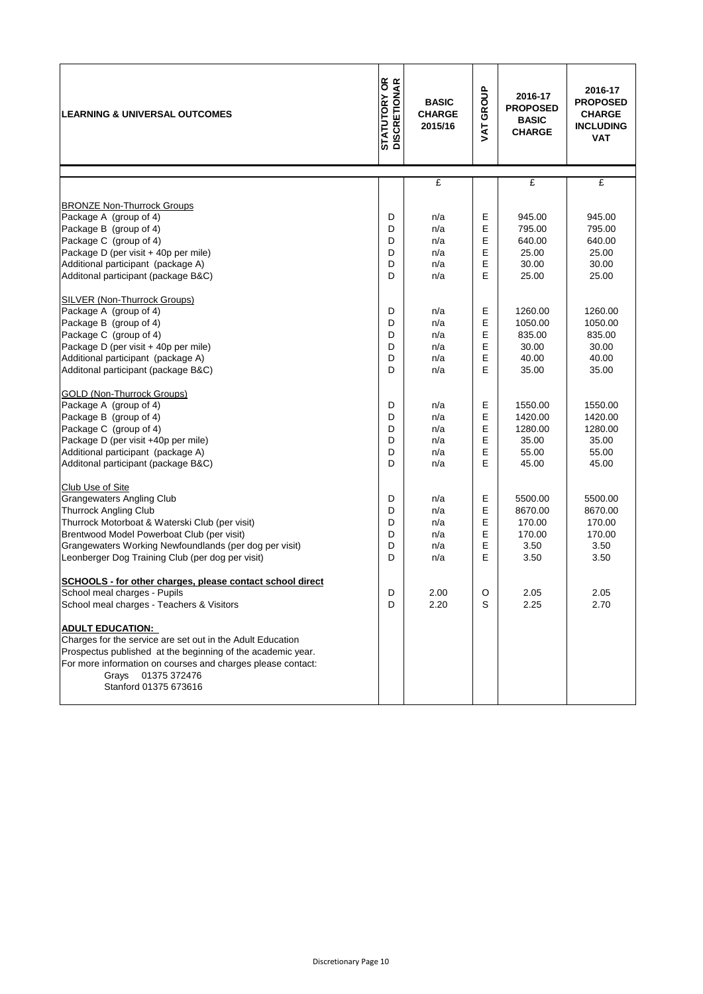| <b>LEARNING &amp; UNIVERSAL OUTCOMES</b>                                                                                                                                                                                                                                                                                                                      | <b>STATUTORY OR<br/>DISCRETIONAR</b> | <b>BASIC</b><br><b>CHARGE</b><br>2015/16 | VAT GROUP                  | 2016-17<br><b>PROPOSED</b><br><b>BASIC</b><br><b>CHARGE</b> | 2016-17<br><b>PROPOSED</b><br><b>CHARGE</b><br><b>INCLUDING</b><br><b>VAT</b> |
|---------------------------------------------------------------------------------------------------------------------------------------------------------------------------------------------------------------------------------------------------------------------------------------------------------------------------------------------------------------|--------------------------------------|------------------------------------------|----------------------------|-------------------------------------------------------------|-------------------------------------------------------------------------------|
|                                                                                                                                                                                                                                                                                                                                                               |                                      |                                          |                            |                                                             |                                                                               |
|                                                                                                                                                                                                                                                                                                                                                               |                                      | £                                        |                            | £                                                           | £                                                                             |
| <b>BRONZE Non-Thurrock Groups</b><br>Package A (group of 4)<br>Package B (group of 4)<br>Package C (group of 4)<br>Package D (per visit + 40p per mile)<br>Additional participant (package A)<br>Additonal participant (package B&C)                                                                                                                          | D<br>D<br>D<br>D<br>D<br>D           | n/a<br>n/a<br>n/a<br>n/a<br>n/a<br>n/a   | Ε<br>E<br>E<br>E<br>E<br>E | 945.00<br>795.00<br>640.00<br>25.00<br>30.00<br>25.00       | 945.00<br>795.00<br>640.00<br>25.00<br>30.00<br>25.00                         |
| <b>SILVER (Non-Thurrock Groups)</b><br>Package A (group of 4)<br>Package B (group of 4)<br>Package C (group of 4)<br>Package D (per visit + 40p per mile)<br>Additional participant (package A)<br>Additonal participant (package B&C)                                                                                                                        | D<br>D<br>D<br>D<br>D<br>D           | n/a<br>n/a<br>n/a<br>n/a<br>n/a<br>n/a   | E<br>E<br>E<br>E<br>E<br>E | 1260.00<br>1050.00<br>835.00<br>30.00<br>40.00<br>35.00     | 1260.00<br>1050.00<br>835.00<br>30.00<br>40.00<br>35.00                       |
| <b>GOLD (Non-Thurrock Groups)</b><br>Package A (group of 4)<br>Package B (group of 4)<br>Package C (group of 4)<br>Package D (per visit +40p per mile)<br>Additional participant (package A)<br>Additonal participant (package B&C)                                                                                                                           | D<br>D<br>D<br>D<br>D<br>D           | n/a<br>n/a<br>n/a<br>n/a<br>n/a<br>n/a   | Е<br>E<br>E<br>E<br>E<br>E | 1550.00<br>1420.00<br>1280.00<br>35.00<br>55.00<br>45.00    | 1550.00<br>1420.00<br>1280.00<br>35.00<br>55.00<br>45.00                      |
| Club Use of Site<br><b>Grangewaters Angling Club</b><br><b>Thurrock Angling Club</b><br>Thurrock Motorboat & Waterski Club (per visit)<br>Brentwood Model Powerboat Club (per visit)<br>Grangewaters Working Newfoundlands (per dog per visit)<br>Leonberger Dog Training Club (per dog per visit)                                                            | D<br>D<br>D<br>D<br>D<br>D           | n/a<br>n/a<br>n/a<br>n/a<br>n/a<br>n/a   | Ε<br>E<br>E<br>E<br>E<br>E | 5500.00<br>8670.00<br>170.00<br>170.00<br>3.50<br>3.50      | 5500.00<br>8670.00<br>170.00<br>170.00<br>3.50<br>3.50                        |
| SCHOOLS - for other charges, please contact school direct<br>School meal charges - Pupils<br>School meal charges - Teachers & Visitors<br><b>ADULT EDUCATION:</b><br>Charges for the service are set out in the Adult Education<br>Prospectus published at the beginning of the academic year.<br>For more information on courses and charges please contact: | D<br>D                               | 2.00<br>2.20                             | O<br>S                     | 2.05<br>2.25                                                | 2.05<br>2.70                                                                  |
| Grays 01375 372476<br>Stanford 01375 673616                                                                                                                                                                                                                                                                                                                   |                                      |                                          |                            |                                                             |                                                                               |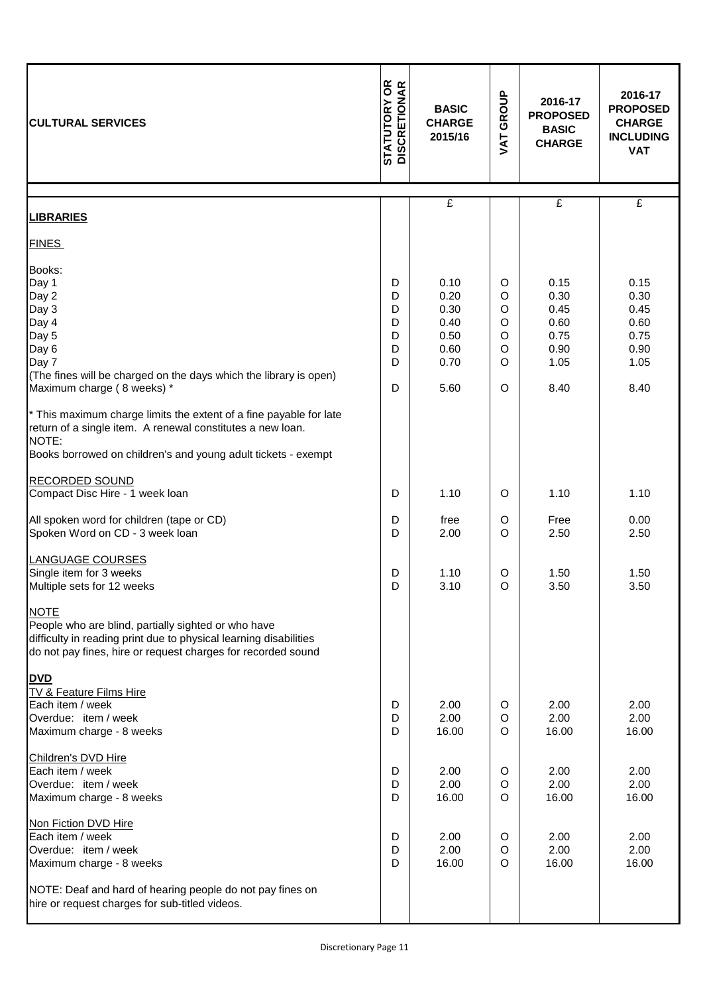| <b>CULTURAL SERVICES</b>                                                                                                                                                                                                                                                                                                                                                                                                                           | <b>STATUTORY OR<br/>DISCRETIONAR</b><br><b>BASIC</b><br><b>CHARGE</b><br>2015/16 |                                                                      | GROUP<br>VAT                                          | 2016-17<br><b>PROPOSED</b><br><b>BASIC</b><br><b>CHARGE</b>          | 2016-17<br><b>PROPOSED</b><br><b>CHARGE</b><br><b>INCLUDING</b><br><b>VAT</b> |
|----------------------------------------------------------------------------------------------------------------------------------------------------------------------------------------------------------------------------------------------------------------------------------------------------------------------------------------------------------------------------------------------------------------------------------------------------|----------------------------------------------------------------------------------|----------------------------------------------------------------------|-------------------------------------------------------|----------------------------------------------------------------------|-------------------------------------------------------------------------------|
| <b>LIBRARIES</b>                                                                                                                                                                                                                                                                                                                                                                                                                                   |                                                                                  | £                                                                    |                                                       | £                                                                    | £                                                                             |
| <b>FINES</b>                                                                                                                                                                                                                                                                                                                                                                                                                                       |                                                                                  |                                                                      |                                                       |                                                                      |                                                                               |
| Books:<br>Day 1<br>Day 2<br>Day 3<br>Day 4<br>Day 5<br>Day 6<br>Day 7<br>(The fines will be charged on the days which the library is open)<br>Maximum charge (8 weeks) *<br>* This maximum charge limits the extent of a fine payable for late<br>return of a single item. A renewal constitutes a new loan.<br>NOTE:<br>Books borrowed on children's and young adult tickets - exempt<br><b>RECORDED SOUND</b><br>Compact Disc Hire - 1 week loan | D<br>D<br>D<br>D<br>D<br>D<br>D<br>D<br>D                                        | 0.10<br>0.20<br>0.30<br>0.40<br>0.50<br>0.60<br>0.70<br>5.60<br>1.10 | O<br>O<br>$\circ$<br>O<br>$\circ$<br>O<br>O<br>O<br>O | 0.15<br>0.30<br>0.45<br>0.60<br>0.75<br>0.90<br>1.05<br>8.40<br>1.10 | 0.15<br>0.30<br>0.45<br>0.60<br>0.75<br>0.90<br>1.05<br>8.40<br>1.10          |
|                                                                                                                                                                                                                                                                                                                                                                                                                                                    |                                                                                  |                                                                      |                                                       |                                                                      |                                                                               |
| All spoken word for children (tape or CD)<br>Spoken Word on CD - 3 week loan<br><b>LANGUAGE COURSES</b><br>Single item for 3 weeks<br>Multiple sets for 12 weeks                                                                                                                                                                                                                                                                                   | D<br>D<br>D<br>D                                                                 | free<br>2.00<br>1.10<br>3.10                                         | O<br>$\circ$<br>O<br>$\Omega$                         | Free<br>2.50<br>1.50<br>3.50                                         | 0.00<br>2.50<br>1.50<br>3.50                                                  |
| <b>NOTE</b><br>People who are blind, partially sighted or who have<br>difficulty in reading print due to physical learning disabilities<br>do not pay fines, hire or request charges for recorded sound<br><b>DVD</b><br>TV & Feature Films Hire<br>Each item / week<br>Overdue: item / week<br>Maximum charge - 8 weeks                                                                                                                           | D<br>D<br>D                                                                      | 2.00<br>2.00<br>16.00                                                | O<br>$\circ$<br>O                                     | 2.00<br>2.00<br>16.00                                                | 2.00<br>2.00<br>16.00                                                         |
| Children's DVD Hire<br>Each item / week<br>Overdue: item / week<br>Maximum charge - 8 weeks                                                                                                                                                                                                                                                                                                                                                        | D<br>D<br>D                                                                      | 2.00<br>2.00<br>16.00                                                | O<br>O<br>O                                           | 2.00<br>2.00<br>16.00                                                | 2.00<br>2.00<br>16.00                                                         |
| Non Fiction DVD Hire<br>Each item / week<br>Overdue: item / week<br>Maximum charge - 8 weeks<br>NOTE: Deaf and hard of hearing people do not pay fines on<br>hire or request charges for sub-titled videos.                                                                                                                                                                                                                                        | D<br>D<br>D                                                                      | 2.00<br>2.00<br>16.00                                                | $\circ$<br>$\circ$<br>O                               | 2.00<br>2.00<br>16.00                                                | 2.00<br>2.00<br>16.00                                                         |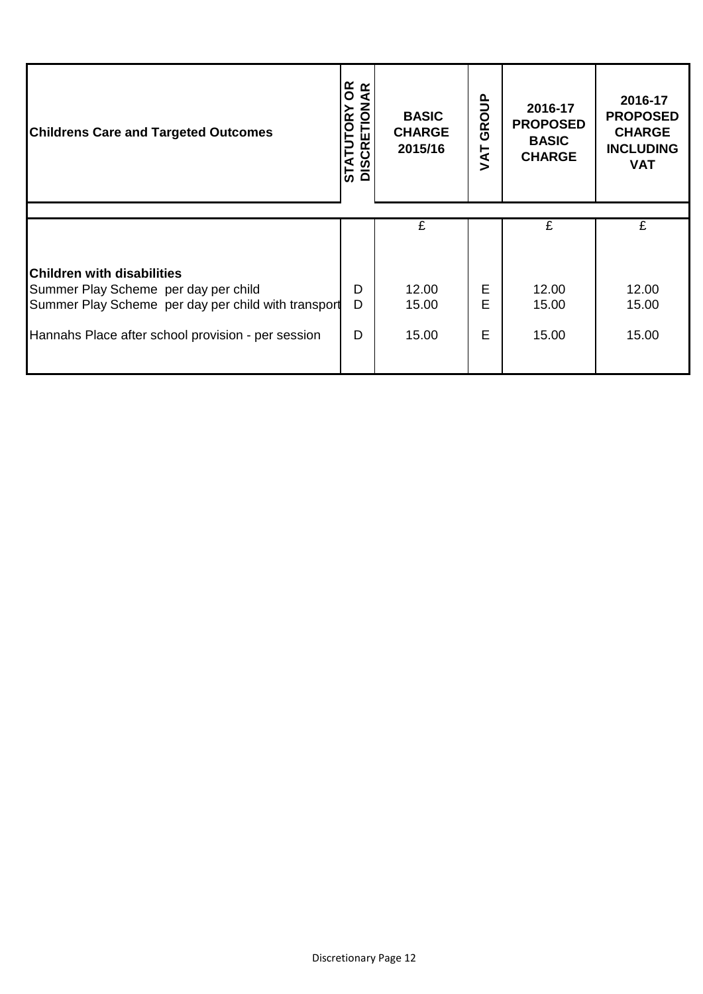| <b>Childrens Care and Targeted Outcomes</b>                                                 | <b>B</b><br><b>STATUTORY OR<br/>DISCRETIONAR</b> | <b>BASIC</b><br><b>CHARGE</b><br>2015/16 | GROUP<br>JAT | 2016-17<br><b>PROPOSED</b><br><b>BASIC</b><br><b>CHARGE</b> | 2016-17<br><b>PROPOSED</b><br><b>CHARGE</b><br><b>INCLUDING</b><br><b>VAT</b> |
|---------------------------------------------------------------------------------------------|--------------------------------------------------|------------------------------------------|--------------|-------------------------------------------------------------|-------------------------------------------------------------------------------|
|                                                                                             |                                                  |                                          |              |                                                             |                                                                               |
|                                                                                             |                                                  | £                                        |              | £                                                           | £                                                                             |
| <b>Children with disabilities</b>                                                           |                                                  |                                          |              |                                                             |                                                                               |
| Summer Play Scheme per day per child<br>Summer Play Scheme per day per child with transport | D<br>D                                           | 12.00<br>15.00                           | Е<br>E       | 12.00<br>15.00                                              | 12.00<br>15.00                                                                |
| Hannahs Place after school provision - per session                                          | D                                                | 15.00                                    | E            | 15.00                                                       | 15.00                                                                         |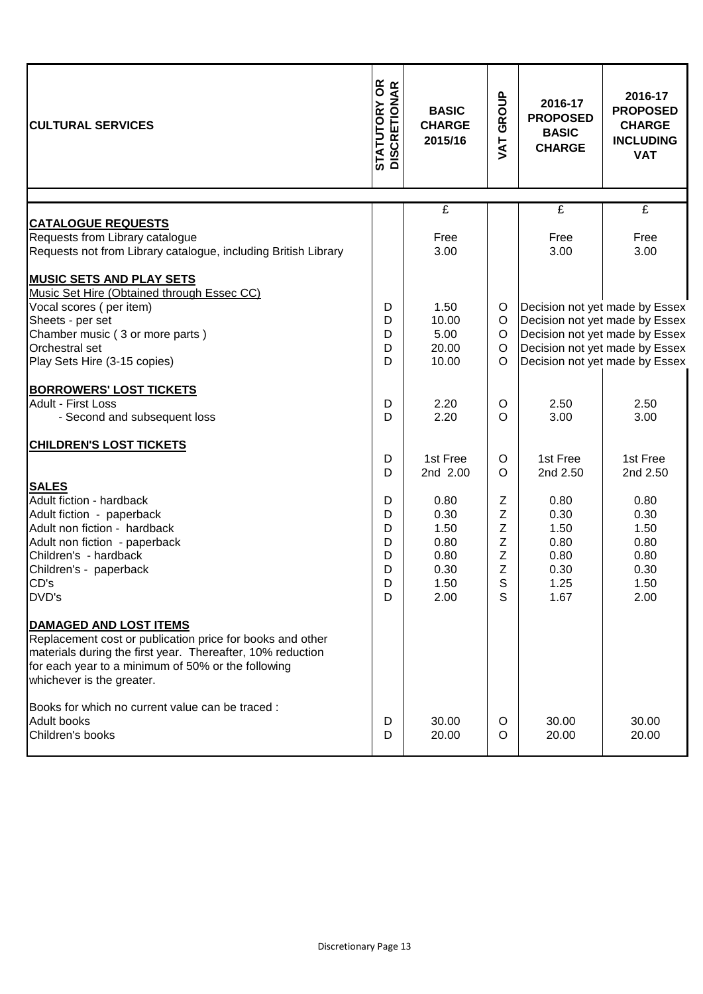| <b>STATUTORY OR<br/>DISCRETIONAR</b><br><b>CULTURAL SERVICES</b>                                                                                                                                                                            |                                      | <b>BASIC</b><br><b>CHARGE</b><br>2015/16                     | GROUP<br><b>TYN</b>                                      | 2016-17<br><b>PROPOSED</b><br><b>BASIC</b><br><b>CHARGE</b>  | 2016-17<br><b>PROPOSED</b><br><b>CHARGE</b><br><b>INCLUDING</b>                                                                                                        |
|---------------------------------------------------------------------------------------------------------------------------------------------------------------------------------------------------------------------------------------------|--------------------------------------|--------------------------------------------------------------|----------------------------------------------------------|--------------------------------------------------------------|------------------------------------------------------------------------------------------------------------------------------------------------------------------------|
|                                                                                                                                                                                                                                             |                                      |                                                              |                                                          |                                                              | <b>VAT</b>                                                                                                                                                             |
| <b>CATALOGUE REQUESTS</b><br>Requests from Library catalogue<br>Requests not from Library catalogue, including British Library                                                                                                              |                                      | $\overline{f}$<br>Free<br>3.00                               |                                                          | $\overline{f}$<br>Free<br>3.00                               | $\overline{f}$<br>Free<br>3.00                                                                                                                                         |
| <b>MUSIC SETS AND PLAY SETS</b><br>Music Set Hire (Obtained through Essec CC)<br>Vocal scores (per item)<br>Sheets - per set<br>Chamber music (3 or more parts)<br>Orchestral set<br>Play Sets Hire (3-15 copies)                           | D<br>D<br>D<br>D<br>D                | 1.50<br>10.00<br>5.00<br>20.00<br>10.00                      | O<br>$\circ$<br>$\circ$<br>$\circ$<br>$\circ$            |                                                              | Decision not yet made by Essex<br>Decision not yet made by Essex<br>Decision not yet made by Essex<br>Decision not yet made by Essex<br>Decision not yet made by Essex |
| <b>BORROWERS' LOST TICKETS</b><br><b>Adult - First Loss</b><br>- Second and subsequent loss                                                                                                                                                 | D<br>D                               | 2.20<br>2.20                                                 | O<br>$\Omega$                                            | 2.50<br>3.00                                                 | 2.50<br>3.00                                                                                                                                                           |
| <b>CHILDREN'S LOST TICKETS</b>                                                                                                                                                                                                              | D<br>D                               | 1st Free<br>2nd 2.00                                         | $\circ$<br>$\circ$                                       | 1st Free<br>2nd 2.50                                         | 1st Free<br>2nd 2.50                                                                                                                                                   |
| <b>SALES</b><br>Adult fiction - hardback<br>Adult fiction - paperback<br>Adult non fiction - hardback<br>Adult non fiction - paperback<br>Children's - hardback<br>Children's - paperback<br>CD's<br>DVD's                                  | D<br>D<br>D<br>D<br>D<br>D<br>D<br>D | 0.80<br>0.30<br>1.50<br>0.80<br>0.80<br>0.30<br>1.50<br>2.00 | $\mathsf Z$<br>Z<br>Z<br>Z<br>Z<br>$\mathsf Z$<br>S<br>S | 0.80<br>0.30<br>1.50<br>0.80<br>0.80<br>0.30<br>1.25<br>1.67 | 0.80<br>0.30<br>1.50<br>0.80<br>0.80<br>0.30<br>1.50<br>2.00                                                                                                           |
| <b>DAMAGED AND LOST ITEMS</b><br>Replacement cost or publication price for books and other<br>materials during the first year. Thereafter, 10% reduction<br>for each year to a minimum of 50% or the following<br>whichever is the greater. |                                      |                                                              |                                                          |                                                              |                                                                                                                                                                        |
| Books for which no current value can be traced :<br><b>Adult books</b><br>Children's books                                                                                                                                                  | D<br>D                               | 30.00<br>20.00                                               | $\circ$<br>O                                             | 30.00<br>20.00                                               | 30.00<br>20.00                                                                                                                                                         |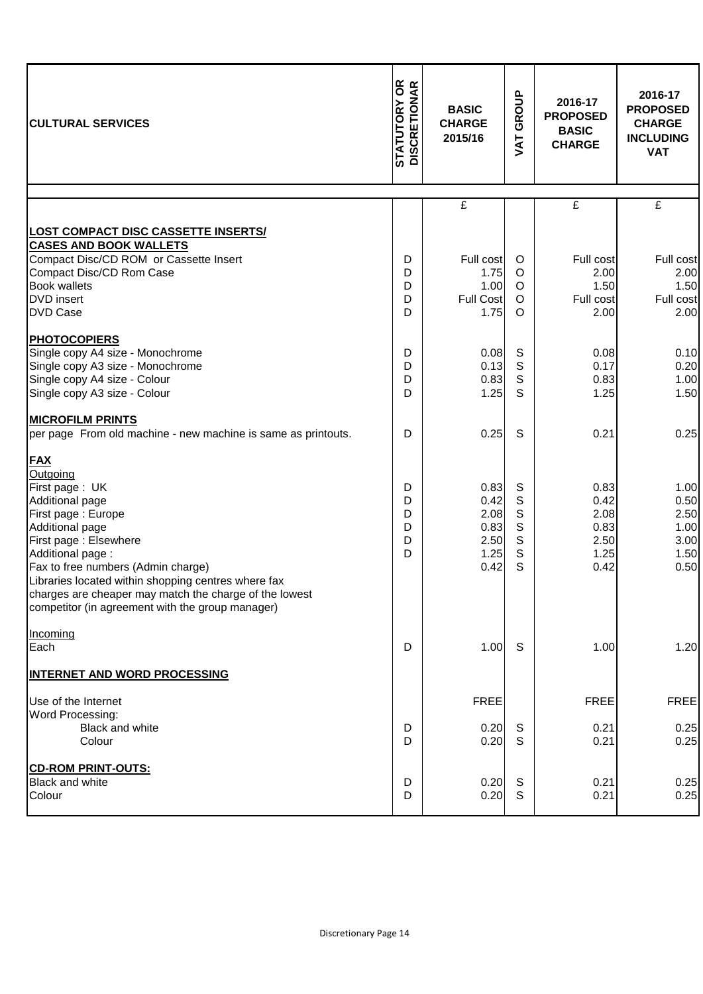| <b>CULTURAL SERVICES</b>                                                    | <b>STATUTORY OR<br/>DISCRETIONAR</b> | <b>BASIC</b><br><b>CHARGE</b><br>2015/16 |                            | 2016-17<br><b>PROPOSED</b><br><b>BASIC</b><br><b>CHARGE</b> | 2016-17<br><b>PROPOSED</b><br><b>CHARGE</b><br><b>INCLUDING</b><br><b>VAT</b> |
|-----------------------------------------------------------------------------|--------------------------------------|------------------------------------------|----------------------------|-------------------------------------------------------------|-------------------------------------------------------------------------------|
|                                                                             |                                      | $\overline{\mathbf{f}}$                  |                            | $\overline{f}$                                              | $\overline{f}$                                                                |
| <b>LOST COMPACT DISC CASSETTE INSERTS/</b><br><b>CASES AND BOOK WALLETS</b> |                                      |                                          |                            |                                                             |                                                                               |
| Compact Disc/CD ROM or Cassette Insert<br>Compact Disc/CD Rom Case          | D<br>D                               | Full cost<br>1.75                        | $\circ$<br>$\circ$         | Full cost<br>2.00                                           | Full cost<br>2.00                                                             |
| <b>Book wallets</b>                                                         | D                                    | 1.00                                     | $\circ$                    | 1.50                                                        | 1.50                                                                          |
| <b>DVD</b> insert<br><b>DVD Case</b>                                        | D<br>D                               | <b>Full Cost</b><br>1.75                 | $\circ$<br>$\circ$         | Full cost<br>2.00                                           | Full cost<br>2.00                                                             |
| <b>PHOTOCOPIERS</b>                                                         |                                      |                                          |                            |                                                             |                                                                               |
| Single copy A4 size - Monochrome                                            | D                                    | 0.08                                     | S                          | 0.08                                                        | 0.10                                                                          |
| Single copy A3 size - Monochrome<br>Single copy A4 size - Colour            | D<br>D                               | 0.13<br>0.83                             | $\mathsf S$<br>$\mathsf S$ | 0.17<br>0.83                                                | 0.20<br>1.00                                                                  |
| Single copy A3 size - Colour                                                | D                                    | 1.25                                     | S                          | 1.25                                                        | 1.50                                                                          |
| <b>MICROFILM PRINTS</b>                                                     |                                      |                                          |                            |                                                             |                                                                               |
| per page From old machine - new machine is same as printouts.               | D                                    | 0.25                                     | S                          | 0.21                                                        | 0.25                                                                          |
| <b>FAX</b>                                                                  |                                      |                                          |                            |                                                             |                                                                               |
| Outgoing                                                                    |                                      |                                          |                            |                                                             |                                                                               |
| First page: UK<br>Additional page                                           | D<br>D                               | 0.83<br>0.42                             | S<br>$\mathsf S$           | 0.83<br>0.42                                                | 1.00<br>0.50                                                                  |
| First page: Europe                                                          | D                                    | 2.08                                     | $\mathsf S$                | 2.08                                                        | 2.50                                                                          |
| Additional page                                                             | D                                    | 0.83                                     | $\mathsf S$                | 0.83                                                        | 1.00                                                                          |
| First page: Elsewhere                                                       | D                                    | 2.50                                     | $\mathsf S$                | 2.50                                                        | 3.00                                                                          |
| Additional page:<br>Fax to free numbers (Admin charge)                      | D                                    | 1.25<br>0.42                             | $\mathbf S$<br>S           | 1.25<br>0.42                                                | 1.50<br>0.50                                                                  |
| Libraries located within shopping centres where fax                         |                                      |                                          |                            |                                                             |                                                                               |
| charges are cheaper may match the charge of the lowest                      |                                      |                                          |                            |                                                             |                                                                               |
| competitor (in agreement with the group manager)                            |                                      |                                          |                            |                                                             |                                                                               |
| Incoming                                                                    |                                      |                                          |                            |                                                             |                                                                               |
| Each                                                                        | D                                    | 1.00                                     | S                          | 1.00                                                        | 1.20                                                                          |
| <b>INTERNET AND WORD PROCESSING</b>                                         |                                      |                                          |                            |                                                             |                                                                               |
| Use of the Internet                                                         |                                      | <b>FREE</b>                              |                            | <b>FREE</b>                                                 | <b>FREE</b>                                                                   |
| Word Processing:<br>Black and white                                         | D                                    | 0.20                                     | S                          | 0.21                                                        | 0.25                                                                          |
| Colour                                                                      | D                                    | 0.20                                     | S                          | 0.21                                                        | 0.25                                                                          |
| <b>CD-ROM PRINT-OUTS:</b>                                                   |                                      |                                          |                            |                                                             |                                                                               |
| <b>Black and white</b>                                                      | D                                    | 0.20                                     | S                          | 0.21                                                        | 0.25                                                                          |
| Colour                                                                      | D                                    | 0.20                                     | S                          | 0.21                                                        | 0.25                                                                          |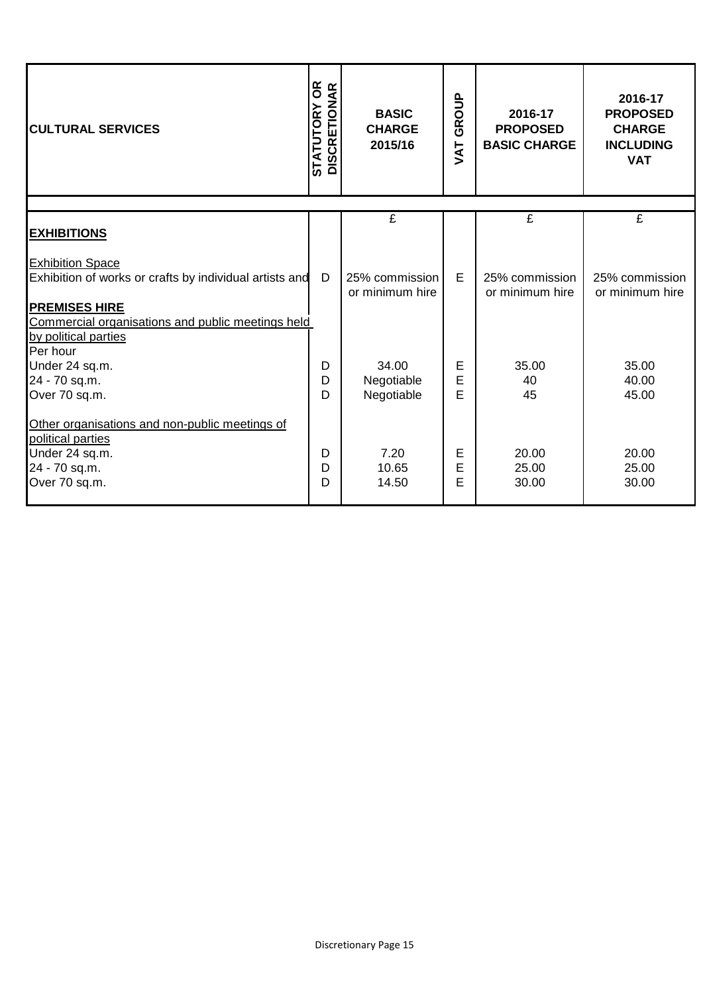| <b>CULTURAL SERVICES</b>                                                                                                                                                                | <b>STATUTORY OR<br/>DISCRETIONAR</b> | <b>BASIC</b><br><b>CHARGE</b><br>2015/16 | $rac{a}{\sigma}$<br>ĞŘ<br>TAV | 2016-17<br><b>PROPOSED</b><br><b>BASIC CHARGE</b> | 2016-17<br><b>PROPOSED</b><br><b>CHARGE</b><br><b>INCLUDING</b><br><b>VAT</b> |
|-----------------------------------------------------------------------------------------------------------------------------------------------------------------------------------------|--------------------------------------|------------------------------------------|-------------------------------|---------------------------------------------------|-------------------------------------------------------------------------------|
|                                                                                                                                                                                         |                                      | £                                        |                               | $\overline{f}$                                    | £                                                                             |
| <b>EXHIBITIONS</b>                                                                                                                                                                      |                                      |                                          |                               |                                                   |                                                                               |
| <b>Exhibition Space</b><br>Exhibition of works or crafts by individual artists and<br><b>PREMISES HIRE</b><br>Commercial organisations and public meetings held<br>by political parties | D                                    | 25% commission<br>or minimum hire        | E                             | 25% commission<br>or minimum hire                 | 25% commission<br>or minimum hire                                             |
| Per hour<br>Under 24 sq.m.<br>24 - 70 sq.m.<br>Over 70 sq.m.                                                                                                                            | D<br>D<br>D                          | 34.00<br>Negotiable<br>Negotiable        | Е<br>E<br>E                   | 35.00<br>40<br>45                                 | 35.00<br>40.00<br>45.00                                                       |
| Other organisations and non-public meetings of<br>political parties<br>Under 24 sq.m.<br>24 - 70 sq.m.<br>Over 70 sq.m.                                                                 | D<br>D<br>D                          | 7.20<br>10.65<br>14.50                   | Е<br>E<br>E                   | 20.00<br>25.00<br>30.00                           | 20.00<br>25.00<br>30.00                                                       |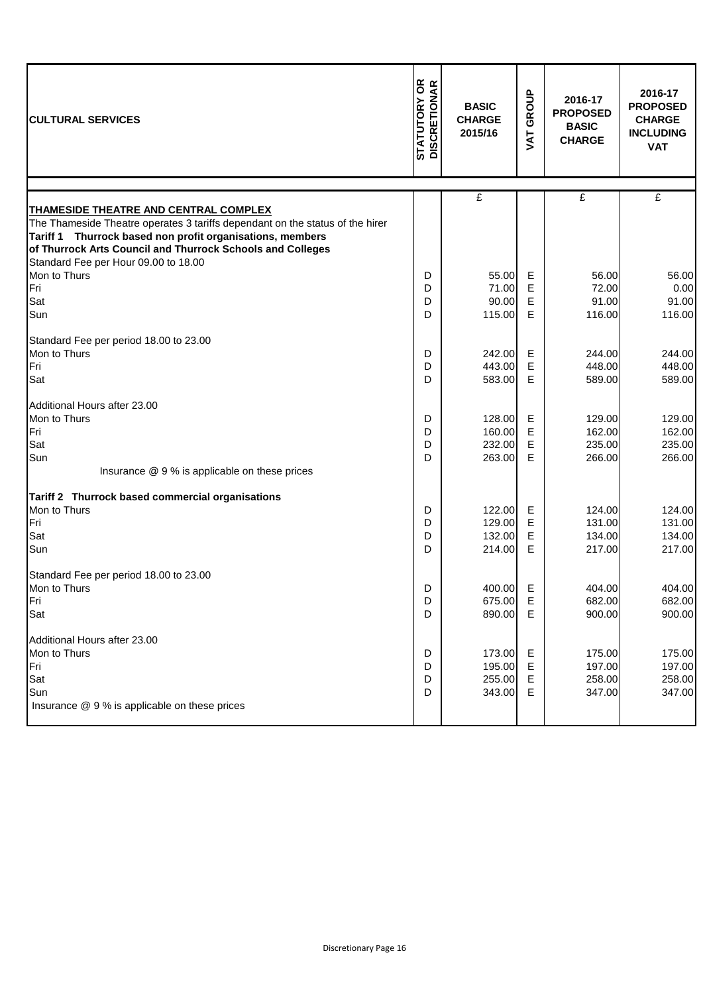| <b>CULTURAL SERVICES</b>                                                                                                                                                                                                                                                                  | <b>STATUTORY OR<br/>DISCRETIONAR</b> | <b>BASIC</b><br><b>CHARGE</b><br>2015/16 | GROUP<br>JAT     | 2016-17<br><b>PROPOSED</b><br><b>BASIC</b><br><b>CHARGE</b> | 2016-17<br><b>PROPOSED</b><br><b>CHARGE</b><br><b>INCLUDING</b><br><b>VAT</b> |
|-------------------------------------------------------------------------------------------------------------------------------------------------------------------------------------------------------------------------------------------------------------------------------------------|--------------------------------------|------------------------------------------|------------------|-------------------------------------------------------------|-------------------------------------------------------------------------------|
|                                                                                                                                                                                                                                                                                           |                                      | $\mathbf{f}$                             |                  | £                                                           | $\mathbf{f}$                                                                  |
| THAMESIDE THEATRE AND CENTRAL COMPLEX<br>The Thameside Theatre operates 3 tariffs dependant on the status of the hirer<br>Tariff 1 Thurrock based non profit organisations, members<br>of Thurrock Arts Council and Thurrock Schools and Colleges<br>Standard Fee per Hour 09.00 to 18.00 |                                      |                                          |                  |                                                             |                                                                               |
| Mon to Thurs                                                                                                                                                                                                                                                                              | D                                    | 55.00                                    | Е                | 56.00                                                       | 56.00                                                                         |
| Fri                                                                                                                                                                                                                                                                                       | D                                    | 71.00                                    | Е                | 72.00                                                       | 0.00                                                                          |
| Sat                                                                                                                                                                                                                                                                                       | D                                    | 90.00                                    | Ε                | 91.00                                                       | 91.00                                                                         |
| Sun                                                                                                                                                                                                                                                                                       | D                                    | 115.00                                   | Е                | 116.00                                                      | 116.00                                                                        |
| Standard Fee per period 18.00 to 23.00<br>Mon to Thurs<br>Fri<br>Sat                                                                                                                                                                                                                      | D<br>D<br>D                          | 242.00<br>443.00<br>583.00               | Е<br>Е<br>Е      | 244.00<br>448.00<br>589.00                                  | 244.00<br>448.00<br>589.00                                                    |
|                                                                                                                                                                                                                                                                                           |                                      |                                          |                  |                                                             |                                                                               |
| Additional Hours after 23.00<br>Mon to Thurs<br>Fri<br>Sat<br>Sun                                                                                                                                                                                                                         | D<br>D<br>D<br>D                     | 128.00<br>160.00<br>232.00<br>263.00     | E<br>Е<br>Е<br>E | 129.00<br>162.00<br>235.00<br>266.00                        | 129.00<br>162.00<br>235.00<br>266.00                                          |
| Insurance @ 9 % is applicable on these prices                                                                                                                                                                                                                                             |                                      |                                          |                  |                                                             |                                                                               |
| Tariff 2 Thurrock based commercial organisations                                                                                                                                                                                                                                          |                                      |                                          |                  |                                                             |                                                                               |
| Mon to Thurs<br>Fri<br>Sat<br>Sun                                                                                                                                                                                                                                                         | D<br>D<br>D<br>D                     | 122.00<br>129.00<br>132.00<br>214.00     | Е<br>Е<br>E<br>Е | 124.00<br>131.00<br>134.00<br>217.00                        | 124.00<br>131.00<br>134.00<br>217.00                                          |
| Standard Fee per period 18.00 to 23.00<br>Mon to Thurs<br>Fri<br>Sat                                                                                                                                                                                                                      | D<br>D<br>D                          | 400.00 E<br>675.00<br>890.00             | Е<br>Е           | 404.00<br>682.00<br>900.00                                  | 404.00<br>682.00<br>900.00                                                    |
| Additional Hours after 23.00<br>Mon to Thurs<br>Fri<br>Sat<br>Sun                                                                                                                                                                                                                         | D<br>D<br>D<br>D                     | 173.00<br>195.00<br>255.00<br>343.00     | Е<br>Е<br>Е<br>Е | 175.00<br>197.00<br>258.00<br>347.00                        | 175.00<br>197.00<br>258.00<br>347.00                                          |
| Insurance @ 9 % is applicable on these prices                                                                                                                                                                                                                                             |                                      |                                          |                  |                                                             |                                                                               |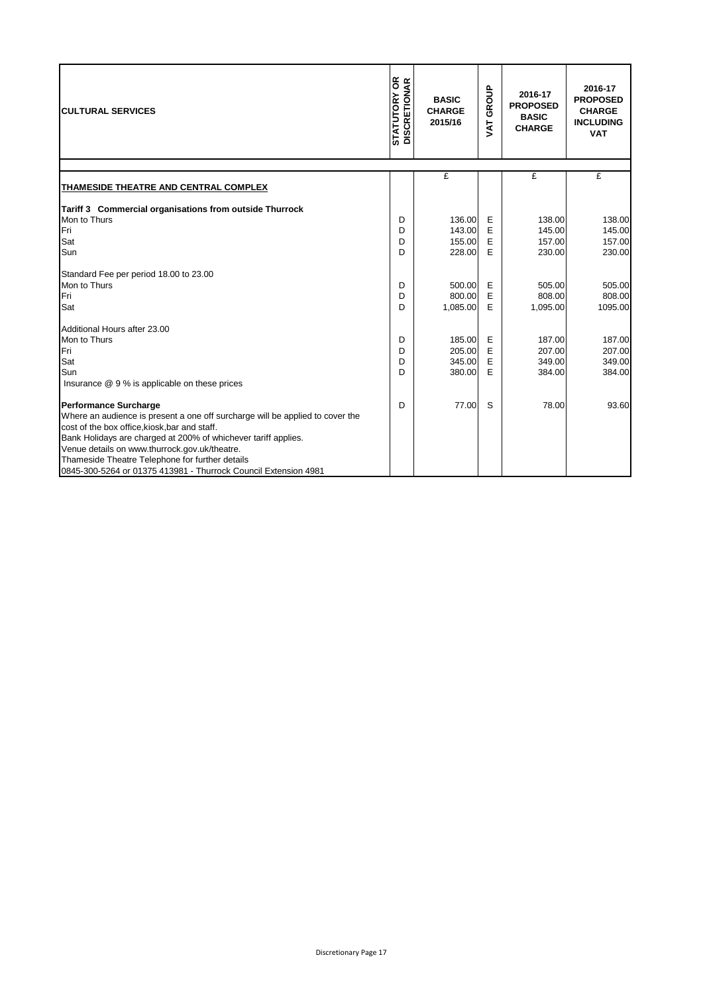| <b>CULTURAL SERVICES</b>                                                      | <b>STATUTORY OR</b><br>DISCRETIONAR | <b>BASIC</b><br><b>CHARGE</b><br>2015/16 | <b>VAT GROUP</b> | 2016-17<br><b>PROPOSED</b><br><b>BASIC</b><br><b>CHARGE</b> | 2016-17<br><b>PROPOSED</b><br><b>CHARGE</b><br><b>INCLUDING</b><br><b>VAT</b> |
|-------------------------------------------------------------------------------|-------------------------------------|------------------------------------------|------------------|-------------------------------------------------------------|-------------------------------------------------------------------------------|
|                                                                               |                                     | £                                        |                  | £                                                           | £                                                                             |
| THAMESIDE THEATRE AND CENTRAL COMPLEX                                         |                                     |                                          |                  |                                                             |                                                                               |
| Tariff 3 Commercial organisations from outside Thurrock                       |                                     |                                          |                  |                                                             |                                                                               |
| Mon to Thurs                                                                  | D                                   | 136.00                                   | E                | 138.00                                                      | 138.00                                                                        |
| Fri                                                                           | D                                   | 143.00                                   | E                | 145.00                                                      | 145.00                                                                        |
| Sat                                                                           | D                                   | 155.00                                   | E                | 157.00                                                      | 157.00                                                                        |
| Sun                                                                           | D                                   | 228.00                                   | E                | 230.00                                                      | 230.00                                                                        |
| Standard Fee per period 18.00 to 23.00                                        |                                     |                                          |                  |                                                             |                                                                               |
| Mon to Thurs                                                                  | D                                   | 500.00                                   | E                | 505.00                                                      | 505.00                                                                        |
| Fri                                                                           | D                                   | 800.00                                   | E                | 808.00                                                      | 808.00                                                                        |
| Sat                                                                           | D                                   | 1,085.00                                 | E                | 1,095.00                                                    | 1095.00                                                                       |
| Additional Hours after 23.00                                                  |                                     |                                          |                  |                                                             |                                                                               |
| Mon to Thurs                                                                  | D                                   | 185.00                                   | Е                | 187.00                                                      | 187.00                                                                        |
| Fri                                                                           | D                                   | 205.00                                   | E                | 207.00                                                      | 207.00                                                                        |
| Sat                                                                           | D                                   | 345.00                                   | E                | 349.00                                                      | 349.00                                                                        |
| Sun                                                                           | D                                   | 380.00                                   | E                | 384.00                                                      | 384.00                                                                        |
| Insurance @ 9 % is applicable on these prices                                 |                                     |                                          |                  |                                                             |                                                                               |
| <b>Performance Surcharge</b>                                                  | D                                   | 77.00                                    | S                | 78.00                                                       | 93.60                                                                         |
| Where an audience is present a one off surcharge will be applied to cover the |                                     |                                          |                  |                                                             |                                                                               |
| cost of the box office, kiosk, bar and staff.                                 |                                     |                                          |                  |                                                             |                                                                               |
| Bank Holidays are charged at 200% of whichever tariff applies.                |                                     |                                          |                  |                                                             |                                                                               |
| Venue details on www.thurrock.gov.uk/theatre.                                 |                                     |                                          |                  |                                                             |                                                                               |
| Thameside Theatre Telephone for further details                               |                                     |                                          |                  |                                                             |                                                                               |
| 0845-300-5264 or 01375 413981 - Thurrock Council Extension 4981               |                                     |                                          |                  |                                                             |                                                                               |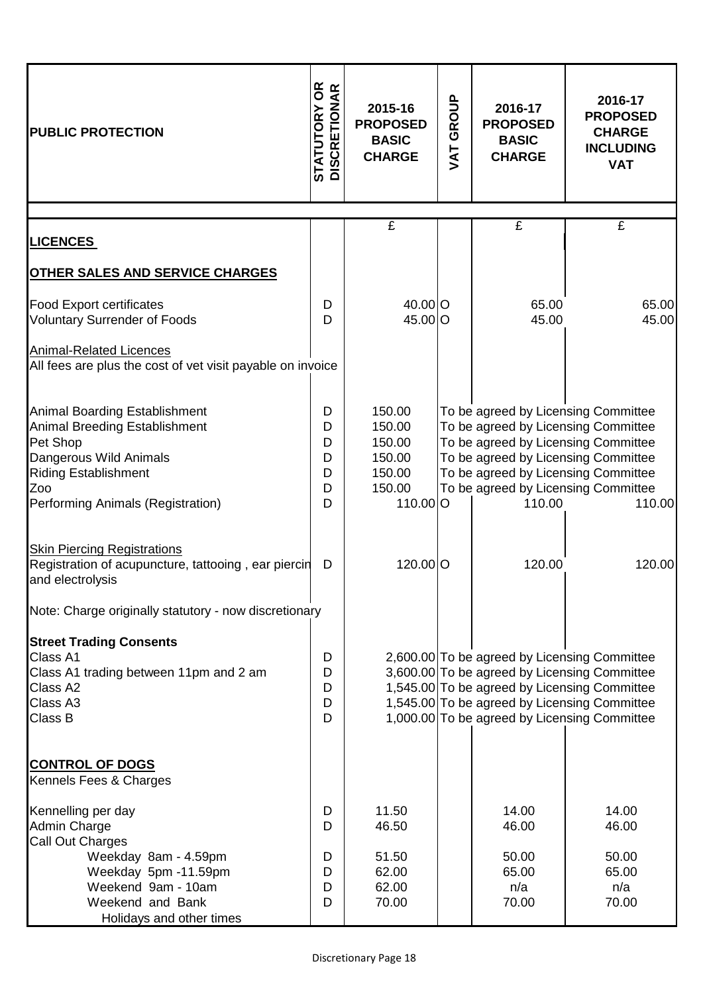| <b>PUBLIC PROTECTION</b>                                                                                                                                                                      | <b>STATUTORY OR<br/>DISCRETIONAR</b> | 2015-16<br><b>PROPOSED</b><br><b>BASIC</b><br><b>CHARGE</b>          |  | GROUP<br>JAT                                                                                                                                                                                                                                     |                                | 2016-17<br><b>PROPOSED</b><br><b>BASIC</b><br><b>CHARGE</b> | 2016-17<br><b>PROPOSED</b><br><b>CHARGE</b><br><b>INCLUDING</b><br><b>VAT</b> |
|-----------------------------------------------------------------------------------------------------------------------------------------------------------------------------------------------|--------------------------------------|----------------------------------------------------------------------|--|--------------------------------------------------------------------------------------------------------------------------------------------------------------------------------------------------------------------------------------------------|--------------------------------|-------------------------------------------------------------|-------------------------------------------------------------------------------|
|                                                                                                                                                                                               |                                      | £                                                                    |  | £                                                                                                                                                                                                                                                | £                              |                                                             |                                                                               |
| <b>LICENCES</b>                                                                                                                                                                               |                                      |                                                                      |  |                                                                                                                                                                                                                                                  |                                |                                                             |                                                                               |
| <b>OTHER SALES AND SERVICE CHARGES</b>                                                                                                                                                        |                                      |                                                                      |  |                                                                                                                                                                                                                                                  |                                |                                                             |                                                                               |
| <b>Food Export certificates</b><br><b>Voluntary Surrender of Foods</b>                                                                                                                        | D<br>D                               | 40.00 O<br>45.00 O                                                   |  | 65.00<br>45.00                                                                                                                                                                                                                                   | 65.00<br>45.00                 |                                                             |                                                                               |
| <b>Animal-Related Licences</b><br>All fees are plus the cost of vet visit payable on invoice                                                                                                  |                                      |                                                                      |  |                                                                                                                                                                                                                                                  |                                |                                                             |                                                                               |
| <b>Animal Boarding Establishment</b><br><b>Animal Breeding Establishment</b><br>Pet Shop<br>Dangerous Wild Animals<br><b>Riding Establishment</b><br>Zoo<br>Performing Animals (Registration) | D<br>D<br>D<br>D<br>D<br>D<br>D      | 150.00<br>150.00<br>150.00<br>150.00<br>150.00<br>150.00<br>110.00 O |  | To be agreed by Licensing Committee<br>To be agreed by Licensing Committee<br>To be agreed by Licensing Committee<br>To be agreed by Licensing Committee<br>To be agreed by Licensing Committee<br>To be agreed by Licensing Committee<br>110.00 | 110.00                         |                                                             |                                                                               |
| <b>Skin Piercing Registrations</b><br>Registration of acupuncture, tattooing, ear piercin<br>and electrolysis                                                                                 | D                                    | 120.00 O                                                             |  | 120.00                                                                                                                                                                                                                                           | 120.00                         |                                                             |                                                                               |
| Note: Charge originally statutory - now discretionary                                                                                                                                         |                                      |                                                                      |  |                                                                                                                                                                                                                                                  |                                |                                                             |                                                                               |
| <b>Street Trading Consents</b><br>Class A1<br>Class A1 trading between 11pm and 2 am<br>Class A2<br>Class A3<br>Class B                                                                       | D<br>D<br>D<br>D<br>D                |                                                                      |  | 2,600.00 To be agreed by Licensing Committee<br>3,600.00 To be agreed by Licensing Committee<br>1,545.00 To be agreed by Licensing Committee<br>1,545.00 To be agreed by Licensing Committee<br>1,000.00 To be agreed by Licensing Committee     |                                |                                                             |                                                                               |
| <b>CONTROL OF DOGS</b><br>Kennels Fees & Charges                                                                                                                                              |                                      |                                                                      |  |                                                                                                                                                                                                                                                  |                                |                                                             |                                                                               |
| Kennelling per day<br>Admin Charge<br>Call Out Charges                                                                                                                                        | D<br>D                               | 11.50<br>46.50                                                       |  | 14.00<br>46.00                                                                                                                                                                                                                                   | 14.00<br>46.00                 |                                                             |                                                                               |
| Weekday 8am - 4.59pm<br>Weekday 5pm -11.59pm<br>Weekend 9am - 10am<br>Weekend and Bank<br>Holidays and other times                                                                            | D<br>D<br>D<br>D                     | 51.50<br>62.00<br>62.00<br>70.00                                     |  | 50.00<br>65.00<br>n/a<br>70.00                                                                                                                                                                                                                   | 50.00<br>65.00<br>n/a<br>70.00 |                                                             |                                                                               |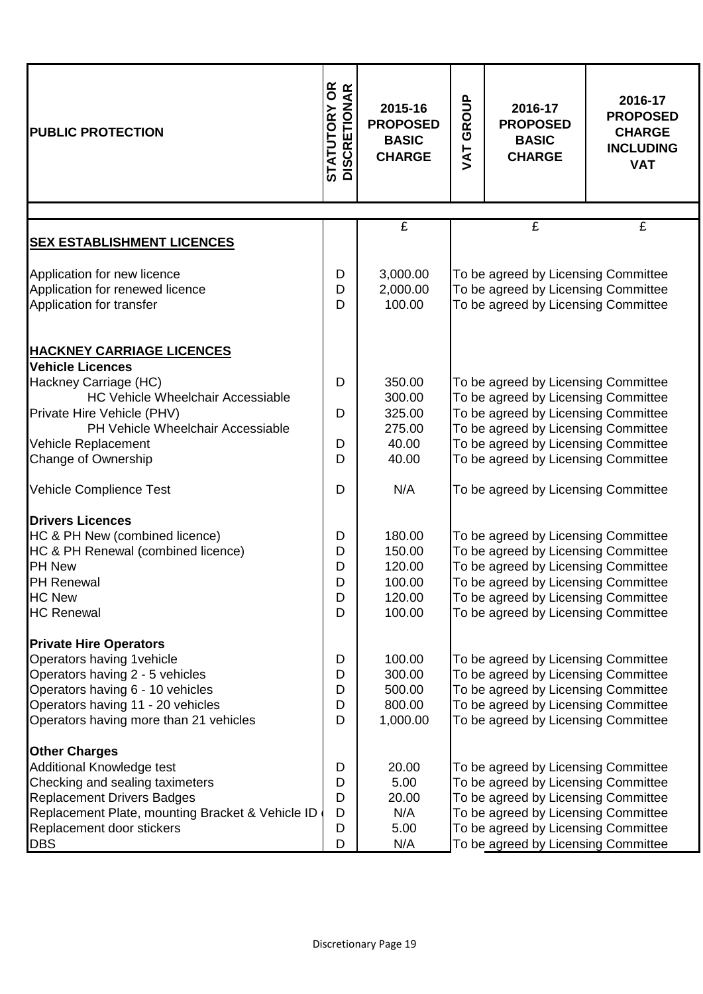| <b>PUBLIC PROTECTION</b>                                                                                                                                                                                                 | <b>TATUTORY OR<br/>ISCRETIONAR</b><br><b>STATUTORY</b><br>DISCRETION | 2015-16<br><b>PROPOSED</b><br><b>BASIC</b><br><b>CHARGE</b> | GROUP<br>JAT | 2016-17<br><b>PROPOSED</b><br><b>BASIC</b><br><b>CHARGE</b>                                                                                                                                                                            | 2016-17<br><b>PROPOSED</b><br><b>CHARGE</b><br><b>INCLUDING</b><br><b>VAT</b> |
|--------------------------------------------------------------------------------------------------------------------------------------------------------------------------------------------------------------------------|----------------------------------------------------------------------|-------------------------------------------------------------|--------------|----------------------------------------------------------------------------------------------------------------------------------------------------------------------------------------------------------------------------------------|-------------------------------------------------------------------------------|
|                                                                                                                                                                                                                          |                                                                      | £                                                           |              | £                                                                                                                                                                                                                                      | £                                                                             |
| <b>SEX ESTABLISHMENT LICENCES</b>                                                                                                                                                                                        |                                                                      |                                                             |              |                                                                                                                                                                                                                                        |                                                                               |
| Application for new licence<br>Application for renewed licence<br>Application for transfer                                                                                                                               | D<br>D<br>D                                                          | 3,000.00<br>2,000.00<br>100.00                              |              | To be agreed by Licensing Committee<br>To be agreed by Licensing Committee<br>To be agreed by Licensing Committee                                                                                                                      |                                                                               |
| <b>HACKNEY CARRIAGE LICENCES</b>                                                                                                                                                                                         |                                                                      |                                                             |              |                                                                                                                                                                                                                                        |                                                                               |
| <b>Vehicle Licences</b><br>Hackney Carriage (HC)<br><b>HC Vehicle Wheelchair Accessiable</b>                                                                                                                             | D                                                                    | 350.00<br>300.00                                            |              | To be agreed by Licensing Committee<br>To be agreed by Licensing Committee                                                                                                                                                             |                                                                               |
| Private Hire Vehicle (PHV)<br>PH Vehicle Wheelchair Accessiable                                                                                                                                                          | D                                                                    | 325.00<br>275.00                                            |              | To be agreed by Licensing Committee<br>To be agreed by Licensing Committee                                                                                                                                                             |                                                                               |
| Vehicle Replacement<br>Change of Ownership                                                                                                                                                                               | D<br>D                                                               | 40.00<br>40.00                                              |              | To be agreed by Licensing Committee<br>To be agreed by Licensing Committee                                                                                                                                                             |                                                                               |
| Vehicle Complience Test                                                                                                                                                                                                  | D                                                                    | N/A                                                         |              | To be agreed by Licensing Committee                                                                                                                                                                                                    |                                                                               |
| <b>Drivers Licences</b><br>HC & PH New (combined licence)<br>HC & PH Renewal (combined licence)<br><b>PH New</b><br>PH Renewal<br><b>HC New</b><br><b>HC Renewal</b>                                                     | D<br>D<br>D<br>D<br>D<br>D                                           | 180.00<br>150.00<br>120.00<br>100.00<br>120.00<br>100.00    |              | To be agreed by Licensing Committee<br>To be agreed by Licensing Committee<br>To be agreed by Licensing Committee<br>To be agreed by Licensing Committee<br>To be agreed by Licensing Committee<br>To be agreed by Licensing Committee |                                                                               |
| <b>Private Hire Operators</b><br>Operators having 1 vehicle<br>Operators having 2 - 5 vehicles<br>Operators having 6 - 10 vehicles<br>Operators having 11 - 20 vehicles<br>Operators having more than 21 vehicles        | D<br>D<br>D<br>D<br>D                                                | 100.00<br>300.00<br>500.00<br>800.00<br>1,000.00            |              | To be agreed by Licensing Committee<br>To be agreed by Licensing Committee<br>To be agreed by Licensing Committee<br>To be agreed by Licensing Committee<br>To be agreed by Licensing Committee                                        |                                                                               |
| <b>Other Charges</b><br>Additional Knowledge test<br>Checking and sealing taximeters<br><b>Replacement Drivers Badges</b><br>Replacement Plate, mounting Bracket & Vehicle ID<br>Replacement door stickers<br><b>DBS</b> | D<br>D<br>D<br>D<br>D<br>D                                           | 20.00<br>5.00<br>20.00<br>N/A<br>5.00<br>N/A                |              | To be agreed by Licensing Committee<br>To be agreed by Licensing Committee<br>To be agreed by Licensing Committee<br>To be agreed by Licensing Committee<br>To be agreed by Licensing Committee<br>To be agreed by Licensing Committee |                                                                               |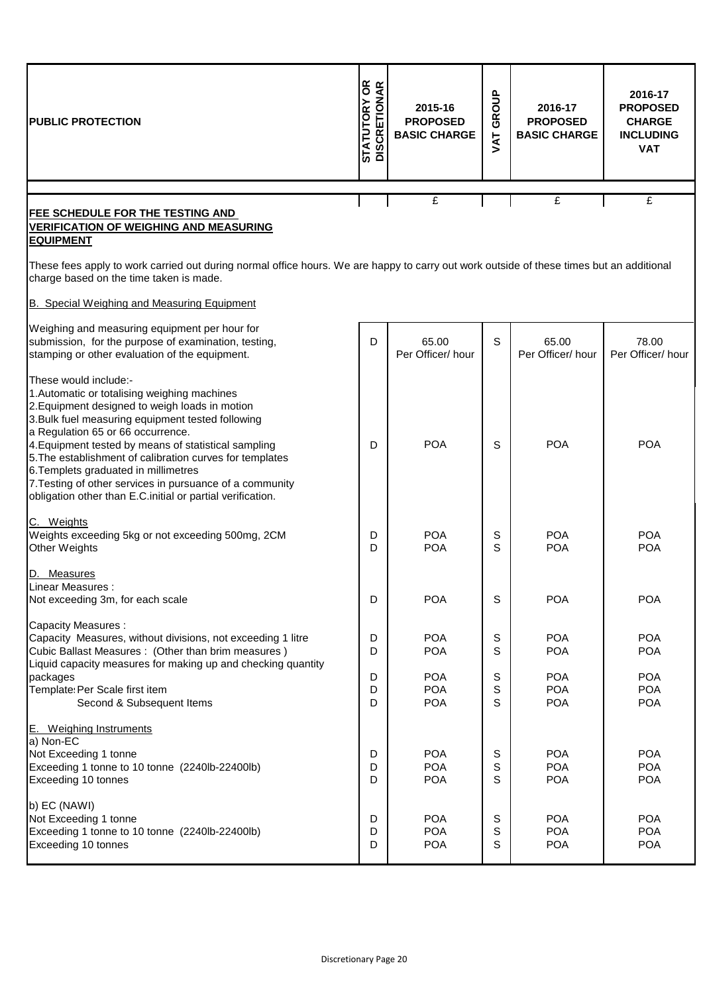| <b>PUBLIC PROTECTION</b>                                                                                                                                                                                                                                                                                                                                                                                                                                                                                | <b>STATUTORY OR<br/>DISCRETIONAR</b> | 2015-16<br><b>PROPOSED</b><br><b>BASIC CHARGE</b> | GROUP<br><b>TAV</b> | 2016-17<br><b>PROPOSED</b><br><b>BASIC CHARGE</b> | 2016-17<br><b>PROPOSED</b><br><b>CHARGE</b><br><b>INCLUDING</b><br><b>VAT</b> |
|---------------------------------------------------------------------------------------------------------------------------------------------------------------------------------------------------------------------------------------------------------------------------------------------------------------------------------------------------------------------------------------------------------------------------------------------------------------------------------------------------------|--------------------------------------|---------------------------------------------------|---------------------|---------------------------------------------------|-------------------------------------------------------------------------------|
|                                                                                                                                                                                                                                                                                                                                                                                                                                                                                                         |                                      |                                                   |                     |                                                   |                                                                               |
| FEE SCHEDULE FOR THE TESTING AND<br><b>VERIFICATION OF WEIGHING AND MEASURING</b><br><b>EQUIPMENT</b>                                                                                                                                                                                                                                                                                                                                                                                                   |                                      | £                                                 |                     | £                                                 | £                                                                             |
| These fees apply to work carried out during normal office hours. We are happy to carry out work outside of these times but an additional<br>charge based on the time taken is made.                                                                                                                                                                                                                                                                                                                     |                                      |                                                   |                     |                                                   |                                                                               |
| B. Special Weighing and Measuring Equipment                                                                                                                                                                                                                                                                                                                                                                                                                                                             |                                      |                                                   |                     |                                                   |                                                                               |
| Weighing and measuring equipment per hour for<br>submission, for the purpose of examination, testing,<br>stamping or other evaluation of the equipment.                                                                                                                                                                                                                                                                                                                                                 | D                                    | 65.00<br>Per Officer/hour                         | S                   | 65.00<br>Per Officer/hour                         | 78.00<br>Per Officer/hour                                                     |
| These would include:-<br>1. Automatic or totalising weighing machines<br>2. Equipment designed to weigh loads in motion<br>3. Bulk fuel measuring equipment tested following<br>a Regulation 65 or 66 occurrence.<br>4. Equipment tested by means of statistical sampling<br>5. The establishment of calibration curves for templates<br>6. Templets graduated in millimetres<br>7. Testing of other services in pursuance of a community<br>obligation other than E.C.initial or partial verification. | D                                    | <b>POA</b>                                        | S                   | <b>POA</b>                                        | <b>POA</b>                                                                    |
| C. Weights<br>Weights exceeding 5kg or not exceeding 500mg, 2CM<br><b>Other Weights</b>                                                                                                                                                                                                                                                                                                                                                                                                                 | D<br>D                               | <b>POA</b><br><b>POA</b>                          | S<br>S              | <b>POA</b><br><b>POA</b>                          | <b>POA</b><br><b>POA</b>                                                      |
| D. Measures<br>Linear Measures :<br>Not exceeding 3m, for each scale                                                                                                                                                                                                                                                                                                                                                                                                                                    | D                                    | <b>POA</b>                                        | S                   | <b>POA</b>                                        | <b>POA</b>                                                                    |
| <b>Capacity Measures:</b><br>Capacity Measures, without divisions, not exceeding 1 litre<br>Cubic Ballast Measures : (Other than brim measures)<br>Liquid capacity measures for making up and checking quantity                                                                                                                                                                                                                                                                                         | D<br>D                               | <b>POA</b><br><b>POA</b>                          | $\mathbb S$<br>S    | <b>POA</b><br><b>POA</b>                          | <b>POA</b><br><b>POA</b>                                                      |
| packages<br>Template: Per Scale first item<br>Second & Subsequent Items                                                                                                                                                                                                                                                                                                                                                                                                                                 | D<br>D<br>D                          | <b>POA</b><br><b>POA</b><br><b>POA</b>            | S<br>S<br>S         | <b>POA</b><br><b>POA</b><br><b>POA</b>            | <b>POA</b><br><b>POA</b><br><b>POA</b>                                        |
| E. Weighing Instruments<br>a) Non-EC<br>Not Exceeding 1 tonne<br>Exceeding 1 tonne to 10 tonne (2240lb-22400lb)<br>Exceeding 10 tonnes                                                                                                                                                                                                                                                                                                                                                                  | D<br>D<br>D                          | <b>POA</b><br><b>POA</b><br><b>POA</b>            | S<br>S<br>S         | <b>POA</b><br><b>POA</b><br><b>POA</b>            | <b>POA</b><br><b>POA</b><br><b>POA</b>                                        |
| b) EC (NAWI)<br>Not Exceeding 1 tonne<br>Exceeding 1 tonne to 10 tonne (2240lb-22400lb)<br>Exceeding 10 tonnes                                                                                                                                                                                                                                                                                                                                                                                          | D<br>D<br>D                          | <b>POA</b><br><b>POA</b><br><b>POA</b>            | S<br>S<br>S         | <b>POA</b><br><b>POA</b><br><b>POA</b>            | <b>POA</b><br><b>POA</b><br><b>POA</b>                                        |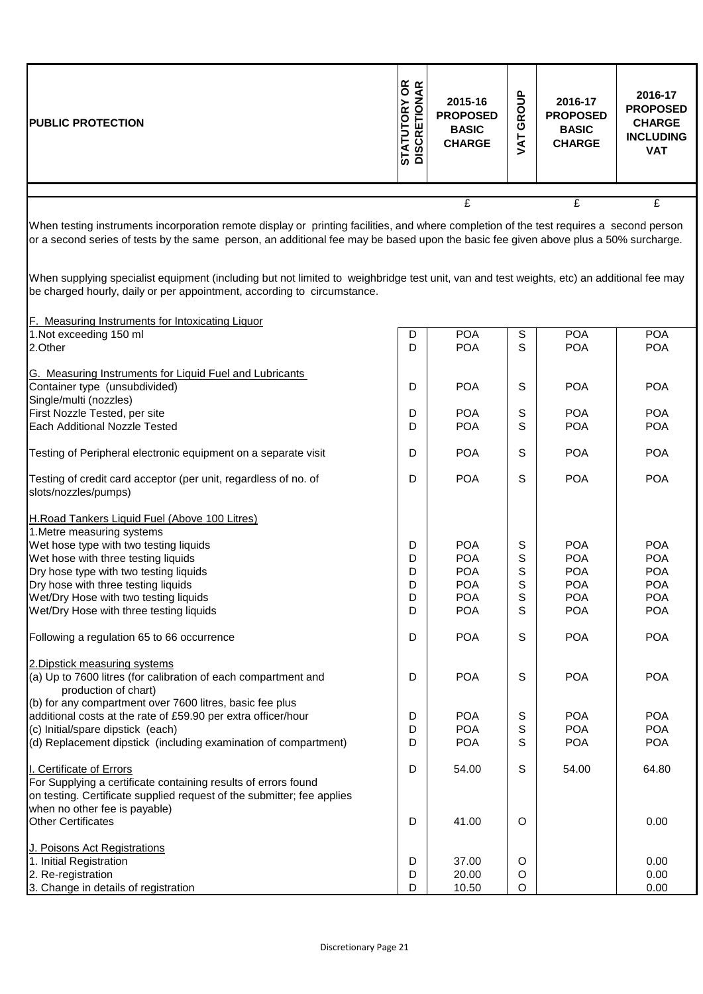| <b>PUBLIC PROTECTION</b> | 6R<br>≃<br><b>STATUTORY</b><br>DISCRETION | 2015-16<br><b>PROPOSED</b><br><b>BASIC</b><br><b>CHARGE</b> | <u>a</u><br>コ<br><b>RO</b><br>ඏ<br>⊢<br>⋖<br>> | 2016-17<br><b>PROPOSED</b><br><b>BASIC</b><br><b>CHARGE</b> | 2016-17<br><b>PROPOSED</b><br><b>CHARGE</b><br><b>INCLUDING</b><br><b>VAT</b> |
|--------------------------|-------------------------------------------|-------------------------------------------------------------|------------------------------------------------|-------------------------------------------------------------|-------------------------------------------------------------------------------|
|                          |                                           |                                                             |                                                |                                                             |                                                                               |
|                          |                                           |                                                             |                                                | £                                                           |                                                                               |

When testing instruments incorporation remote display or printing facilities, and where completion of the test requires a second person or a second series of tests by the same person, an additional fee may be based upon the basic fee given above plus a 50% surcharge.

When supplying specialist equipment (including but not limited to weighbridge test unit, van and test weights, etc) an additional fee may be charged hourly, daily or per appointment, according to circumstance.

| <b>POA</b><br><b>POA</b><br><b>POA</b><br>S<br>D<br>S<br>D<br><b>POA</b><br><b>POA</b><br><b>POA</b><br>G. Measuring Instruments for Liquid Fuel and Lubricants<br>Container type (unsubdivided)<br><b>POA</b><br>S<br><b>POA</b><br>D<br><b>POA</b><br>Single/multi (nozzles)<br><b>POA</b><br>S<br><b>POA</b><br><b>POA</b><br>First Nozzle Tested, per site<br>D<br>S<br>Each Additional Nozzle Tested<br>D<br><b>POA</b><br><b>POA</b><br><b>POA</b><br>D<br><b>POA</b><br>S<br><b>POA</b><br><b>POA</b><br>S<br>D<br><b>POA</b><br><b>POA</b><br><b>POA</b><br>slots/nozzles/pumps)<br>1. Metre measuring systems<br>S<br>D<br><b>POA</b><br><b>POA</b><br><b>POA</b><br><b>POA</b><br>S<br><b>POA</b><br>D<br><b>POA</b><br>S<br>D<br><b>POA</b><br><b>POA</b><br><b>POA</b><br><b>POA</b><br>Dry hose with three testing liquids<br>D<br><b>POA</b><br>S<br><b>POA</b><br>S<br><b>POA</b><br>Wet/Dry Hose with two testing liquids<br>D<br><b>POA</b><br><b>POA</b><br>S<br>D<br><b>POA</b><br><b>POA</b><br><b>POA</b><br><b>POA</b><br>S<br><b>POA</b><br><b>POA</b><br>D<br>2. Dipstick measuring systems<br>D<br><b>POA</b><br>S<br><b>POA</b><br>(a) Up to 7600 litres (for calibration of each compartment and<br><b>POA</b><br>production of chart)<br>(b) for any compartment over 7600 litres, basic fee plus<br>S<br><b>POA</b><br>additional costs at the rate of £59.90 per extra officer/hour<br>D<br><b>POA</b><br><b>POA</b><br><b>POA</b><br>S<br><b>POA</b><br><b>POA</b><br>(c) Initial/spare dipstick (each)<br>D<br>(d) Replacement dipstick (including examination of compartment)<br>D<br><b>POA</b><br>S<br><b>POA</b><br><b>POA</b><br>S<br>54.00<br>D<br>54.00<br>64.80<br>For Supplying a certificate containing results of errors found<br>on testing. Certificate supplied request of the submitter; fee applies<br><b>Other Certificates</b><br>D<br>41.00<br>$\circ$<br>0.00<br>J. Poisons Act Registrations<br>1. Initial Registration<br>D<br>37.00<br>$\circ$<br>0.00<br>D<br>20.00<br>0.00<br>2. Re-registration<br>O<br>D<br>O<br>3. Change in details of registration<br>10.50<br>0.00 | F. Measuring Instruments for Intoxicating Liquor                |  |  |  |
|-----------------------------------------------------------------------------------------------------------------------------------------------------------------------------------------------------------------------------------------------------------------------------------------------------------------------------------------------------------------------------------------------------------------------------------------------------------------------------------------------------------------------------------------------------------------------------------------------------------------------------------------------------------------------------------------------------------------------------------------------------------------------------------------------------------------------------------------------------------------------------------------------------------------------------------------------------------------------------------------------------------------------------------------------------------------------------------------------------------------------------------------------------------------------------------------------------------------------------------------------------------------------------------------------------------------------------------------------------------------------------------------------------------------------------------------------------------------------------------------------------------------------------------------------------------------------------------------------------------------------------------------------------------------------------------------------------------------------------------------------------------------------------------------------------------------------------------------------------------------------------------------------------------------------------------------------------------------------------------------------------------------------------------------------------------------------------------------------------------------------------------|-----------------------------------------------------------------|--|--|--|
|                                                                                                                                                                                                                                                                                                                                                                                                                                                                                                                                                                                                                                                                                                                                                                                                                                                                                                                                                                                                                                                                                                                                                                                                                                                                                                                                                                                                                                                                                                                                                                                                                                                                                                                                                                                                                                                                                                                                                                                                                                                                                                                                   | 1.Not exceeding 150 ml                                          |  |  |  |
|                                                                                                                                                                                                                                                                                                                                                                                                                                                                                                                                                                                                                                                                                                                                                                                                                                                                                                                                                                                                                                                                                                                                                                                                                                                                                                                                                                                                                                                                                                                                                                                                                                                                                                                                                                                                                                                                                                                                                                                                                                                                                                                                   | 2.Other                                                         |  |  |  |
|                                                                                                                                                                                                                                                                                                                                                                                                                                                                                                                                                                                                                                                                                                                                                                                                                                                                                                                                                                                                                                                                                                                                                                                                                                                                                                                                                                                                                                                                                                                                                                                                                                                                                                                                                                                                                                                                                                                                                                                                                                                                                                                                   |                                                                 |  |  |  |
|                                                                                                                                                                                                                                                                                                                                                                                                                                                                                                                                                                                                                                                                                                                                                                                                                                                                                                                                                                                                                                                                                                                                                                                                                                                                                                                                                                                                                                                                                                                                                                                                                                                                                                                                                                                                                                                                                                                                                                                                                                                                                                                                   |                                                                 |  |  |  |
|                                                                                                                                                                                                                                                                                                                                                                                                                                                                                                                                                                                                                                                                                                                                                                                                                                                                                                                                                                                                                                                                                                                                                                                                                                                                                                                                                                                                                                                                                                                                                                                                                                                                                                                                                                                                                                                                                                                                                                                                                                                                                                                                   |                                                                 |  |  |  |
|                                                                                                                                                                                                                                                                                                                                                                                                                                                                                                                                                                                                                                                                                                                                                                                                                                                                                                                                                                                                                                                                                                                                                                                                                                                                                                                                                                                                                                                                                                                                                                                                                                                                                                                                                                                                                                                                                                                                                                                                                                                                                                                                   |                                                                 |  |  |  |
|                                                                                                                                                                                                                                                                                                                                                                                                                                                                                                                                                                                                                                                                                                                                                                                                                                                                                                                                                                                                                                                                                                                                                                                                                                                                                                                                                                                                                                                                                                                                                                                                                                                                                                                                                                                                                                                                                                                                                                                                                                                                                                                                   |                                                                 |  |  |  |
|                                                                                                                                                                                                                                                                                                                                                                                                                                                                                                                                                                                                                                                                                                                                                                                                                                                                                                                                                                                                                                                                                                                                                                                                                                                                                                                                                                                                                                                                                                                                                                                                                                                                                                                                                                                                                                                                                                                                                                                                                                                                                                                                   |                                                                 |  |  |  |
|                                                                                                                                                                                                                                                                                                                                                                                                                                                                                                                                                                                                                                                                                                                                                                                                                                                                                                                                                                                                                                                                                                                                                                                                                                                                                                                                                                                                                                                                                                                                                                                                                                                                                                                                                                                                                                                                                                                                                                                                                                                                                                                                   | Testing of Peripheral electronic equipment on a separate visit  |  |  |  |
|                                                                                                                                                                                                                                                                                                                                                                                                                                                                                                                                                                                                                                                                                                                                                                                                                                                                                                                                                                                                                                                                                                                                                                                                                                                                                                                                                                                                                                                                                                                                                                                                                                                                                                                                                                                                                                                                                                                                                                                                                                                                                                                                   | Testing of credit card acceptor (per unit, regardless of no. of |  |  |  |
|                                                                                                                                                                                                                                                                                                                                                                                                                                                                                                                                                                                                                                                                                                                                                                                                                                                                                                                                                                                                                                                                                                                                                                                                                                                                                                                                                                                                                                                                                                                                                                                                                                                                                                                                                                                                                                                                                                                                                                                                                                                                                                                                   |                                                                 |  |  |  |
|                                                                                                                                                                                                                                                                                                                                                                                                                                                                                                                                                                                                                                                                                                                                                                                                                                                                                                                                                                                                                                                                                                                                                                                                                                                                                                                                                                                                                                                                                                                                                                                                                                                                                                                                                                                                                                                                                                                                                                                                                                                                                                                                   | H.Road Tankers Liquid Fuel (Above 100 Litres)                   |  |  |  |
|                                                                                                                                                                                                                                                                                                                                                                                                                                                                                                                                                                                                                                                                                                                                                                                                                                                                                                                                                                                                                                                                                                                                                                                                                                                                                                                                                                                                                                                                                                                                                                                                                                                                                                                                                                                                                                                                                                                                                                                                                                                                                                                                   |                                                                 |  |  |  |
|                                                                                                                                                                                                                                                                                                                                                                                                                                                                                                                                                                                                                                                                                                                                                                                                                                                                                                                                                                                                                                                                                                                                                                                                                                                                                                                                                                                                                                                                                                                                                                                                                                                                                                                                                                                                                                                                                                                                                                                                                                                                                                                                   | Wet hose type with two testing liquids                          |  |  |  |
|                                                                                                                                                                                                                                                                                                                                                                                                                                                                                                                                                                                                                                                                                                                                                                                                                                                                                                                                                                                                                                                                                                                                                                                                                                                                                                                                                                                                                                                                                                                                                                                                                                                                                                                                                                                                                                                                                                                                                                                                                                                                                                                                   | Wet hose with three testing liquids                             |  |  |  |
|                                                                                                                                                                                                                                                                                                                                                                                                                                                                                                                                                                                                                                                                                                                                                                                                                                                                                                                                                                                                                                                                                                                                                                                                                                                                                                                                                                                                                                                                                                                                                                                                                                                                                                                                                                                                                                                                                                                                                                                                                                                                                                                                   | Dry hose type with two testing liquids                          |  |  |  |
|                                                                                                                                                                                                                                                                                                                                                                                                                                                                                                                                                                                                                                                                                                                                                                                                                                                                                                                                                                                                                                                                                                                                                                                                                                                                                                                                                                                                                                                                                                                                                                                                                                                                                                                                                                                                                                                                                                                                                                                                                                                                                                                                   |                                                                 |  |  |  |
|                                                                                                                                                                                                                                                                                                                                                                                                                                                                                                                                                                                                                                                                                                                                                                                                                                                                                                                                                                                                                                                                                                                                                                                                                                                                                                                                                                                                                                                                                                                                                                                                                                                                                                                                                                                                                                                                                                                                                                                                                                                                                                                                   |                                                                 |  |  |  |
|                                                                                                                                                                                                                                                                                                                                                                                                                                                                                                                                                                                                                                                                                                                                                                                                                                                                                                                                                                                                                                                                                                                                                                                                                                                                                                                                                                                                                                                                                                                                                                                                                                                                                                                                                                                                                                                                                                                                                                                                                                                                                                                                   | Wet/Dry Hose with three testing liquids                         |  |  |  |
|                                                                                                                                                                                                                                                                                                                                                                                                                                                                                                                                                                                                                                                                                                                                                                                                                                                                                                                                                                                                                                                                                                                                                                                                                                                                                                                                                                                                                                                                                                                                                                                                                                                                                                                                                                                                                                                                                                                                                                                                                                                                                                                                   | Following a regulation 65 to 66 occurrence                      |  |  |  |
|                                                                                                                                                                                                                                                                                                                                                                                                                                                                                                                                                                                                                                                                                                                                                                                                                                                                                                                                                                                                                                                                                                                                                                                                                                                                                                                                                                                                                                                                                                                                                                                                                                                                                                                                                                                                                                                                                                                                                                                                                                                                                                                                   |                                                                 |  |  |  |
|                                                                                                                                                                                                                                                                                                                                                                                                                                                                                                                                                                                                                                                                                                                                                                                                                                                                                                                                                                                                                                                                                                                                                                                                                                                                                                                                                                                                                                                                                                                                                                                                                                                                                                                                                                                                                                                                                                                                                                                                                                                                                                                                   |                                                                 |  |  |  |
|                                                                                                                                                                                                                                                                                                                                                                                                                                                                                                                                                                                                                                                                                                                                                                                                                                                                                                                                                                                                                                                                                                                                                                                                                                                                                                                                                                                                                                                                                                                                                                                                                                                                                                                                                                                                                                                                                                                                                                                                                                                                                                                                   |                                                                 |  |  |  |
|                                                                                                                                                                                                                                                                                                                                                                                                                                                                                                                                                                                                                                                                                                                                                                                                                                                                                                                                                                                                                                                                                                                                                                                                                                                                                                                                                                                                                                                                                                                                                                                                                                                                                                                                                                                                                                                                                                                                                                                                                                                                                                                                   |                                                                 |  |  |  |
|                                                                                                                                                                                                                                                                                                                                                                                                                                                                                                                                                                                                                                                                                                                                                                                                                                                                                                                                                                                                                                                                                                                                                                                                                                                                                                                                                                                                                                                                                                                                                                                                                                                                                                                                                                                                                                                                                                                                                                                                                                                                                                                                   |                                                                 |  |  |  |
|                                                                                                                                                                                                                                                                                                                                                                                                                                                                                                                                                                                                                                                                                                                                                                                                                                                                                                                                                                                                                                                                                                                                                                                                                                                                                                                                                                                                                                                                                                                                                                                                                                                                                                                                                                                                                                                                                                                                                                                                                                                                                                                                   |                                                                 |  |  |  |
|                                                                                                                                                                                                                                                                                                                                                                                                                                                                                                                                                                                                                                                                                                                                                                                                                                                                                                                                                                                                                                                                                                                                                                                                                                                                                                                                                                                                                                                                                                                                                                                                                                                                                                                                                                                                                                                                                                                                                                                                                                                                                                                                   |                                                                 |  |  |  |
|                                                                                                                                                                                                                                                                                                                                                                                                                                                                                                                                                                                                                                                                                                                                                                                                                                                                                                                                                                                                                                                                                                                                                                                                                                                                                                                                                                                                                                                                                                                                                                                                                                                                                                                                                                                                                                                                                                                                                                                                                                                                                                                                   |                                                                 |  |  |  |
|                                                                                                                                                                                                                                                                                                                                                                                                                                                                                                                                                                                                                                                                                                                                                                                                                                                                                                                                                                                                                                                                                                                                                                                                                                                                                                                                                                                                                                                                                                                                                                                                                                                                                                                                                                                                                                                                                                                                                                                                                                                                                                                                   | I. Certificate of Errors                                        |  |  |  |
|                                                                                                                                                                                                                                                                                                                                                                                                                                                                                                                                                                                                                                                                                                                                                                                                                                                                                                                                                                                                                                                                                                                                                                                                                                                                                                                                                                                                                                                                                                                                                                                                                                                                                                                                                                                                                                                                                                                                                                                                                                                                                                                                   |                                                                 |  |  |  |
|                                                                                                                                                                                                                                                                                                                                                                                                                                                                                                                                                                                                                                                                                                                                                                                                                                                                                                                                                                                                                                                                                                                                                                                                                                                                                                                                                                                                                                                                                                                                                                                                                                                                                                                                                                                                                                                                                                                                                                                                                                                                                                                                   |                                                                 |  |  |  |
|                                                                                                                                                                                                                                                                                                                                                                                                                                                                                                                                                                                                                                                                                                                                                                                                                                                                                                                                                                                                                                                                                                                                                                                                                                                                                                                                                                                                                                                                                                                                                                                                                                                                                                                                                                                                                                                                                                                                                                                                                                                                                                                                   | when no other fee is payable)                                   |  |  |  |
|                                                                                                                                                                                                                                                                                                                                                                                                                                                                                                                                                                                                                                                                                                                                                                                                                                                                                                                                                                                                                                                                                                                                                                                                                                                                                                                                                                                                                                                                                                                                                                                                                                                                                                                                                                                                                                                                                                                                                                                                                                                                                                                                   |                                                                 |  |  |  |
|                                                                                                                                                                                                                                                                                                                                                                                                                                                                                                                                                                                                                                                                                                                                                                                                                                                                                                                                                                                                                                                                                                                                                                                                                                                                                                                                                                                                                                                                                                                                                                                                                                                                                                                                                                                                                                                                                                                                                                                                                                                                                                                                   |                                                                 |  |  |  |
|                                                                                                                                                                                                                                                                                                                                                                                                                                                                                                                                                                                                                                                                                                                                                                                                                                                                                                                                                                                                                                                                                                                                                                                                                                                                                                                                                                                                                                                                                                                                                                                                                                                                                                                                                                                                                                                                                                                                                                                                                                                                                                                                   |                                                                 |  |  |  |
|                                                                                                                                                                                                                                                                                                                                                                                                                                                                                                                                                                                                                                                                                                                                                                                                                                                                                                                                                                                                                                                                                                                                                                                                                                                                                                                                                                                                                                                                                                                                                                                                                                                                                                                                                                                                                                                                                                                                                                                                                                                                                                                                   |                                                                 |  |  |  |
|                                                                                                                                                                                                                                                                                                                                                                                                                                                                                                                                                                                                                                                                                                                                                                                                                                                                                                                                                                                                                                                                                                                                                                                                                                                                                                                                                                                                                                                                                                                                                                                                                                                                                                                                                                                                                                                                                                                                                                                                                                                                                                                                   |                                                                 |  |  |  |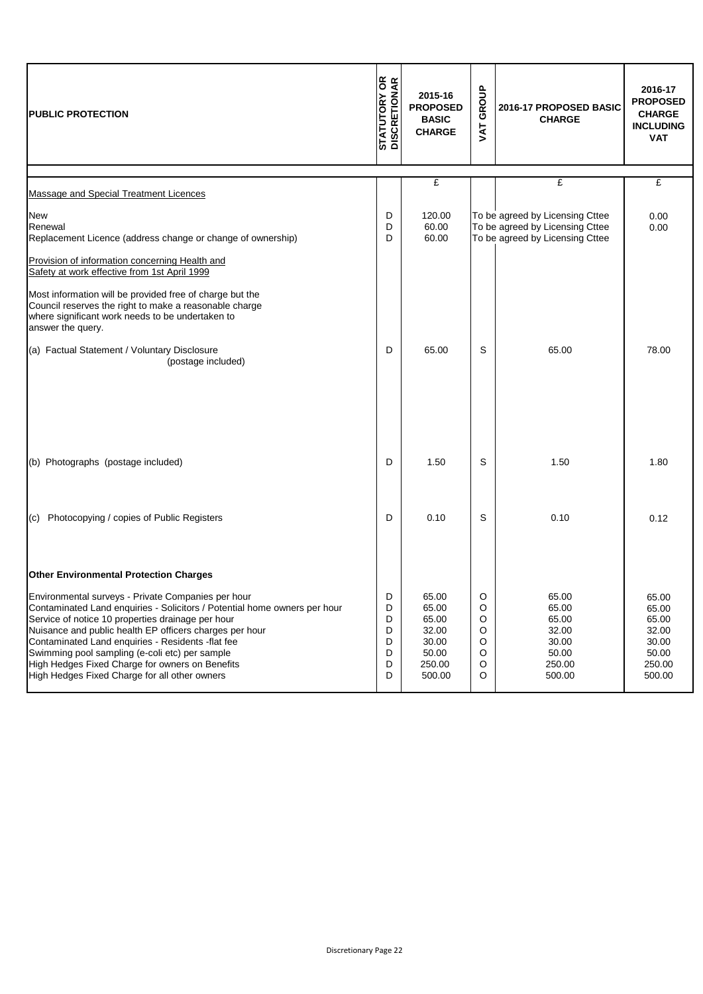| <b>PUBLIC PROTECTION</b>                                                                                                                                                                                                                                                                                                                                                                                                                                   | <b>STATUTORY OR<br/>DISCRETIONAR</b> | 2015-16<br><b>PROPOSED</b><br><b>BASIC</b><br><b>CHARGE</b>            | VAT GROUP                            | 2016-17 PROPOSED BASIC<br><b>CHARGE</b>                                                               | 2016-17<br><b>PROPOSED</b><br><b>CHARGE</b><br><b>INCLUDING</b><br><b>VAT</b> |
|------------------------------------------------------------------------------------------------------------------------------------------------------------------------------------------------------------------------------------------------------------------------------------------------------------------------------------------------------------------------------------------------------------------------------------------------------------|--------------------------------------|------------------------------------------------------------------------|--------------------------------------|-------------------------------------------------------------------------------------------------------|-------------------------------------------------------------------------------|
|                                                                                                                                                                                                                                                                                                                                                                                                                                                            |                                      | $\mathbf{f}$                                                           |                                      | £                                                                                                     | £                                                                             |
| Massage and Special Treatment Licences                                                                                                                                                                                                                                                                                                                                                                                                                     |                                      |                                                                        |                                      |                                                                                                       |                                                                               |
| New<br>Renewal<br>Replacement Licence (address change or change of ownership)                                                                                                                                                                                                                                                                                                                                                                              | D<br>D<br>D                          | 120.00<br>60.00<br>60.00                                               |                                      | To be agreed by Licensing Cttee<br>To be agreed by Licensing Cttee<br>To be agreed by Licensing Cttee | 0.00<br>0.00                                                                  |
| Provision of information concerning Health and<br>Safety at work effective from 1st April 1999                                                                                                                                                                                                                                                                                                                                                             |                                      |                                                                        |                                      |                                                                                                       |                                                                               |
| Most information will be provided free of charge but the<br>Council reserves the right to make a reasonable charge<br>where significant work needs to be undertaken to<br>answer the query.                                                                                                                                                                                                                                                                |                                      |                                                                        |                                      |                                                                                                       |                                                                               |
| (a) Factual Statement / Voluntary Disclosure<br>(postage included)                                                                                                                                                                                                                                                                                                                                                                                         | D                                    | 65.00                                                                  | S                                    | 65.00                                                                                                 | 78.00                                                                         |
| (b) Photographs (postage included)                                                                                                                                                                                                                                                                                                                                                                                                                         | D                                    | 1.50                                                                   | S                                    | 1.50                                                                                                  | 1.80                                                                          |
| Photocopying / copies of Public Registers<br>(C)                                                                                                                                                                                                                                                                                                                                                                                                           | D                                    | 0.10                                                                   | S                                    | 0.10                                                                                                  | 0.12                                                                          |
| <b>Other Environmental Protection Charges</b>                                                                                                                                                                                                                                                                                                                                                                                                              |                                      |                                                                        |                                      |                                                                                                       |                                                                               |
| Environmental surveys - Private Companies per hour<br>Contaminated Land enquiries - Solicitors / Potential home owners per hour<br>Service of notice 10 properties drainage per hour<br>Nuisance and public health EP officers charges per hour<br>Contaminated Land enquiries - Residents -flat fee<br>Swimming pool sampling (e-coli etc) per sample<br>High Hedges Fixed Charge for owners on Benefits<br>High Hedges Fixed Charge for all other owners | D<br>D<br>D<br>D<br>D<br>D<br>D<br>D | 65.00<br>65.00<br>65.00<br>32.00<br>30.00<br>50.00<br>250.00<br>500.00 | O<br>O<br>O<br>O<br>O<br>O<br>O<br>O | 65.00<br>65.00<br>65.00<br>32.00<br>30.00<br>50.00<br>250.00<br>500.00                                | 65.00<br>65.00<br>65.00<br>32.00<br>30.00<br>50.00<br>250.00<br>500.00        |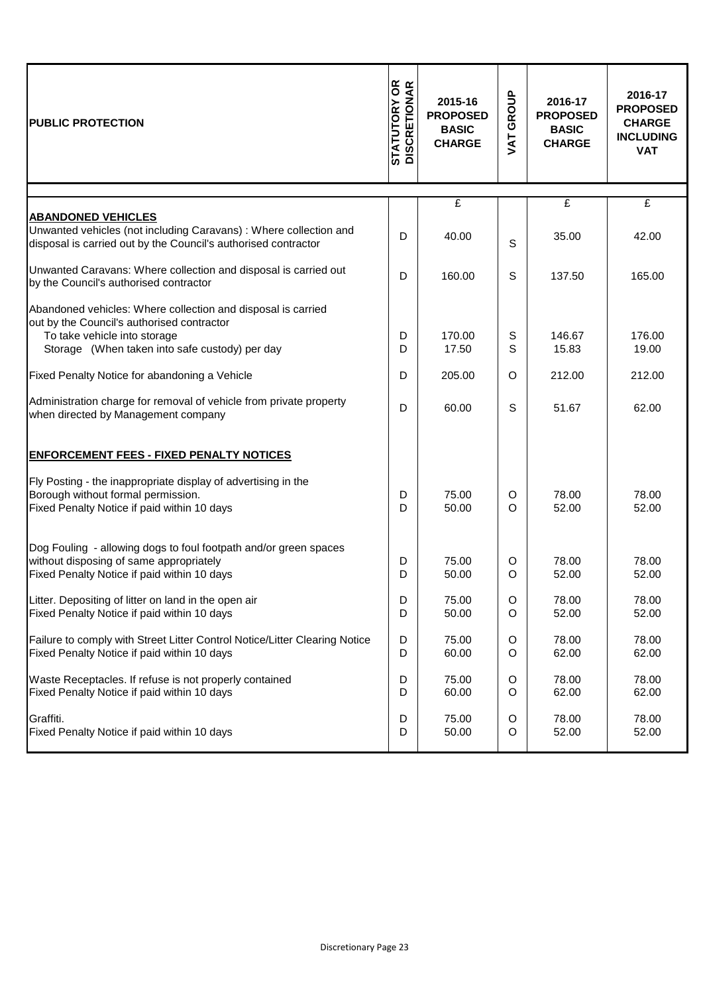| <b>PUBLIC PROTECTION</b>                                                                                                                                                                     | <b>STATUTORY OR<br/>DISCRETIONAR</b> | 2015-16<br><b>PROPOSED</b><br><b>BASIC</b><br><b>CHARGE</b> | GROUP<br>JAT  | 2016-17<br><b>PROPOSED</b><br><b>BASIC</b><br><b>CHARGE</b> | 2016-17<br><b>PROPOSED</b><br><b>CHARGE</b><br><b>INCLUDING</b><br><b>VAT</b> |
|----------------------------------------------------------------------------------------------------------------------------------------------------------------------------------------------|--------------------------------------|-------------------------------------------------------------|---------------|-------------------------------------------------------------|-------------------------------------------------------------------------------|
|                                                                                                                                                                                              |                                      | £                                                           |               | £                                                           | £                                                                             |
| <b>ABANDONED VEHICLES</b><br>Unwanted vehicles (not including Caravans) : Where collection and<br>disposal is carried out by the Council's authorised contractor                             | D                                    | 40.00                                                       | $\mathsf{S}$  | 35.00                                                       | 42.00                                                                         |
| Unwanted Caravans: Where collection and disposal is carried out<br>by the Council's authorised contractor                                                                                    | D                                    | 160.00                                                      | S             | 137.50                                                      | 165.00                                                                        |
| Abandoned vehicles: Where collection and disposal is carried<br>out by the Council's authorised contractor<br>To take vehicle into storage<br>Storage (When taken into safe custody) per day | D<br>D                               | 170.00<br>17.50                                             | S<br>S        | 146.67<br>15.83                                             | 176.00<br>19.00                                                               |
| Fixed Penalty Notice for abandoning a Vehicle                                                                                                                                                | D                                    | 205.00                                                      | O             | 212.00                                                      | 212.00                                                                        |
| Administration charge for removal of vehicle from private property<br>when directed by Management company                                                                                    | D                                    | 60.00                                                       | S             | 51.67                                                       | 62.00                                                                         |
| <b>ENFORCEMENT FEES - FIXED PENALTY NOTICES</b>                                                                                                                                              |                                      |                                                             |               |                                                             |                                                                               |
| Fly Posting - the inappropriate display of advertising in the<br>Borough without formal permission.<br>Fixed Penalty Notice if paid within 10 days                                           | D<br>D                               | 75.00<br>50.00                                              | O<br>$\Omega$ | 78.00<br>52.00                                              | 78.00<br>52.00                                                                |
| Dog Fouling - allowing dogs to foul footpath and/or green spaces<br>without disposing of same appropriately<br>Fixed Penalty Notice if paid within 10 days                                   | D<br>D                               | 75.00<br>50.00                                              | O<br>O        | 78.00<br>52.00                                              | 78.00<br>52.00                                                                |
| Litter. Depositing of litter on land in the open air<br>Fixed Penalty Notice if paid within 10 days                                                                                          | D<br>D                               | 75.00<br>50.00                                              | O<br>O        | 78.00<br>52.00                                              | 78.00<br>52.00                                                                |
| Failure to comply with Street Litter Control Notice/Litter Clearing Notice<br>Fixed Penalty Notice if paid within 10 days                                                                    | D<br>D                               | 75.00<br>60.00                                              | O<br>O        | 78.00<br>62.00                                              | 78.00<br>62.00                                                                |
| Waste Receptacles. If refuse is not properly contained<br>Fixed Penalty Notice if paid within 10 days                                                                                        | D<br>D                               | 75.00<br>60.00                                              | O<br>O        | 78.00<br>62.00                                              | 78.00<br>62.00                                                                |
| Graffiti.<br>Fixed Penalty Notice if paid within 10 days                                                                                                                                     | D<br>D                               | 75.00<br>50.00                                              | O<br>O        | 78.00<br>52.00                                              | 78.00<br>52.00                                                                |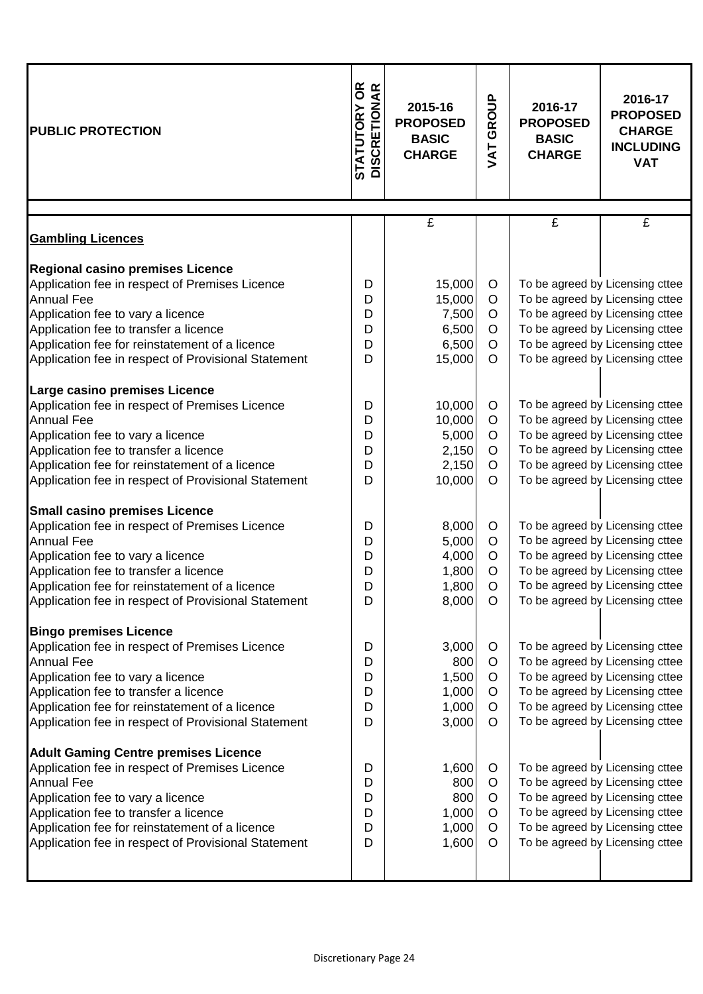| <b>PUBLIC PROTECTION</b>                                                                                                                                                                                                                                                                                  | <b>STATUTORY OR<br/>DISCRETIONAR</b> | 2015-16<br><b>PROPOSED</b><br><b>BASIC</b><br><b>CHARGE</b> | GROUP<br>JAT                           | 2016-17<br><b>PROPOSED</b><br><b>BASIC</b><br><b>CHARGE</b> | 2016-17<br><b>PROPOSED</b><br><b>CHARGE</b><br><b>INCLUDING</b><br><b>VAT</b>                                                                                                                                  |
|-----------------------------------------------------------------------------------------------------------------------------------------------------------------------------------------------------------------------------------------------------------------------------------------------------------|--------------------------------------|-------------------------------------------------------------|----------------------------------------|-------------------------------------------------------------|----------------------------------------------------------------------------------------------------------------------------------------------------------------------------------------------------------------|
|                                                                                                                                                                                                                                                                                                           |                                      | $\overline{f}$                                              |                                        | $\overline{f}$                                              | £                                                                                                                                                                                                              |
| <b>Gambling Licences</b>                                                                                                                                                                                                                                                                                  |                                      |                                                             |                                        |                                                             |                                                                                                                                                                                                                |
| <b>Regional casino premises Licence</b><br>Application fee in respect of Premises Licence<br><b>Annual Fee</b><br>Application fee to vary a licence<br>Application fee to transfer a licence<br>Application fee for reinstatement of a licence<br>Application fee in respect of Provisional Statement     | D<br>D<br>D<br>D<br>D<br>D           | 15,000<br>15,000<br>7,500<br>6,500<br>6,500<br>15,000       | O<br>O<br>O<br>O<br>$\circ$<br>O       |                                                             | To be agreed by Licensing cttee<br>To be agreed by Licensing cttee<br>To be agreed by Licensing cttee<br>To be agreed by Licensing cttee<br>To be agreed by Licensing cttee<br>To be agreed by Licensing cttee |
| Large casino premises Licence<br>Application fee in respect of Premises Licence<br><b>Annual Fee</b><br>Application fee to vary a licence<br>Application fee to transfer a licence<br>Application fee for reinstatement of a licence<br>Application fee in respect of Provisional Statement               | D<br>D<br>D<br>D<br>D<br>D           | 10,000<br>10,000<br>5,000<br>2,150<br>2,150<br>10,000       | O<br>$\circ$<br>O<br>O<br>$\circ$<br>O |                                                             | To be agreed by Licensing cttee<br>To be agreed by Licensing cttee<br>To be agreed by Licensing cttee<br>To be agreed by Licensing cttee<br>To be agreed by Licensing cttee<br>To be agreed by Licensing cttee |
| <b>Small casino premises Licence</b><br>Application fee in respect of Premises Licence<br><b>Annual Fee</b><br>Application fee to vary a licence<br>Application fee to transfer a licence<br>Application fee for reinstatement of a licence<br>Application fee in respect of Provisional Statement        | D<br>D<br>D<br>D<br>D<br>D           | 8,000<br>5,000<br>4,000<br>1,800<br>1,800<br>8,000          | O<br>O<br>O<br>O<br>$\Omega$<br>O      |                                                             | To be agreed by Licensing cttee<br>To be agreed by Licensing cttee<br>To be agreed by Licensing cttee<br>To be agreed by Licensing cttee<br>To be agreed by Licensing cttee<br>To be agreed by Licensing cttee |
| <b>Bingo premises Licence</b><br>Application fee in respect of Premises Licence<br><b>Annual Fee</b><br>Application fee to vary a licence<br>Application fee to transfer a licence<br>Application fee for reinstatement of a licence<br>Application fee in respect of Provisional Statement               | D<br>D<br>D<br>D<br>D<br>D           | 3,000<br>800<br>1,500<br>1,000<br>1,000<br>3,000            | O<br>O<br>O<br>O<br>O<br>O             |                                                             | To be agreed by Licensing cttee<br>To be agreed by Licensing cttee<br>To be agreed by Licensing cttee<br>To be agreed by Licensing cttee<br>To be agreed by Licensing cttee<br>To be agreed by Licensing cttee |
| <b>Adult Gaming Centre premises Licence</b><br>Application fee in respect of Premises Licence<br><b>Annual Fee</b><br>Application fee to vary a licence<br>Application fee to transfer a licence<br>Application fee for reinstatement of a licence<br>Application fee in respect of Provisional Statement | D<br>D<br>D<br>D<br>D<br>D           | 1,600<br>800<br>800<br>1,000<br>1,000<br>1,600              | O<br>O<br>O<br>O<br>O<br>O             |                                                             | To be agreed by Licensing cttee<br>To be agreed by Licensing cttee<br>To be agreed by Licensing cttee<br>To be agreed by Licensing cttee<br>To be agreed by Licensing cttee<br>To be agreed by Licensing cttee |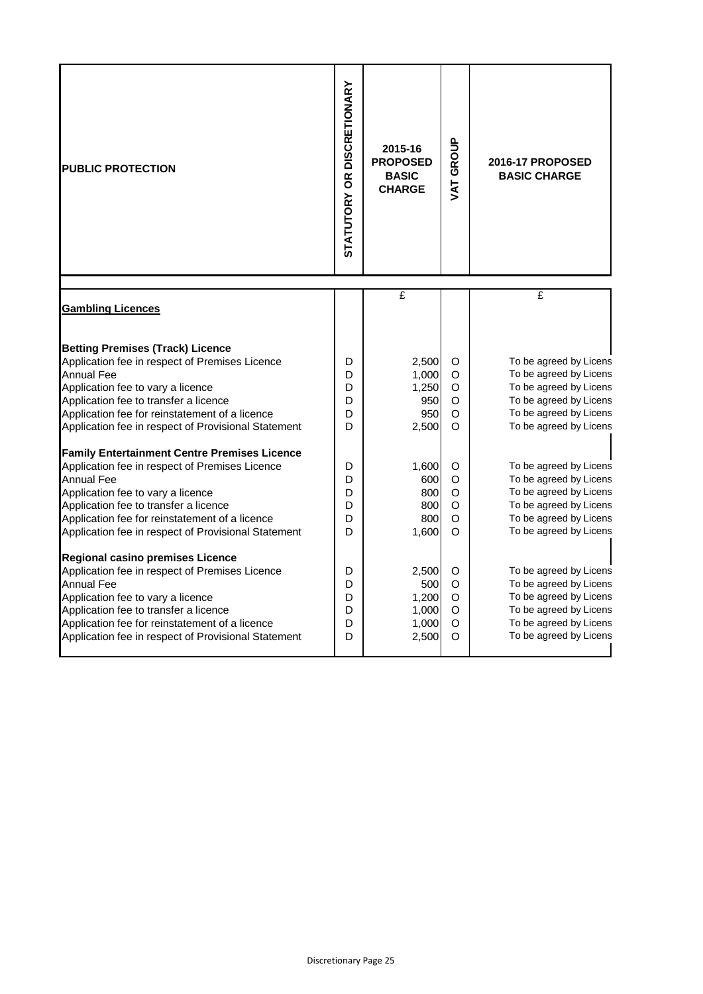| <b>PUBLIC PROTECTION</b>                                                                                                                                                                                                                                                                                          | STATUTORY OR DISCRETIONARY | 2015-16<br><b>PROPOSED</b><br><b>BASIC</b><br><b>CHARGE</b> | VAT GROUP                         | 2016-17 PROPOSED<br><b>BASIC CHARGE</b>                                                                                                                  |
|-------------------------------------------------------------------------------------------------------------------------------------------------------------------------------------------------------------------------------------------------------------------------------------------------------------------|----------------------------|-------------------------------------------------------------|-----------------------------------|----------------------------------------------------------------------------------------------------------------------------------------------------------|
| <b>Gambling Licences</b>                                                                                                                                                                                                                                                                                          |                            | £                                                           |                                   | £                                                                                                                                                        |
| <b>Betting Premises (Track) Licence</b><br>Application fee in respect of Premises Licence<br><b>Annual Fee</b><br>Application fee to vary a licence<br>Application fee to transfer a licence<br>Application fee for reinstatement of a licence<br>Application fee in respect of Provisional Statement             | D<br>D<br>D<br>D<br>D<br>D | 2,500<br>1,000<br>1,250<br>950<br>950<br>2,500              | O<br>O<br>O<br>O<br>O<br>O        | To be agreed by Licens<br>To be agreed by Licens<br>To be agreed by Licens<br>To be agreed by Licens<br>To be agreed by Licens<br>To be agreed by Licens |
| <b>Family Entertainment Centre Premises Licence</b><br>Application fee in respect of Premises Licence<br><b>Annual Fee</b><br>Application fee to vary a licence<br>Application fee to transfer a licence<br>Application fee for reinstatement of a licence<br>Application fee in respect of Provisional Statement | D<br>D<br>D<br>D<br>D<br>D | 1,600<br>600<br>800<br>800<br>800<br>1,600                  | O<br>O<br>O<br>O<br>O<br>$\Omega$ | To be agreed by Licens<br>To be agreed by Licens<br>To be agreed by Licens<br>To be agreed by Licens<br>To be agreed by Licens<br>To be agreed by Licens |
| Regional casino premises Licence<br>Application fee in respect of Premises Licence<br><b>Annual Fee</b><br>Application fee to vary a licence<br>Application fee to transfer a licence<br>Application fee for reinstatement of a licence<br>Application fee in respect of Provisional Statement                    | D<br>D<br>D<br>D<br>D<br>D | 2,500<br>500<br>1,200<br>1,000<br>1,000<br>2,500            | O<br>O<br>O<br>O<br>O<br>O        | To be agreed by Licens<br>To be agreed by Licens<br>To be agreed by Licens<br>To be agreed by Licens<br>To be agreed by Licens<br>To be agreed by Licens |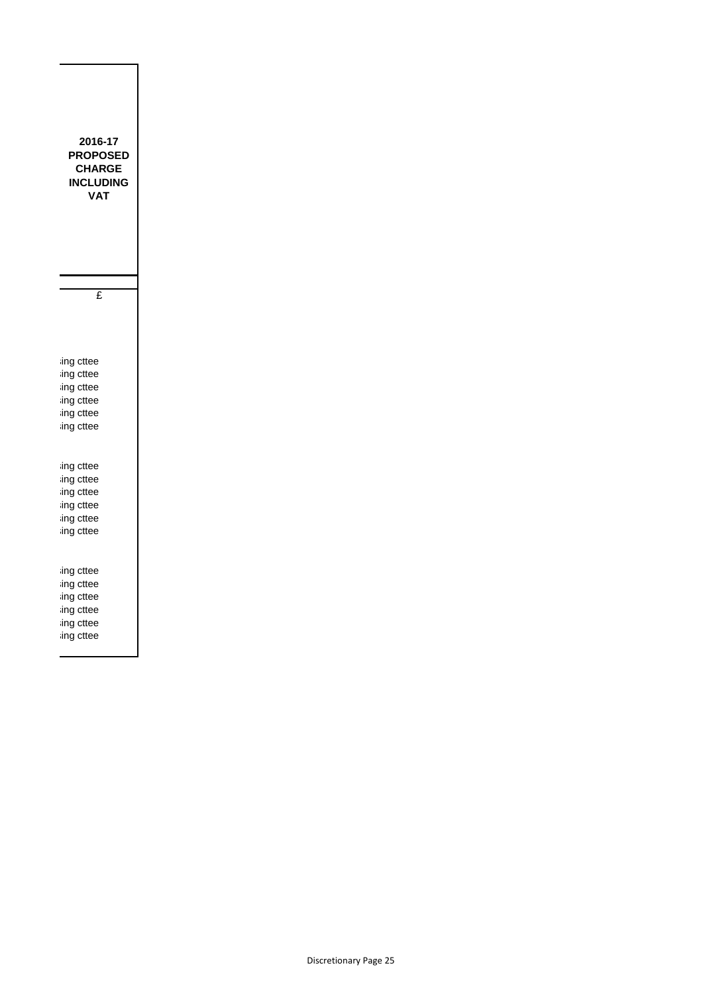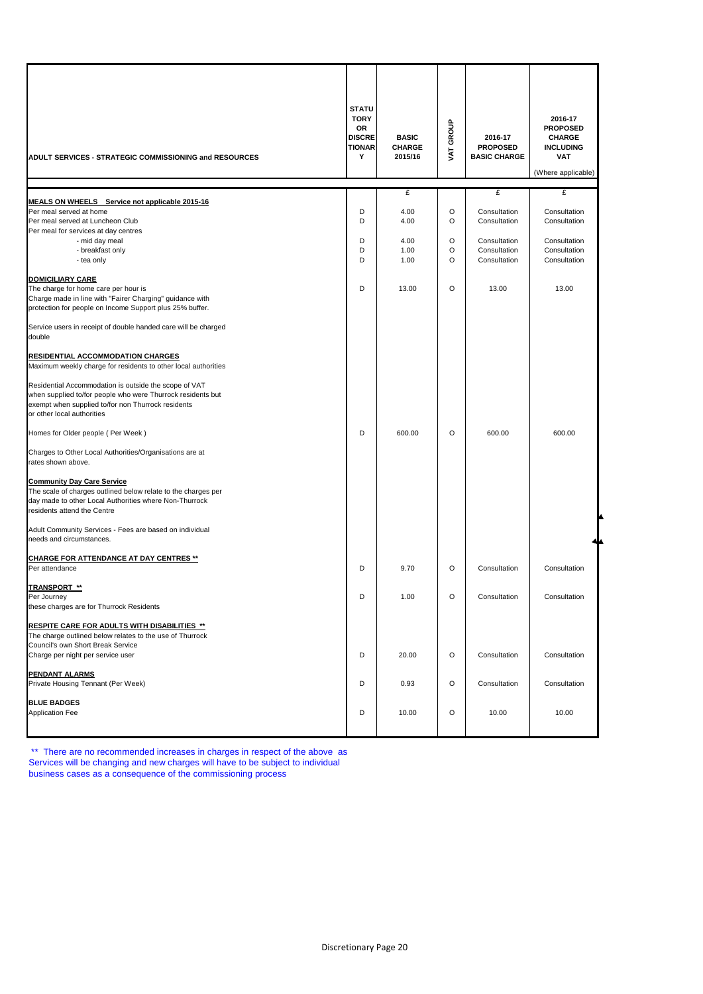| ADULT SERVICES - STRATEGIC COMMISSIONING and RESOURCES                                                               | <b>STATU</b><br><b>TORY</b><br>OR<br><b>DISCRE</b><br><b>TIONAR</b><br>Y | <b>BASIC</b><br><b>CHARGE</b><br>2015/16 | <b>GROUP</b><br><b>TAV</b> | 2016-17<br><b>PROPOSED</b><br><b>BASIC CHARGE</b> | 2016-17<br><b>PROPOSED</b><br><b>CHARGE</b><br><b>INCLUDING</b><br><b>VAT</b><br>(Where applicable) |
|----------------------------------------------------------------------------------------------------------------------|--------------------------------------------------------------------------|------------------------------------------|----------------------------|---------------------------------------------------|-----------------------------------------------------------------------------------------------------|
|                                                                                                                      |                                                                          | £                                        |                            | £                                                 | £                                                                                                   |
| MEALS ON WHEELS Service not applicable 2015-16                                                                       |                                                                          |                                          |                            |                                                   |                                                                                                     |
| Per meal served at home                                                                                              | D                                                                        | 4.00                                     | O                          | Consultation                                      | Consultation                                                                                        |
| Per meal served at Luncheon Club                                                                                     | D                                                                        | 4.00                                     | O                          | Consultation                                      | Consultation                                                                                        |
| Per meal for services at day centres                                                                                 |                                                                          |                                          |                            |                                                   |                                                                                                     |
| - mid day meal                                                                                                       | D                                                                        | 4.00                                     | O                          | Consultation                                      | Consultation                                                                                        |
| - breakfast only                                                                                                     | D                                                                        | 1.00                                     | O                          | Consultation                                      | Consultation                                                                                        |
| - tea only                                                                                                           | D                                                                        | 1.00                                     | O                          | Consultation                                      | Consultation                                                                                        |
|                                                                                                                      |                                                                          |                                          |                            |                                                   |                                                                                                     |
| <b>DOMICILIARY CARE</b>                                                                                              | D                                                                        | 13.00                                    | O                          | 13.00                                             | 13.00                                                                                               |
| The charge for home care per hour is                                                                                 |                                                                          |                                          |                            |                                                   |                                                                                                     |
| Charge made in line with "Fairer Charging" guidance with<br>protection for people on Income Support plus 25% buffer. |                                                                          |                                          |                            |                                                   |                                                                                                     |
|                                                                                                                      |                                                                          |                                          |                            |                                                   |                                                                                                     |
| Service users in receipt of double handed care will be charged                                                       |                                                                          |                                          |                            |                                                   |                                                                                                     |
| double                                                                                                               |                                                                          |                                          |                            |                                                   |                                                                                                     |
|                                                                                                                      |                                                                          |                                          |                            |                                                   |                                                                                                     |
| <b>RESIDENTIAL ACCOMMODATION CHARGES</b>                                                                             |                                                                          |                                          |                            |                                                   |                                                                                                     |
| Maximum weekly charge for residents to other local authorities                                                       |                                                                          |                                          |                            |                                                   |                                                                                                     |
|                                                                                                                      |                                                                          |                                          |                            |                                                   |                                                                                                     |
| Residential Accommodation is outside the scope of VAT                                                                |                                                                          |                                          |                            |                                                   |                                                                                                     |
| when supplied to/for people who were Thurrock residents but                                                          |                                                                          |                                          |                            |                                                   |                                                                                                     |
| exempt when supplied to/for non Thurrock residents                                                                   |                                                                          |                                          |                            |                                                   |                                                                                                     |
| or other local authorities                                                                                           |                                                                          |                                          |                            |                                                   |                                                                                                     |
|                                                                                                                      |                                                                          |                                          |                            |                                                   |                                                                                                     |
| Homes for Older people (Per Week)                                                                                    | D                                                                        | 600.00                                   | O                          | 600.00                                            | 600.00                                                                                              |
| Charges to Other Local Authorities/Organisations are at                                                              |                                                                          |                                          |                            |                                                   |                                                                                                     |
| rates shown above.                                                                                                   |                                                                          |                                          |                            |                                                   |                                                                                                     |
|                                                                                                                      |                                                                          |                                          |                            |                                                   |                                                                                                     |
| <b>Community Day Care Service</b>                                                                                    |                                                                          |                                          |                            |                                                   |                                                                                                     |
| The scale of charges outlined below relate to the charges per                                                        |                                                                          |                                          |                            |                                                   |                                                                                                     |
| day made to other Local Authorities where Non-Thurrock                                                               |                                                                          |                                          |                            |                                                   |                                                                                                     |
| residents attend the Centre                                                                                          |                                                                          |                                          |                            |                                                   |                                                                                                     |
|                                                                                                                      |                                                                          |                                          |                            |                                                   |                                                                                                     |
| Adult Community Services - Fees are based on individual                                                              |                                                                          |                                          |                            |                                                   |                                                                                                     |
| needs and circumstances.                                                                                             |                                                                          |                                          |                            |                                                   |                                                                                                     |
|                                                                                                                      |                                                                          |                                          |                            |                                                   |                                                                                                     |
| <u>CHARGE FOR ATTENDANCE AT DAY CENTRES **</u>                                                                       | D                                                                        |                                          | $\circ$                    |                                                   |                                                                                                     |
| Per attendance                                                                                                       |                                                                          | 9.70                                     |                            | Consultation                                      | Consultation                                                                                        |
| <b>TRANSPORT **</b>                                                                                                  |                                                                          |                                          |                            |                                                   |                                                                                                     |
| Per Journey                                                                                                          | D                                                                        | 1.00                                     | O                          | Consultation                                      | Consultation                                                                                        |
| these charges are for Thurrock Residents                                                                             |                                                                          |                                          |                            |                                                   |                                                                                                     |
|                                                                                                                      |                                                                          |                                          |                            |                                                   |                                                                                                     |
| RESPITE CARE FOR ADULTS WITH DISABILITIES **                                                                         |                                                                          |                                          |                            |                                                   |                                                                                                     |
| The charge outlined below relates to the use of Thurrock                                                             |                                                                          |                                          |                            |                                                   |                                                                                                     |
| Council's own Short Break Service                                                                                    |                                                                          |                                          |                            |                                                   |                                                                                                     |
| Charge per night per service user                                                                                    | D                                                                        | 20.00                                    | O                          | Consultation                                      | Consultation                                                                                        |
|                                                                                                                      |                                                                          |                                          |                            |                                                   |                                                                                                     |
| PENDANT ALARMS                                                                                                       |                                                                          |                                          |                            |                                                   |                                                                                                     |
| Private Housing Tennant (Per Week)                                                                                   | D                                                                        | 0.93                                     | O                          | Consultation                                      | Consultation                                                                                        |
| <b>BLUE BADGES</b>                                                                                                   |                                                                          |                                          |                            |                                                   |                                                                                                     |
| <b>Application Fee</b>                                                                                               | D                                                                        | 10.00                                    | O                          | 10.00                                             | 10.00                                                                                               |
|                                                                                                                      |                                                                          |                                          |                            |                                                   |                                                                                                     |
|                                                                                                                      |                                                                          |                                          |                            |                                                   |                                                                                                     |

\*\* There are no recommended increases in charges in respect of the above as Services will be changing and new charges will have to be subject to individual business cases as a consequence of the commissioning process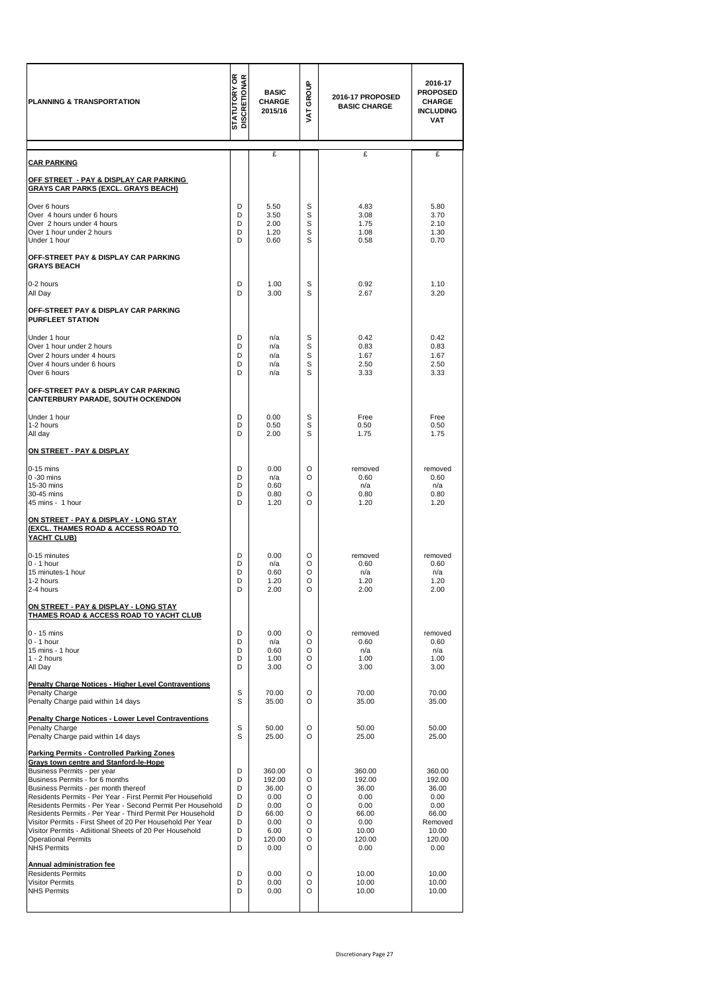| PLANNING & TRANSPORTATION                                                                                                                                                                                                                                                                                                                                                                                                                                                                                                                                                                                             | <b>STATUTORY OR</b><br>DISCRETIONAR            | <b>BASIC</b><br><b>CHARGE</b><br>2015/16                                             | GROUP<br><b>TYA</b>                            | 2016-17 PROPOSED<br><b>BASIC CHARGE</b>                                               | 2016-17<br><b>PROPOSED</b><br>CHARGE<br><b>INCLUDING</b><br><b>VAT</b>                   |
|-----------------------------------------------------------------------------------------------------------------------------------------------------------------------------------------------------------------------------------------------------------------------------------------------------------------------------------------------------------------------------------------------------------------------------------------------------------------------------------------------------------------------------------------------------------------------------------------------------------------------|------------------------------------------------|--------------------------------------------------------------------------------------|------------------------------------------------|---------------------------------------------------------------------------------------|------------------------------------------------------------------------------------------|
| <b>CAR PARKING</b>                                                                                                                                                                                                                                                                                                                                                                                                                                                                                                                                                                                                    |                                                | £                                                                                    |                                                | £                                                                                     | £                                                                                        |
| <u> OFF STREET - PAY &amp; DISPLAY CAR PARKING</u><br><b>GRAYS CAR PARKS (EXCL. GRAYS BEACH)</b>                                                                                                                                                                                                                                                                                                                                                                                                                                                                                                                      |                                                |                                                                                      |                                                |                                                                                       |                                                                                          |
| Over 6 hours<br>Over 4 hours under 6 hours<br>Over 2 hours under 4 hours<br>Over 1 hour under 2 hours<br>Under 1 hour                                                                                                                                                                                                                                                                                                                                                                                                                                                                                                 | D<br>D<br>D<br>D<br>D                          | 5.50<br>3.50<br>2.00<br>1.20<br>0.60                                                 | S<br>S<br>S<br>S<br>S                          | 4.83<br>3.08<br>1.75<br>1.08<br>0.58                                                  | 5.80<br>3.70<br>2.10<br>1.30<br>0.70                                                     |
| OFF-STREET PAY & DISPLAY CAR PARKING<br><b>GRAYS BEACH</b>                                                                                                                                                                                                                                                                                                                                                                                                                                                                                                                                                            |                                                |                                                                                      |                                                |                                                                                       |                                                                                          |
| 0-2 hours<br>All Day                                                                                                                                                                                                                                                                                                                                                                                                                                                                                                                                                                                                  | D<br>D                                         | 1.00<br>3.00                                                                         | s<br>S                                         | 0.92<br>2.67                                                                          | 1.10<br>3.20                                                                             |
| OFF-STREET PAY & DISPLAY CAR PARKING<br><b>PURFLEET STATION</b>                                                                                                                                                                                                                                                                                                                                                                                                                                                                                                                                                       |                                                |                                                                                      |                                                |                                                                                       |                                                                                          |
| Under 1 hour<br>Over 1 hour under 2 hours<br>Over 2 hours under 4 hours<br>Over 4 hours under 6 hours<br>Over 6 hours                                                                                                                                                                                                                                                                                                                                                                                                                                                                                                 | D<br>D<br>D<br>D<br>D                          | n/a<br>n/a<br>n/a<br>n/a<br>n/a                                                      | s<br>S<br>S<br>S<br>S                          | 0.42<br>0.83<br>1.67<br>2.50<br>3.33                                                  | 0.42<br>0.83<br>1.67<br>2.50<br>3.33                                                     |
| OFF-STREET PAY & DISPLAY CAR PARKING<br><b>CANTERBURY PARADE, SOUTH OCKENDON</b>                                                                                                                                                                                                                                                                                                                                                                                                                                                                                                                                      |                                                |                                                                                      |                                                |                                                                                       |                                                                                          |
| Under 1 hour<br>1-2 hours<br>All day                                                                                                                                                                                                                                                                                                                                                                                                                                                                                                                                                                                  | D<br>D<br>D                                    | 0.00<br>0.50<br>2.00                                                                 | s<br>S<br>S                                    | Free<br>0.50<br>1.75                                                                  | Free<br>0.50<br>1.75                                                                     |
| <u>ON STREET - PAY &amp; DISPLAY</u>                                                                                                                                                                                                                                                                                                                                                                                                                                                                                                                                                                                  |                                                |                                                                                      |                                                |                                                                                       |                                                                                          |
| $0-15$ mins<br>$0 - 30$ mins<br>15-30 mins<br>30-45 mins<br>45 mins - 1 hour                                                                                                                                                                                                                                                                                                                                                                                                                                                                                                                                          | D<br>D<br>D<br>D<br>D                          | 0.00<br>n/a<br>0.60<br>0.80<br>1.20                                                  | O<br>O<br>O<br>O                               | removed<br>0.60<br>n/a<br>0.80<br>1.20                                                | removed<br>0.60<br>n/a<br>0.80<br>1.20                                                   |
| <u>ON STREET - PAY &amp; DISPLAY - LONG STAY</u><br>(EXCL. THAMES ROAD & ACCESS ROAD TO<br>YACHT CLUB)                                                                                                                                                                                                                                                                                                                                                                                                                                                                                                                |                                                |                                                                                      |                                                |                                                                                       |                                                                                          |
| 0-15 minutes<br>$0 - 1$ hour<br>15 minutes-1 hour<br>1-2 hours<br>2-4 hours                                                                                                                                                                                                                                                                                                                                                                                                                                                                                                                                           | D<br>D<br>D<br>D<br>D                          | 0.00<br>n/a<br>0.60<br>1.20<br>2.00                                                  | O<br>O<br>O<br>O<br>O                          | removed<br>0.60<br>n/a<br>1.20<br>2.00                                                | removed<br>0.60<br>n/a<br>1.20<br>2.00                                                   |
| ON STREET - PAY & DISPLAY - LONG STAY<br>THAMES ROAD & ACCESS ROAD TO YACHT CLUB                                                                                                                                                                                                                                                                                                                                                                                                                                                                                                                                      |                                                |                                                                                      |                                                |                                                                                       |                                                                                          |
| $0 - 15$ mins<br>$0 - 1$ hour<br>15 mins - 1 hour<br>$1 - 2$ hours<br>All Day                                                                                                                                                                                                                                                                                                                                                                                                                                                                                                                                         | D<br>D<br>D<br>D<br>D                          | 0.00<br>n/a<br>0.60<br>1.00<br>3.00                                                  | O<br>O<br>O<br>O<br>O                          | removed<br>0.60<br>n/a<br>1.00<br>3.00                                                | removed<br>0.60<br>n/a<br>1.00<br>3.00                                                   |
| <b>Penalty Charge Notices - Higher Level Contraventions</b><br>Penalty Charge<br>Penalty Charge paid within 14 days                                                                                                                                                                                                                                                                                                                                                                                                                                                                                                   | S<br>S                                         | 70.00<br>35.00                                                                       | O<br>O                                         | 70.00<br>35.00                                                                        | 70.00<br>35.00                                                                           |
| <b>Penalty Charge Notices - Lower Level Contraventions</b><br>Penalty Charge<br>Penalty Charge paid within 14 days                                                                                                                                                                                                                                                                                                                                                                                                                                                                                                    | S<br>S                                         | 50.00<br>25.00                                                                       | O<br>O                                         | 50.00<br>25.00                                                                        | 50.00<br>25.00                                                                           |
| <b>Parking Permits - Controlled Parking Zones</b><br><b>Grays town centre and Stanford-le-Hope</b><br>Business Permits - per year<br>Business Permits - for 6 months<br>Business Permits - per month thereof<br>Residents Permits - Per Year - First Permit Per Household<br>Residents Permits - Per Year - Second Permit Per Household<br>Residents Permits - Per Year - Third Permit Per Household<br>Visitor Permits - First Sheet of 20 Per Household Per Year<br>Visitor Permits - Adiitional Sheets of 20 Per Household<br><b>Operational Permits</b><br><b>NHS Permits</b><br><b>Annual administration fee</b> | D<br>D<br>D<br>D<br>D<br>D<br>D<br>D<br>D<br>D | 360.00<br>192.00<br>36.00<br>0.00<br>0.00<br>66.00<br>0.00<br>6.00<br>120.00<br>0.00 | O<br>O<br>O<br>O<br>O<br>O<br>O<br>O<br>O<br>O | 360.00<br>192.00<br>36.00<br>0.00<br>0.00<br>66.00<br>0.00<br>10.00<br>120.00<br>0.00 | 360.00<br>192.00<br>36.00<br>0.00<br>0.00<br>66.00<br>Removed<br>10.00<br>120.00<br>0.00 |
| <b>Residents Permits</b><br><b>Visitor Permits</b><br><b>NHS Permits</b>                                                                                                                                                                                                                                                                                                                                                                                                                                                                                                                                              | D<br>D<br>D                                    | 0.00<br>0.00<br>0.00                                                                 | O<br>O<br>O                                    | 10.00<br>10.00<br>10.00                                                               | 10.00<br>10.00<br>10.00                                                                  |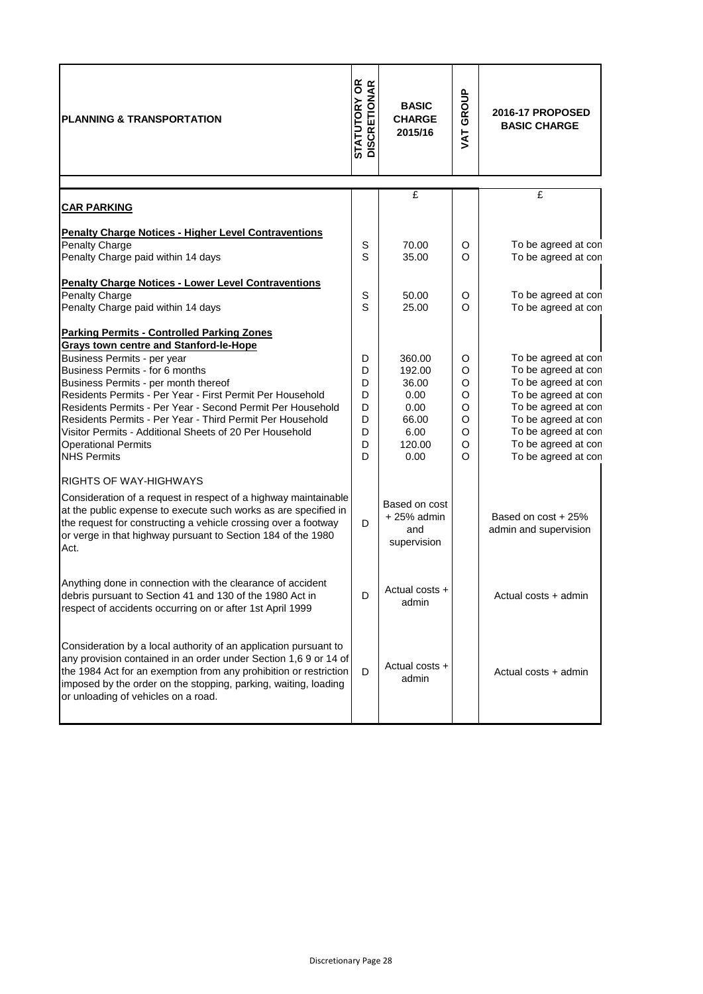| <b>PLANNING &amp; TRANSPORTATION</b>                                                                                                                                                                                                                                                                                                                                                                                                                                                                                | <b>STATUTORY OR<br/>DISCRETIONAR</b>      | <b>BASIC</b><br><b>CHARGE</b><br>2015/16                                     | GROUP<br>VAT <sup></sup>                  | <b>2016-17 PROPOSED</b><br><b>BASIC CHARGE</b>                                                                                                                                                              |
|---------------------------------------------------------------------------------------------------------------------------------------------------------------------------------------------------------------------------------------------------------------------------------------------------------------------------------------------------------------------------------------------------------------------------------------------------------------------------------------------------------------------|-------------------------------------------|------------------------------------------------------------------------------|-------------------------------------------|-------------------------------------------------------------------------------------------------------------------------------------------------------------------------------------------------------------|
| <b>CAR PARKING</b>                                                                                                                                                                                                                                                                                                                                                                                                                                                                                                  |                                           | £                                                                            |                                           | £                                                                                                                                                                                                           |
| <b>Penalty Charge Notices - Higher Level Contraventions</b><br><b>Penalty Charge</b><br>Penalty Charge paid within 14 days                                                                                                                                                                                                                                                                                                                                                                                          | S<br>S                                    | 70.00<br>35.00                                                               | O<br>O                                    | To be agreed at con<br>To be agreed at con                                                                                                                                                                  |
| <b>Penalty Charge Notices - Lower Level Contraventions</b><br><b>Penalty Charge</b><br>Penalty Charge paid within 14 days                                                                                                                                                                                                                                                                                                                                                                                           | S<br>S                                    | 50.00<br>25.00                                                               | O<br>$\Omega$                             | To be agreed at con<br>To be agreed at con                                                                                                                                                                  |
| <b>Parking Permits - Controlled Parking Zones</b><br><b>Grays town centre and Stanford-le-Hope</b><br>Business Permits - per year<br>Business Permits - for 6 months<br>Business Permits - per month thereof<br>Residents Permits - Per Year - First Permit Per Household<br>Residents Permits - Per Year - Second Permit Per Household<br>Residents Permits - Per Year - Third Permit Per Household<br>Visitor Permits - Additional Sheets of 20 Per Household<br><b>Operational Permits</b><br><b>NHS Permits</b> | D<br>D<br>D<br>D<br>D<br>D<br>D<br>D<br>D | 360.00<br>192.00<br>36.00<br>0.00<br>0.00<br>66.00<br>6.00<br>120.00<br>0.00 | O<br>O<br>O<br>O<br>O<br>O<br>O<br>O<br>O | To be agreed at con<br>To be agreed at con<br>To be agreed at con<br>To be agreed at con<br>To be agreed at con<br>To be agreed at con<br>To be agreed at con<br>To be agreed at con<br>To be agreed at con |
| <b>RIGHTS OF WAY-HIGHWAYS</b><br>Consideration of a request in respect of a highway maintainable<br>at the public expense to execute such works as are specified in<br>the request for constructing a vehicle crossing over a footway<br>or verge in that highway pursuant to Section 184 of the 1980<br>Act.                                                                                                                                                                                                       | D                                         | Based on cost<br>$+25%$ admin<br>and<br>supervision                          |                                           | Based on cost + 25%<br>admin and supervision                                                                                                                                                                |
| Anything done in connection with the clearance of accident<br>debris pursuant to Section 41 and 130 of the 1980 Act in<br>respect of accidents occurring on or after 1st April 1999                                                                                                                                                                                                                                                                                                                                 | D                                         | Actual costs +<br>admin                                                      |                                           | Actual costs + admin                                                                                                                                                                                        |
| Consideration by a local authority of an application pursuant to<br>any provision contained in an order under Section 1,6 9 or 14 of<br>the 1984 Act for an exemption from any prohibition or restriction<br>imposed by the order on the stopping, parking, waiting, loading<br>or unloading of vehicles on a road.                                                                                                                                                                                                 | D                                         | Actual costs +<br>admin                                                      |                                           | Actual costs + admin                                                                                                                                                                                        |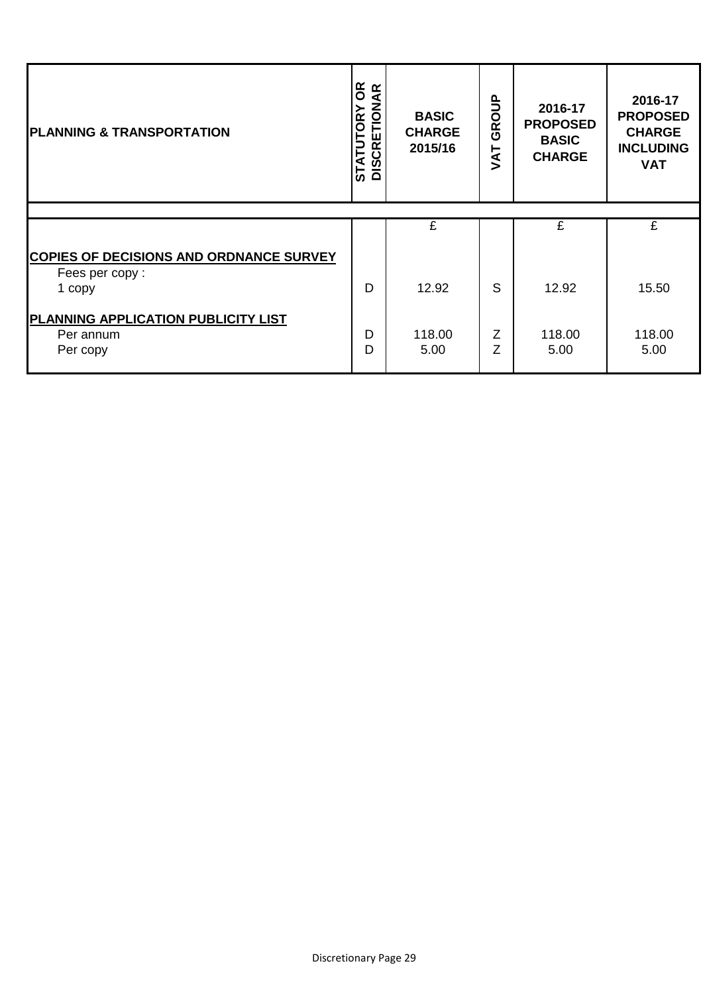| <b>PLANNING &amp; TRANSPORTATION</b>                                       | <b>STATUTORY OR</b><br>DISCRETIONAR<br><b>STATUT</b> | <b>BASIC</b><br><b>CHARGE</b><br>2015/16 | GROUP<br><b>TAV</b> | 2016-17<br><b>PROPOSED</b><br><b>BASIC</b><br><b>CHARGE</b> | 2016-17<br><b>PROPOSED</b><br><b>CHARGE</b><br><b>INCLUDING</b><br><b>VAT</b> |
|----------------------------------------------------------------------------|------------------------------------------------------|------------------------------------------|---------------------|-------------------------------------------------------------|-------------------------------------------------------------------------------|
|                                                                            |                                                      |                                          |                     |                                                             |                                                                               |
|                                                                            |                                                      | £                                        |                     | £                                                           | £                                                                             |
| <b>COPIES OF DECISIONS AND ORDNANCE SURVEY</b><br>Fees per copy:<br>1 copy | D                                                    | 12.92                                    | S                   | 12.92                                                       | 15.50                                                                         |
| <b>PLANNING APPLICATION PUBLICITY LIST</b><br>Per annum<br>Per copy        | D<br>D                                               | 118.00<br>5.00                           | Z<br>Z              | 118.00<br>5.00                                              | 118.00<br>5.00                                                                |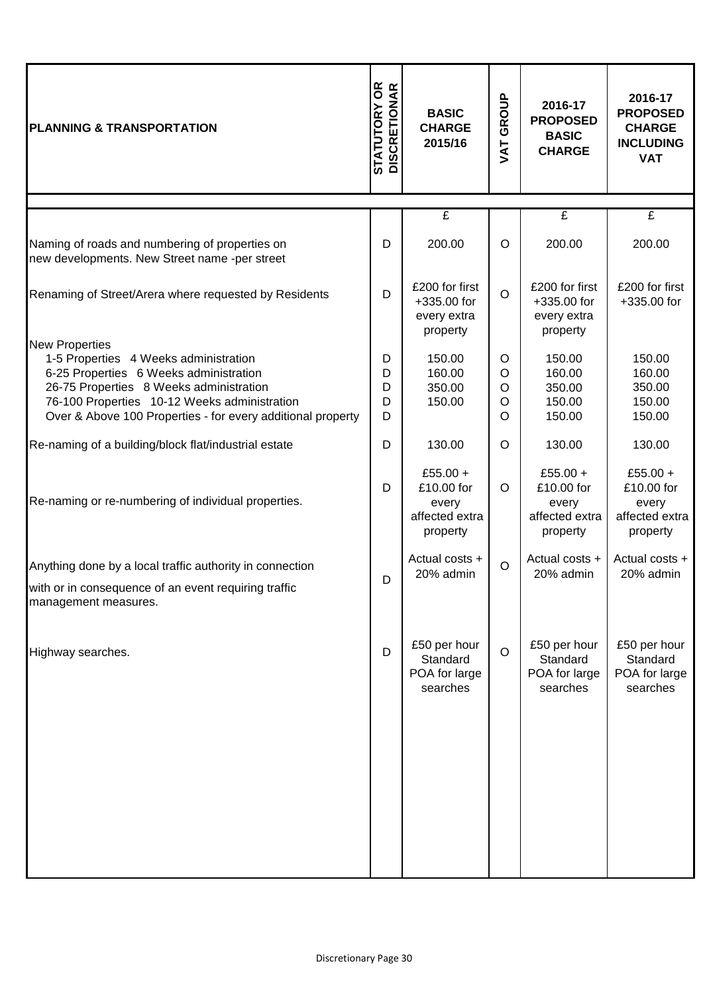| <b>STATUTORY OR<br/>DISCRETIONAR</b> | <b>BASIC</b><br><b>CHARGE</b><br>2015/16                      | GROUP<br>TAV          | 2016-17<br><b>PROPOSED</b><br><b>BASIC</b><br><b>CHARGE</b>   | 2016-17<br><b>PROPOSED</b><br><b>CHARGE</b><br><b>INCLUDING</b><br><b>VAT</b> |
|--------------------------------------|---------------------------------------------------------------|-----------------------|---------------------------------------------------------------|-------------------------------------------------------------------------------|
|                                      |                                                               |                       |                                                               | $\mathbf{f}$                                                                  |
| D                                    | 200.00                                                        | $\circ$               | 200.00                                                        | 200.00                                                                        |
| D                                    | £200 for first<br>+335.00 for<br>every extra<br>property      | $\circ$               | £200 for first<br>+335.00 for<br>every extra<br>property      | £200 for first<br>+335.00 for                                                 |
| D<br>D<br>D<br>D<br>D                | 150.00<br>160.00<br>350.00<br>150.00                          | O<br>O<br>O<br>O<br>O | 150.00<br>160.00<br>350.00<br>150.00<br>150.00                | 150.00<br>160.00<br>350.00<br>150.00<br>150.00                                |
| D                                    | 130.00                                                        | $\circ$               | 130.00                                                        | 130.00                                                                        |
| D                                    | £55.00 +<br>£10.00 for<br>every<br>affected extra<br>property | $\circ$               | £55.00 +<br>£10.00 for<br>every<br>affected extra<br>property | £55.00 +<br>£10.00 for<br>every<br>affected extra<br>property                 |
| D                                    | Actual costs +<br>20% admin                                   | $\circ$               | Actual costs +<br>20% admin                                   | Actual costs +<br>20% admin                                                   |
| D                                    | £50 per hour<br>Standard<br>POA for large<br>searches         | $\circ$               | £50 per hour<br>Standard<br>POA for large<br>searches         | £50 per hour<br>Standard<br>POA for large<br>searches                         |
|                                      | Over & Above 100 Properties - for every additional property   | £                     |                                                               | £                                                                             |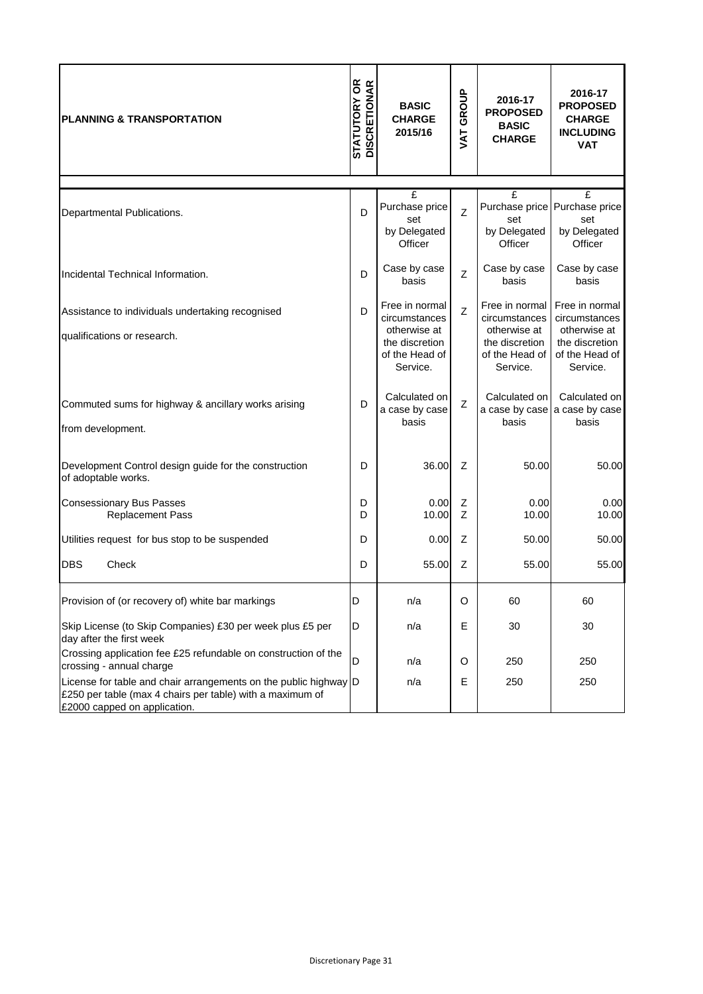| <b>IPLANNING &amp; TRANSPORTATION</b>                                                                                                                          | <b>STATUTORY OR<br/>DISCRETIONAR</b> | <b>BASIC</b><br><b>CHARGE</b><br>2015/16                                                                          | VAT GROUP                                                               | 2016-17<br><b>PROPOSED</b><br><b>BASIC</b><br><b>CHARGE</b>                                     | 2016-17<br><b>PROPOSED</b><br><b>CHARGE</b><br><b>INCLUDING</b><br><b>VAT</b>                   |  |
|----------------------------------------------------------------------------------------------------------------------------------------------------------------|--------------------------------------|-------------------------------------------------------------------------------------------------------------------|-------------------------------------------------------------------------|-------------------------------------------------------------------------------------------------|-------------------------------------------------------------------------------------------------|--|
| Departmental Publications.                                                                                                                                     | D                                    | $\mathbf{f}$<br>Purchase price<br>set<br>by Delegated<br>Officer                                                  | $\overline{f}$<br>Purchase price<br>Z<br>set<br>by Delegated<br>Officer |                                                                                                 | $\mathbf{f}$<br>Purchase price<br>set<br>by Delegated<br>Officer                                |  |
| Incidental Technical Information.                                                                                                                              | D                                    | Case by case<br>basis                                                                                             | Z                                                                       | Case by case<br>basis                                                                           | Case by case<br>basis                                                                           |  |
| Assistance to individuals undertaking recognised<br>qualifications or research.                                                                                | D                                    | Free in normal<br>$\overline{z}$<br>circumstances<br>otherwise at<br>the discretion<br>of the Head of<br>Service. |                                                                         | Free in normal<br>circumstances<br>otherwise at<br>the discretion<br>of the Head of<br>Service. | Free in normal<br>circumstances<br>otherwise at<br>the discretion<br>of the Head of<br>Service. |  |
| Commuted sums for highway & ancillary works arising<br>from development.                                                                                       | D                                    | Calculated on<br>a case by case<br>basis                                                                          | Z                                                                       | Calculated on<br>a case by case<br>basis                                                        | Calculated on<br>a case by case<br>basis                                                        |  |
| Development Control design guide for the construction<br>of adoptable works.                                                                                   | D                                    | 36.00                                                                                                             | Z                                                                       | 50.00                                                                                           | 50.00                                                                                           |  |
| <b>Consessionary Bus Passes</b><br><b>Replacement Pass</b>                                                                                                     | D<br>D                               | 0.00<br>10.00                                                                                                     | Ζ<br>Z                                                                  | 0.00<br>10.00                                                                                   | 0.00<br>10.00                                                                                   |  |
| Utilities request for bus stop to be suspended                                                                                                                 | D                                    | 0.00                                                                                                              | Z                                                                       | 50.00                                                                                           | 50.00                                                                                           |  |
| <b>DBS</b><br>Check                                                                                                                                            | D                                    | 55.00                                                                                                             | Ζ                                                                       | 55.00                                                                                           | 55.00                                                                                           |  |
| Provision of (or recovery of) white bar markings                                                                                                               | D                                    | n/a                                                                                                               | O                                                                       | 60                                                                                              | 60                                                                                              |  |
| Skip License (to Skip Companies) £30 per week plus £5 per<br>day after the first week                                                                          | D                                    | n/a                                                                                                               | Е                                                                       | 30                                                                                              | 30                                                                                              |  |
| Crossing application fee £25 refundable on construction of the<br>crossing - annual charge                                                                     | D                                    | n/a                                                                                                               | O                                                                       | 250                                                                                             | 250                                                                                             |  |
| License for table and chair arrangements on the public highway  D<br>£250 per table (max 4 chairs per table) with a maximum of<br>£2000 capped on application. |                                      | n/a                                                                                                               | Е                                                                       | 250                                                                                             | 250                                                                                             |  |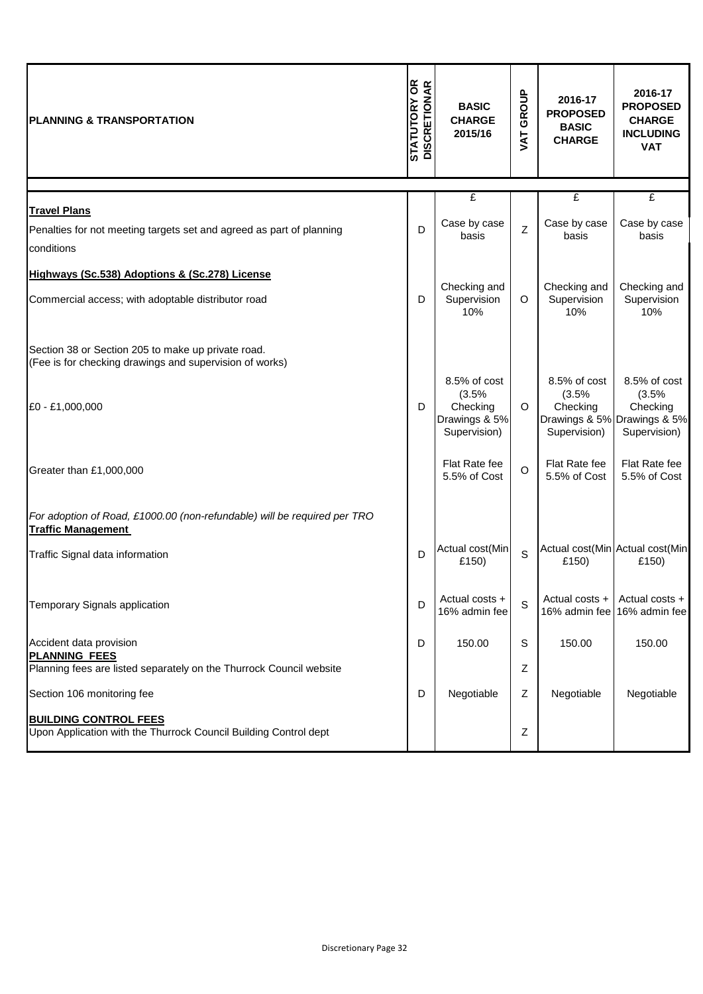| <b>PLANNING &amp; TRANSPORTATION</b>                                                                                   | <b>STATUTORY OR<br/>DISCRETIONAR</b> | <b>BASIC</b><br><b>CHARGE</b><br>2015/16                           | GROUP<br>TAT | 2016-17<br><b>PROPOSED</b><br><b>BASIC</b><br><b>CHARGE</b> | 2016-17<br><b>PROPOSED</b><br><b>CHARGE</b><br><b>INCLUDING</b><br><b>VAT</b>    |
|------------------------------------------------------------------------------------------------------------------------|--------------------------------------|--------------------------------------------------------------------|--------------|-------------------------------------------------------------|----------------------------------------------------------------------------------|
|                                                                                                                        |                                      | £                                                                  |              | £                                                           | £                                                                                |
| <b>Travel Plans</b><br>Penalties for not meeting targets set and agreed as part of planning<br>conditions              | D                                    | Case by case<br>basis                                              | Z            | Case by case<br>basis                                       | Case by case<br>basis                                                            |
| Highways (Sc.538) Adoptions & (Sc.278) License                                                                         |                                      |                                                                    |              |                                                             |                                                                                  |
| Commercial access; with adoptable distributor road                                                                     | D                                    | Checking and<br>Supervision<br>10%                                 | $\circ$      | Checking and<br>Supervision<br>10%                          | Checking and<br>Supervision<br>10%                                               |
| Section 38 or Section 205 to make up private road.<br>(Fee is for checking drawings and supervision of works)          |                                      |                                                                    |              |                                                             |                                                                                  |
| £0 - £1,000,000                                                                                                        | D                                    | 8.5% of cost<br>(3.5%<br>Checking<br>Drawings & 5%<br>Supervision) | $\circ$      | $8.5\%$ of cost<br>(3.5%<br>Checking<br>Supervision)        | 8.5% of cost<br>(3.5%<br>Checking<br>Drawings & 5% Drawings & 5%<br>Supervision) |
| Greater than £1,000,000                                                                                                |                                      | Flat Rate fee<br>5.5% of Cost                                      | $\circ$      | Flat Rate fee<br>5.5% of Cost                               | Flat Rate fee<br>5.5% of Cost                                                    |
| For adoption of Road, £1000.00 (non-refundable) will be required per TRO<br><b>Traffic Management</b>                  |                                      |                                                                    |              |                                                             |                                                                                  |
| Traffic Signal data information                                                                                        | D                                    | Actual cost(Min<br>£150)                                           | S            | £150)                                                       | Actual cost(Min Actual cost(Min<br>£150)                                         |
| <b>Temporary Signals application</b>                                                                                   | D                                    | Actual costs +<br>16% admin fee                                    | S            | Actual costs +<br>16% admin fee                             | Actual costs +<br>16% admin fee                                                  |
| Accident data provision<br><b>PLANNING FEES</b><br>Planning fees are listed separately on the Thurrock Council website | D                                    | 150.00                                                             | S            | 150.00                                                      | 150.00                                                                           |
| Section 106 monitoring fee                                                                                             | D                                    | Negotiable                                                         | Ζ<br>Z       | Negotiable                                                  | Negotiable                                                                       |
| <b>BUILDING CONTROL FEES</b><br>Upon Application with the Thurrock Council Building Control dept                       |                                      |                                                                    | Ζ            |                                                             |                                                                                  |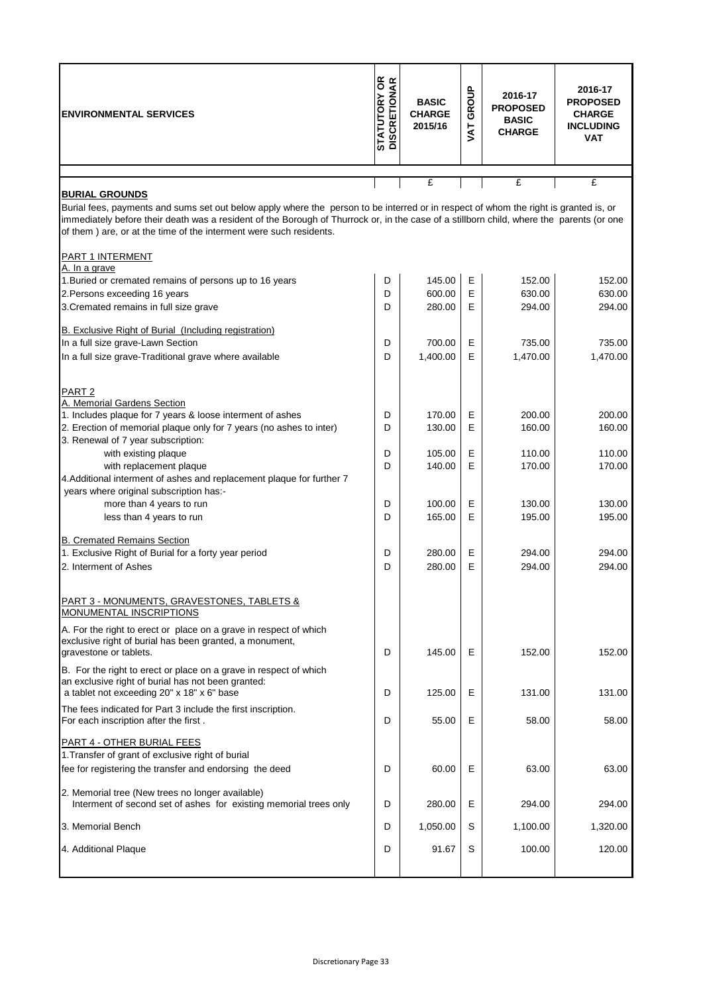| <b>ENVIRONMENTAL SERVICES</b>                                                                                                                                                                                                                                                                                                                                                   | <b>STATUTORY OR<br/>DISCRETIONAR</b> | <b>BASIC</b><br><b>CHARGE</b><br>2015/16 | GROUP<br><b>TY</b> | 2016-17<br><b>PROPOSED</b><br><b>BASIC</b><br><b>CHARGE</b> | 2016-17<br><b>PROPOSED</b><br><b>CHARGE</b><br><b>INCLUDING</b><br><b>VAT</b> |
|---------------------------------------------------------------------------------------------------------------------------------------------------------------------------------------------------------------------------------------------------------------------------------------------------------------------------------------------------------------------------------|--------------------------------------|------------------------------------------|--------------------|-------------------------------------------------------------|-------------------------------------------------------------------------------|
|                                                                                                                                                                                                                                                                                                                                                                                 |                                      | £                                        |                    | £                                                           | £                                                                             |
| <b>BURIAL GROUNDS</b><br>Burial fees, payments and sums set out below apply where the person to be interred or in respect of whom the right is granted is, or<br>immediately before their death was a resident of the Borough of Thurrock or, in the case of a stillborn child, where the parents (or one<br>of them) are, or at the time of the interment were such residents. |                                      |                                          |                    |                                                             |                                                                               |
| <b>PART 1 INTERMENT</b><br>A. In a grave                                                                                                                                                                                                                                                                                                                                        |                                      |                                          |                    |                                                             |                                                                               |
| 1. Buried or cremated remains of persons up to 16 years                                                                                                                                                                                                                                                                                                                         | D                                    | 145.00                                   | Е                  | 152.00                                                      | 152.00                                                                        |
| 2. Persons exceeding 16 years                                                                                                                                                                                                                                                                                                                                                   | D                                    | 600.00                                   | E                  | 630.00                                                      | 630.00                                                                        |
| 3. Cremated remains in full size grave                                                                                                                                                                                                                                                                                                                                          | D                                    | 280.00                                   | E                  | 294.00                                                      | 294.00                                                                        |
| B. Exclusive Right of Burial (Including registration)                                                                                                                                                                                                                                                                                                                           |                                      |                                          |                    |                                                             |                                                                               |
| In a full size grave-Lawn Section                                                                                                                                                                                                                                                                                                                                               | D                                    | 700.00                                   | Е                  | 735.00                                                      | 735.00                                                                        |
| In a full size grave-Traditional grave where available                                                                                                                                                                                                                                                                                                                          | D                                    | 1,400.00                                 | E                  | 1,470.00                                                    | 1,470.00                                                                      |
| PART <sub>2</sub><br>A. Memorial Gardens Section                                                                                                                                                                                                                                                                                                                                |                                      |                                          |                    |                                                             |                                                                               |
| 1. Includes plaque for 7 years & loose interment of ashes                                                                                                                                                                                                                                                                                                                       | D                                    | 170.00                                   | Ε                  | 200.00                                                      | 200.00                                                                        |
| 2. Erection of memorial plaque only for 7 years (no ashes to inter)<br>3. Renewal of 7 year subscription:                                                                                                                                                                                                                                                                       | D                                    | 130.00                                   | E                  | 160.00                                                      | 160.00                                                                        |
| with existing plaque                                                                                                                                                                                                                                                                                                                                                            | D                                    | 105.00                                   | Е                  | 110.00                                                      | 110.00                                                                        |
| with replacement plaque                                                                                                                                                                                                                                                                                                                                                         | D                                    | 140.00                                   | E                  | 170.00                                                      | 170.00                                                                        |
| 4. Additional interment of ashes and replacement plaque for further 7<br>years where original subscription has:-                                                                                                                                                                                                                                                                |                                      |                                          |                    |                                                             |                                                                               |
| more than 4 years to run                                                                                                                                                                                                                                                                                                                                                        | D                                    | 100.00                                   | E                  | 130.00                                                      | 130.00                                                                        |
| less than 4 years to run                                                                                                                                                                                                                                                                                                                                                        | D                                    | 165.00                                   | E                  | 195.00                                                      | 195.00                                                                        |
| <b>B. Cremated Remains Section</b>                                                                                                                                                                                                                                                                                                                                              |                                      |                                          |                    |                                                             |                                                                               |
| 1. Exclusive Right of Burial for a forty year period                                                                                                                                                                                                                                                                                                                            | D                                    | 280.00                                   | Ε                  | 294.00                                                      | 294.00                                                                        |
| 2. Interment of Ashes                                                                                                                                                                                                                                                                                                                                                           | D                                    | 280.00                                   | E                  | 294.00                                                      | 294.00                                                                        |
| PART 3 - MONUMENTS, GRAVESTONES, TABLETS &<br>MONUMENTAL INSCRIPTIONS                                                                                                                                                                                                                                                                                                           |                                      |                                          |                    |                                                             |                                                                               |
| A. For the right to erect or place on a grave in respect of which<br>exclusive right of burial has been granted, a monument,<br>gravestone or tablets.                                                                                                                                                                                                                          | D                                    | 145.00                                   | Е                  | 152.00                                                      | 152.00                                                                        |
| B. For the right to erect or place on a grave in respect of which<br>an exclusive right of burial has not been granted:<br>a tablet not exceeding 20" x 18" x 6" base                                                                                                                                                                                                           | D                                    | 125.00                                   | Е                  | 131.00                                                      | 131.00                                                                        |
| The fees indicated for Part 3 include the first inscription.<br>For each inscription after the first.                                                                                                                                                                                                                                                                           | D                                    | 55.00                                    | Е                  | 58.00                                                       | 58.00                                                                         |
| PART 4 - OTHER BURIAL FEES<br>1. Transfer of grant of exclusive right of burial                                                                                                                                                                                                                                                                                                 |                                      |                                          |                    |                                                             |                                                                               |
| fee for registering the transfer and endorsing the deed                                                                                                                                                                                                                                                                                                                         | D                                    | 60.00                                    | Е                  | 63.00                                                       | 63.00                                                                         |
| 2. Memorial tree (New trees no longer available)<br>Interment of second set of ashes for existing memorial trees only                                                                                                                                                                                                                                                           | D                                    | 280.00                                   | Е                  | 294.00                                                      | 294.00                                                                        |
| 3. Memorial Bench                                                                                                                                                                                                                                                                                                                                                               | D                                    | 1,050.00                                 | S                  | 1,100.00                                                    | 1,320.00                                                                      |
| 4. Additional Plaque                                                                                                                                                                                                                                                                                                                                                            | D                                    | 91.67                                    | S                  | 100.00                                                      | 120.00                                                                        |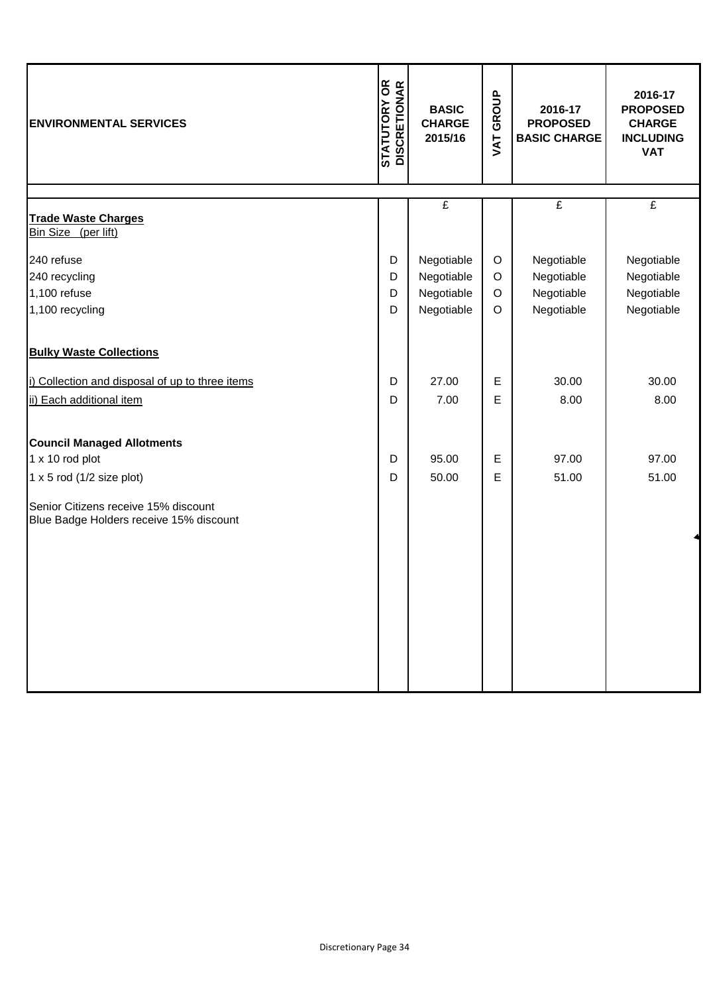| <b>ENVIRONMENTAL SERVICES</b>                                                   | <b>STATUTORY OR<br/>DISCRETIONAR</b> | <b>BASIC</b><br><b>CHARGE</b><br>2015/16 | GROUP<br>VAT | 2016-17<br><b>PROPOSED</b><br><b>BASIC CHARGE</b> | 2016-17<br><b>PROPOSED</b><br><b>CHARGE</b><br><b>INCLUDING</b><br><b>VAT</b> |
|---------------------------------------------------------------------------------|--------------------------------------|------------------------------------------|--------------|---------------------------------------------------|-------------------------------------------------------------------------------|
|                                                                                 |                                      |                                          |              |                                                   |                                                                               |
| <b>Trade Waste Charges</b><br>Bin Size (per lift)                               |                                      | £                                        |              | $\overline{f}$                                    | $\overline{\mathbf{f}}$                                                       |
| 240 refuse                                                                      | D                                    | Negotiable                               | $\circ$      | Negotiable                                        | Negotiable                                                                    |
| 240 recycling                                                                   | D                                    | Negotiable                               | $\circ$      | Negotiable                                        | Negotiable                                                                    |
| 1,100 refuse                                                                    | D                                    | Negotiable                               | $\circ$      | Negotiable                                        | Negotiable                                                                    |
| 1,100 recycling                                                                 | D                                    | Negotiable                               | $\circ$      | Negotiable                                        | Negotiable                                                                    |
| <b>Bulky Waste Collections</b>                                                  |                                      |                                          |              |                                                   |                                                                               |
| i) Collection and disposal of up to three items                                 | D                                    | 27.00                                    | $\mathsf E$  | 30.00                                             | 30.00                                                                         |
| ii) Each additional item                                                        | D                                    | 7.00                                     | E            | 8.00                                              | 8.00                                                                          |
| <b>Council Managed Allotments</b>                                               |                                      |                                          |              |                                                   |                                                                               |
| 1 x 10 rod plot                                                                 | D                                    | 95.00                                    | Е            | 97.00                                             | 97.00                                                                         |
| $1 \times 5$ rod ( $1/2$ size plot)                                             | D                                    | 50.00                                    | E            | 51.00                                             | 51.00                                                                         |
| Senior Citizens receive 15% discount<br>Blue Badge Holders receive 15% discount |                                      |                                          |              |                                                   |                                                                               |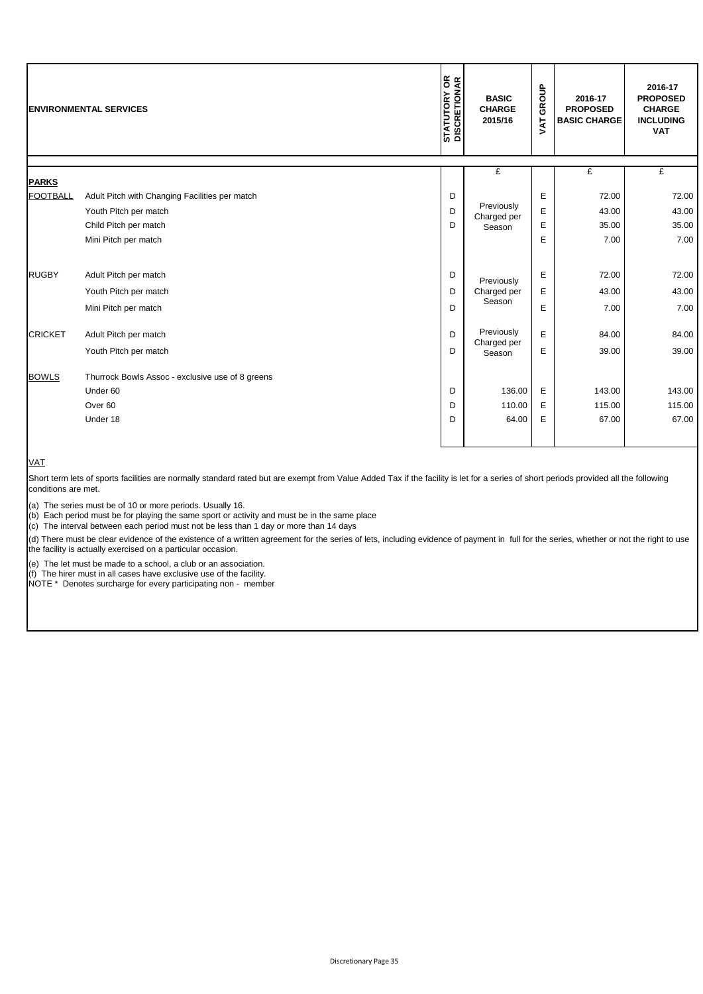|                                 | <b>ENVIRONMENTAL SERVICES</b>                                                                                            | <b>STATUTORY OR</b><br>DISCRETIONAR | <b>BASIC</b><br><b>CHARGE</b><br>2015/16 | GROUP<br><b>TY</b> | 2016-17<br><b>PROPOSED</b><br><b>BASIC CHARGE</b> | 2016-17<br><b>PROPOSED</b><br><b>CHARGE</b><br><b>INCLUDING</b><br><b>VAT</b> |
|---------------------------------|--------------------------------------------------------------------------------------------------------------------------|-------------------------------------|------------------------------------------|--------------------|---------------------------------------------------|-------------------------------------------------------------------------------|
|                                 |                                                                                                                          |                                     | £                                        |                    | £                                                 | £                                                                             |
| <b>PARKS</b><br><b>FOOTBALL</b> | Adult Pitch with Changing Facilities per match<br>Youth Pitch per match<br>Child Pitch per match<br>Mini Pitch per match | D<br>D<br>D                         | Previously<br>Charged per<br>Season      | Е<br>E<br>E<br>E   | 72.00<br>43.00<br>35.00<br>7.00                   | 72.00<br>43.00<br>35.00<br>7.00                                               |
| <b>RUGBY</b>                    | Adult Pitch per match<br>Youth Pitch per match<br>Mini Pitch per match                                                   | D<br>D<br>D                         | Previously<br>Charged per<br>Season      | Е<br>Е<br>E        | 72.00<br>43.00<br>7.00                            | 72.00<br>43.00<br>7.00                                                        |
| <b>CRICKET</b>                  | Adult Pitch per match<br>Youth Pitch per match                                                                           | D<br>D                              | Previously<br>Charged per<br>Season      | E<br>Е             | 84.00<br>39.00                                    | 84.00<br>39.00                                                                |
| <b>BOWLS</b>                    | Thurrock Bowls Assoc - exclusive use of 8 greens<br>Under 60<br>Over <sub>60</sub><br>Under 18                           | D<br>D<br>D                         | 136.00<br>110.00<br>64.00                | Е<br>Е<br>E        | 143.00<br>115.00<br>67.00                         | 143.00<br>115.00<br>67.00                                                     |

## VAT

Short term lets of sports facilities are normally standard rated but are exempt from Value Added Tax if the facility is let for a series of short periods provided all the following conditions are met.

(a) The series must be of 10 or more periods. Usually 16.

(b) Each period must be for playing the same sport or activity and must be in the same place

(c) The interval between each period must not be less than 1 day or more than 14 days

(d) There must be clear evidence of the existence of a written agreement for the series of lets, including evidence of payment in full for the series, whether or not the right to use the facility is actually exercised on a particular occasion.

(e) The let must be made to a school, a club or an association.

(f) The hirer must in all cases have exclusive use of the facility.

NOTE \* Denotes surcharge for every participating non - member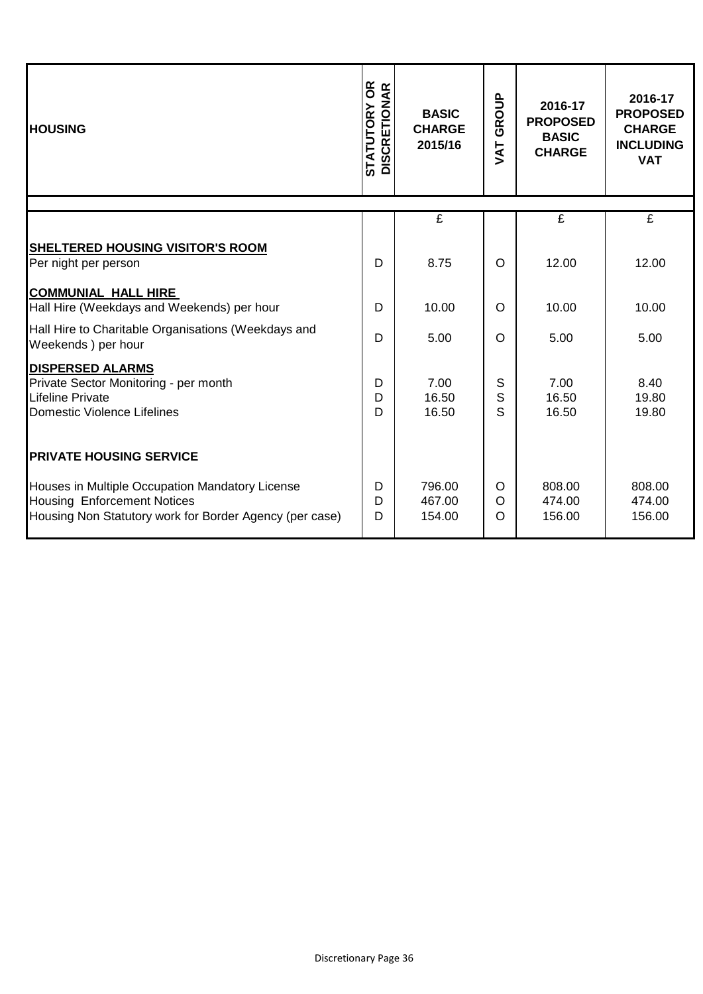| <b>HOUSING</b>                                                                                                                                   | <b>STATUTORY OR<br/>DISCRETIONAR</b> | <b>BASIC</b><br><b>CHARGE</b><br>2015/16 |                          | 2016-17<br><b>PROPOSED</b><br><b>BASIC</b><br><b>CHARGE</b> | 2016-17<br><b>PROPOSED</b><br><b>CHARGE</b><br><b>INCLUDING</b><br><b>VAT</b> |
|--------------------------------------------------------------------------------------------------------------------------------------------------|--------------------------------------|------------------------------------------|--------------------------|-------------------------------------------------------------|-------------------------------------------------------------------------------|
|                                                                                                                                                  |                                      | £                                        |                          | £                                                           | $\overline{\mathbf{f}}$                                                       |
| <b>SHELTERED HOUSING VISITOR'S ROOM</b><br>Per night per person                                                                                  | D                                    | 8.75                                     | O                        | 12.00                                                       | 12.00                                                                         |
| <b>COMMUNIAL HALL HIRE</b><br>Hall Hire (Weekdays and Weekends) per hour                                                                         | D                                    | 10.00                                    | O                        | 10.00                                                       | 10.00                                                                         |
| Hall Hire to Charitable Organisations (Weekdays and<br>Weekends ) per hour                                                                       | D                                    | 5.00                                     | $\Omega$                 | 5.00                                                        | 5.00                                                                          |
| <b>DISPERSED ALARMS</b><br>Private Sector Monitoring - per month<br><b>Lifeline Private</b><br>Domestic Violence Lifelines                       | D<br>D<br>D                          | 7.00<br>16.50<br>16.50                   | S<br>S<br>S              | 7.00<br>16.50<br>16.50                                      | 8.40<br>19.80<br>19.80                                                        |
| <b>PRIVATE HOUSING SERVICE</b>                                                                                                                   |                                      |                                          |                          |                                                             |                                                                               |
| Houses in Multiple Occupation Mandatory License<br><b>Housing Enforcement Notices</b><br>Housing Non Statutory work for Border Agency (per case) | D<br>D<br>D                          | 796.00<br>467.00<br>154.00               | O<br>$\circ$<br>$\Omega$ | 808.00<br>474.00<br>156.00                                  | 808.00<br>474.00<br>156.00                                                    |